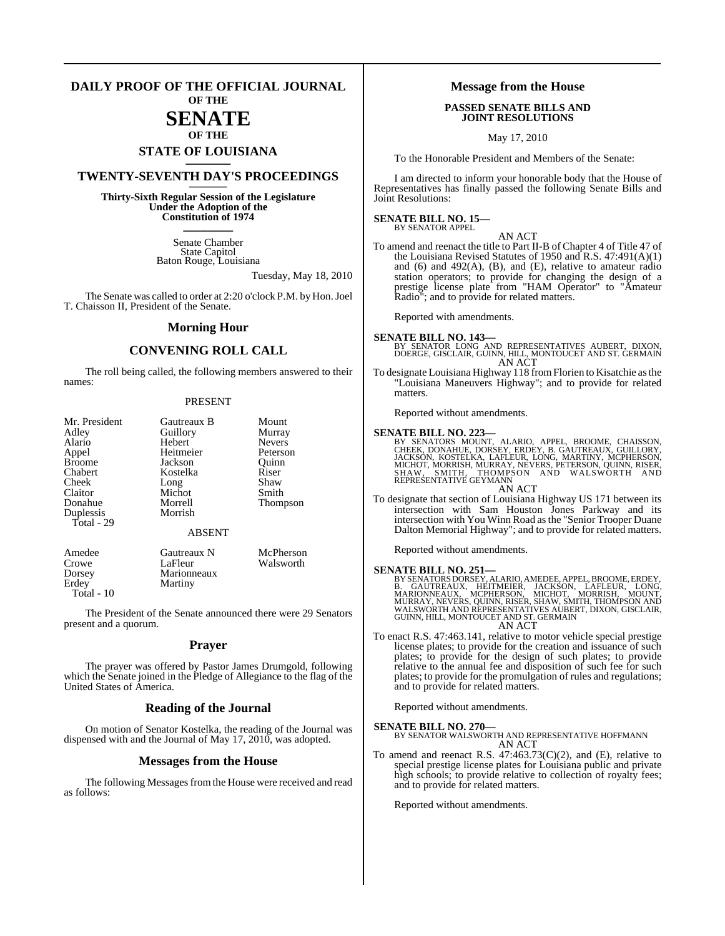#### **DAILY PROOF OF THE OFFICIAL JOURNAL OF THE**

## **SENATE OF THE**

# **STATE OF LOUISIANA \_\_\_\_\_\_\_**

## **TWENTY-SEVENTH DAY'S PROCEEDINGS \_\_\_\_\_\_\_**

**Thirty-Sixth Regular Session of the Legislature Under the Adoption of the Constitution of 1974 \_\_\_\_\_\_\_**

> Senate Chamber State Capitol Baton Rouge, Louisiana

> > Tuesday, May 18, 2010

The Senate was called to order at 2:20 o'clock P.M. by Hon.Joel T. Chaisson II, President of the Senate.

#### **Morning Hour**

### **CONVENING ROLL CALL**

The roll being called, the following members answered to their names:

#### PRESENT

| Mr. President | Gautreaux B   | Mount         |
|---------------|---------------|---------------|
| Adley         | Guillory      | Murray        |
| Alario        | Hebert        | <b>Nevers</b> |
| Appel         | Heitmeier     | Peterson      |
| <b>Broome</b> | Jackson       | Ouinn         |
| Chabert       | Kostelka      | Riser         |
| Cheek         | Long          | Shaw          |
| Claitor       | Michot        | Smith         |
| Donahue       | Morrell       | Thompson      |
| Duplessis     | Morrish       |               |
| Total - 29    |               |               |
|               | <b>ABSENT</b> |               |
| Amedee        | Gautreaux N   | McPherson     |
| Crowe         | LaFleur       | Walsworth     |
| Dorsey        | Marionneaux   |               |
| Erdey         | Martiny       |               |

The President of the Senate announced there were 29 Senators present and a quorum.

Total - 10

#### **Prayer**

The prayer was offered by Pastor James Drumgold, following which the Senate joined in the Pledge of Allegiance to the flag of the United States of America.

#### **Reading of the Journal**

On motion of Senator Kostelka, the reading of the Journal was dispensed with and the Journal of May 17, 2010, was adopted.

#### **Messages from the House**

The following Messages from the House were received and read as follows:

#### **Message from the House**

#### **PASSED SENATE BILLS AND JOINT RESOLUTIONS**

May 17, 2010

To the Honorable President and Members of the Senate:

I am directed to inform your honorable body that the House of Representatives has finally passed the following Senate Bills and Joint Resolutions:

#### **SENATE BILL NO. 15—** BY SENATOR APPEL

AN ACT

To amend and reenact the title to Part II-B of Chapter 4 of Title 47 of the Louisiana Revised Statutes of 1950 and R.S. 47:491(A)(1) and  $(6)$  and  $492(A)$ ,  $(B)$ , and  $(E)$ , relative to amateur radio station operators; to provide for changing the design of a prestige license plate from "HAM Operator" to "Amateur Radio"; and to provide for related matters.

Reported with amendments.

- **SENATE BILL NO. 143—**<br>BY SENATOR LONG AND REPRESENTATIVES AUBERT, DIXON,<br>DOERGE, GISCLAIR, GUINN, HILL, MONTOUCET AND ST. GERMAIN AN ACT
- To designate Louisiana Highway 118 fromFlorien to Kisatchie asthe "Louisiana Maneuvers Highway"; and to provide for related matters.

Reported without amendments.

SENATE BILL NO. 223—<br>BY SENATORS MOUNT, ALARIO, APPEL, BROOME, CHAISSON, CHEEK, DONAHUE, DORSEY, ERDEY, B. GAUTREAUX, GUILLORY, JACKSON, MORISIA, LAFLEUR, LONG, MARTINY, MCPHERSON, MICHOT, MORRISH, MURRAY, NEVERS, PETERSON AN ACT

To designate that section of Louisiana Highway US 171 between its intersection with Sam Houston Jones Parkway and its intersection with You Winn Road asthe "Senior Trooper Duane Dalton Memorial Highway"; and to provide for related matters.

Reported without amendments.

#### **SENATE BILL NO. 251—**

BY SENATORS DORSEY, ALARIO, AMEDEE, APPEL, BROOME, ERDEY,<br>B. GAUTREAUX, HEITMEIER, JACKSON, LAFLEUR, LONG,<br>MARIONNEAUX, MCPHERSON, MICHOT, MORRISH, MOUNT,<br>MURRAY, NEVERS, QUINN, RISER, SHAW, SMITH, THOMPSON AND<br>WALSWORTH A GUINN, HILL, MONTOUCET AND ST. GERMAIN AN ACT

To enact R.S. 47:463.141, relative to motor vehicle special prestige license plates; to provide for the creation and issuance of such plates; to provide for the design of such plates; to provide relative to the annual fee and disposition of such fee for such plates; to provide for the promulgation of rules and regulations; and to provide for related matters.

#### Reported without amendments.

**SENATE BILL NO. 270—** BY SENATOR WALSWORTH AND REPRESENTATIVE HOFFMANN AN ACT

To amend and reenact R.S.  $47:463.73(C)(2)$ , and (E), relative to special prestige license plates for Louisiana public and private high schools; to provide relative to collection of royalty fees; and to provide for related matters.

Reported without amendments.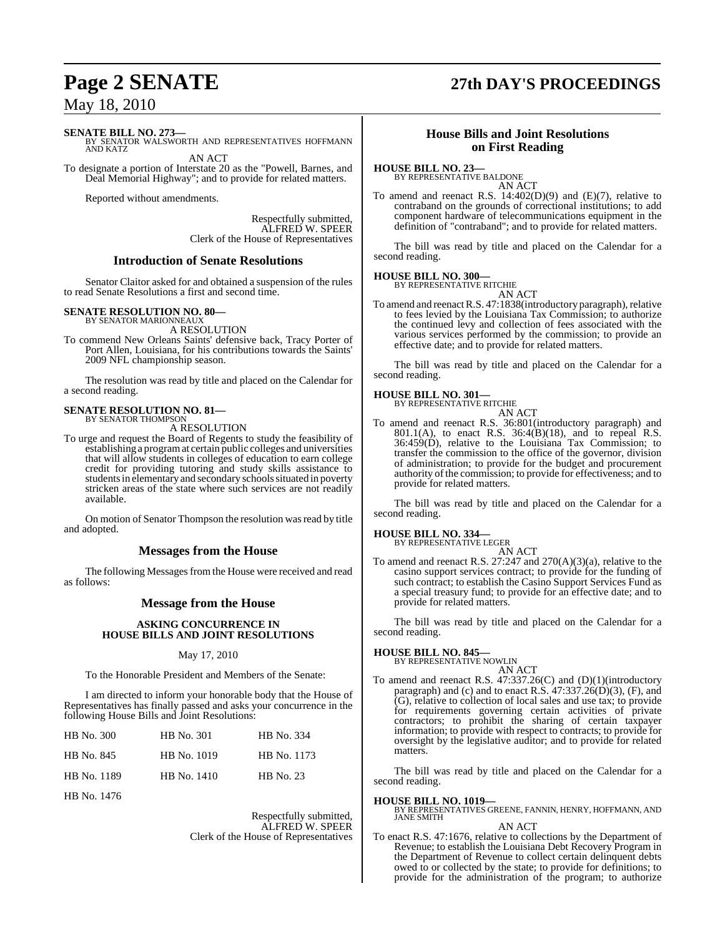# **Page 2 SENATE 27th DAY'S PROCEEDINGS**

**SENATE BILL NO. 273—**

BY SENATOR WALSWORTH AND REPRESENTATIVES HOFFMANN AND KATZ AN ACT

To designate a portion of Interstate 20 as the "Powell, Barnes, and Deal Memorial Highway"; and to provide for related matters.

Reported without amendments.

Respectfully submitted, ALFRED W. SPEER Clerk of the House of Representatives

#### **Introduction of Senate Resolutions**

Senator Claitor asked for and obtained a suspension of the rules to read Senate Resolutions a first and second time.

**SENATE RESOLUTION NO. 80—** BY SENATOR MARIONNEAUX

A RESOLUTION

To commend New Orleans Saints' defensive back, Tracy Porter of Port Allen, Louisiana, for his contributions towards the Saints' 2009 NFL championship season.

The resolution was read by title and placed on the Calendar for a second reading.

#### **SENATE RESOLUTION NO. 81—** BY SENATOR THOMPSON

A RESOLUTION

To urge and request the Board of Regents to study the feasibility of establishing a programat certain public colleges and universities that will allow students in colleges of education to earn college credit for providing tutoring and study skills assistance to students in elementary and secondary schools situated in poverty stricken areas of the state where such services are not readily available.

On motion of Senator Thompson the resolution was read by title and adopted.

### **Messages from the House**

The following Messages from the House were received and read as follows:

### **Message from the House**

#### **ASKING CONCURRENCE IN HOUSE BILLS AND JOINT RESOLUTIONS**

#### May 17, 2010

To the Honorable President and Members of the Senate:

I am directed to inform your honorable body that the House of Representatives has finally passed and asks your concurrence in the following House Bills and Joint Resolutions:

| HB No. 300  | HB No. 301  | HB No. 334  |
|-------------|-------------|-------------|
| HB No. 845  | HB No. 1019 | HB No. 1173 |
| HB No. 1189 | HB No. 1410 | HB No. 23   |
| HB No. 1476 |             |             |

Respectfully submitted, ALFRED W. SPEER Clerk of the House of Representatives

### **House Bills and Joint Resolutions on First Reading**

#### **HOUSE BILL NO. 23—**

BY REPRESENTATIVE BALDONE AN ACT

To amend and reenact R.S. 14:402(D)(9) and (E)(7), relative to contraband on the grounds of correctional institutions; to add component hardware of telecommunications equipment in the definition of "contraband"; and to provide for related matters.

The bill was read by title and placed on the Calendar for a second reading.

#### **HOUSE BILL NO. 300—**

BY REPRESENTATIVE RITCHIE

AN ACT To amend and reenact R.S. 47:1838(introductory paragraph), relative to fees levied by the Louisiana Tax Commission; to authorize the continued levy and collection of fees associated with the various services performed by the commission; to provide an effective date; and to provide for related matters.

The bill was read by title and placed on the Calendar for a second reading.

# **HOUSE BILL NO. 301—** BY REPRESENTATIVE RITCHIE

AN ACT To amend and reenact R.S. 36:801(introductory paragraph) and 801.1(A), to enact R.S. 36:4(B)(18), and to repeal R.S. 36:459(D), relative to the Louisiana Tax Commission; to transfer the commission to the office of the governor, division of administration; to provide for the budget and procurement authority of the commission; to provide for effectiveness; and to provide for related matters.

The bill was read by title and placed on the Calendar for a second reading.

**HOUSE BILL NO. 334—** BY REPRESENTATIVE LEGER

AN ACT To amend and reenact R.S. 27:247 and 270(A)(3)(a), relative to the casino support services contract; to provide for the funding of such contract; to establish the Casino Support Services Fund as a special treasury fund; to provide for an effective date; and to provide for related matters.

The bill was read by title and placed on the Calendar for a second reading.

#### **HOUSE BILL NO. 845—**

- BY REPRESENTATIVE NOWLIN AN ACT
- To amend and reenact R.S. 47:337.26(C) and (D)(1)(introductory paragraph) and (c) and to enact R.S.  $47:337.26(D)(3)$ , (F), and (G), relative to collection of local sales and use tax; to provide for requirements governing certain activities of private contractors; to prohibit the sharing of certain taxpayer information; to provide with respect to contracts; to provide for oversight by the legislative auditor; and to provide for related matters.

The bill was read by title and placed on the Calendar for a second reading.

#### **HOUSE BILL NO. 1019—**

BY REPRESENTATIVES GREENE, FANNIN, HENRY, HOFFMANN, AND JANE SMITH AN ACT

To enact R.S. 47:1676, relative to collections by the Department of Revenue; to establish the Louisiana Debt Recovery Program in the Department of Revenue to collect certain delinquent debts owed to or collected by the state; to provide for definitions; to provide for the administration of the program; to authorize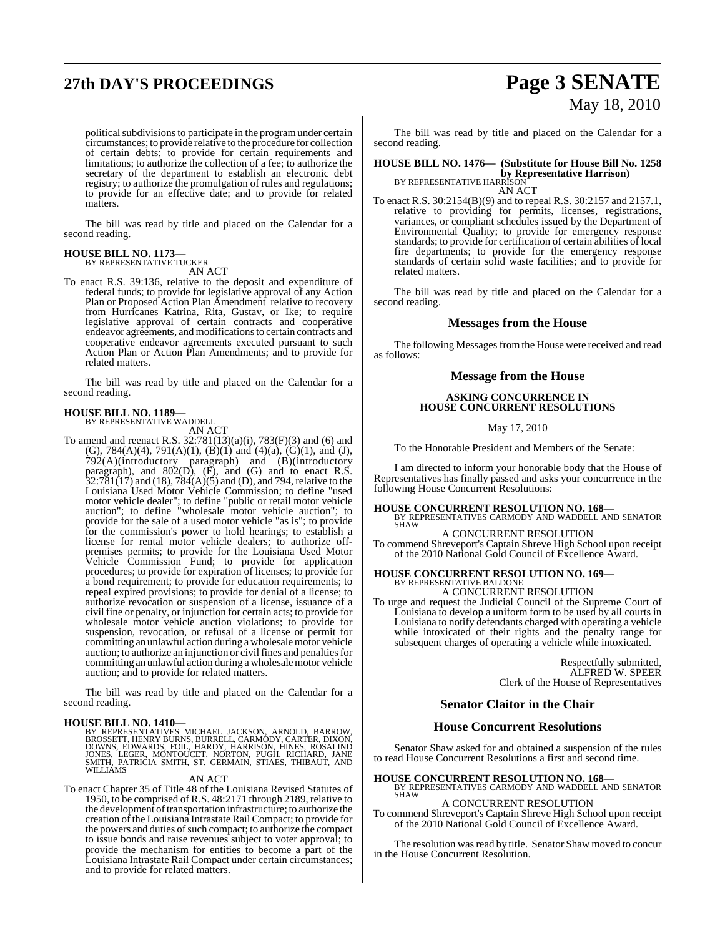# **27th DAY'S PROCEEDINGS Page 3 SENATE**

# May 18, 2010

political subdivisions to participate in the program under certain circumstances; to provide relative to the procedure for collection of certain debts; to provide for certain requirements and limitations; to authorize the collection of a fee; to authorize the secretary of the department to establish an electronic debt registry; to authorize the promulgation of rules and regulations; to provide for an effective date; and to provide for related matters.

The bill was read by title and placed on the Calendar for a second reading.

#### **HOUSE BILL NO. 1173—** BY REPRESENTATIVE TUCKER

AN ACT

To enact R.S. 39:136, relative to the deposit and expenditure of federal funds; to provide for legislative approval of any Action Plan or Proposed Action Plan Amendment relative to recovery from Hurricanes Katrina, Rita, Gustav, or Ike; to require legislative approval of certain contracts and cooperative endeavor agreements, and modificationsto certain contracts and cooperative endeavor agreements executed pursuant to such Action Plan or Action Plan Amendments; and to provide for related matters.

The bill was read by title and placed on the Calendar for a second reading.

# **HOUSE BILL NO. 1189—** BY REPRESENTATIVE WADDELL

- AN ACT
- To amend and reenact R.S. 32:781(13)(a)(i), 783(F)(3) and (6) and (G),  $784(A)(4)$ ,  $791(A)(1)$ ,  $(B)(1)$  and  $(4)(a)$ ,  $(G)(1)$ , and  $(J)$ , 792(A)(introductory paragraph) and (B)(introductory paragraph), and  $802(D)$ ,  $(F)$ , and  $(G)$  and to enact R.S.  $32:781(17)$  and (18),  $784(A)(5)$  and (D), and 794, relative to the Louisiana Used Motor Vehicle Commission; to define "used motor vehicle dealer"; to define "public or retail motor vehicle auction"; to define "wholesale motor vehicle auction"; to provide for the sale of a used motor vehicle "as is"; to provide for the commission's power to hold hearings; to establish a license for rental motor vehicle dealers; to authorize offpremises permits; to provide for the Louisiana Used Motor Vehicle Commission Fund; to provide for application procedures; to provide for expiration of licenses; to provide for a bond requirement; to provide for education requirements; to repeal expired provisions; to provide for denial of a license; to authorize revocation or suspension of a license, issuance of a civil fine or penalty, or injunction for certain acts; to provide for wholesale motor vehicle auction violations; to provide for suspension, revocation, or refusal of a license or permit for committing an unlawful action during a wholesale motor vehicle auction; to authorize an injunction or civil fines and penalties for committing an unlawful action during a wholesalemotor vehicle auction; and to provide for related matters.

The bill was read by title and placed on the Calendar for a second reading.

**HOUSE BILL NO. 1410—**<br>BY REPRESENTATIVES MICHAEL JACKSON, ARNOLD, BARROW,<br>BROSSETT, HENRY BURNS, BURRELL, CARMODY, CARTER, DIXON,<br>DOWNS, EDWARDS, FOIL, HARDY, HARRISON, HINES, ROSALIND<br>JONES, LEGER, MONTOUCET, NORTON, PUG WILLIAMS

#### AN ACT

To enact Chapter 35 of Title 48 of the Louisiana Revised Statutes of 1950, to be comprised of R.S. 48:2171 through 2189, relative to the development of transportation infrastructure; to authorize the creation of the Louisiana Intrastate Rail Compact; to provide for the powers and duties of such compact; to authorize the compact to issue bonds and raise revenues subject to voter approval; to provide the mechanism for entities to become a part of the Louisiana Intrastate Rail Compact under certain circumstances; and to provide for related matters.

The bill was read by title and placed on the Calendar for a second reading.

**HOUSE BILL NO. 1476— (Substitute for House Bill No. 1258 by Representative Harrison)**<br>BY REPRESENTATIVE HARRISON

AN ACT To enact R.S. 30:2154(B)(9) and to repeal R.S. 30:2157 and 2157.1, relative to providing for permits, licenses, registrations, variances, or compliant schedules issued by the Department of Environmental Quality; to provide for emergency response standards; to provide for certification of certain abilities of local fire departments; to provide for the emergency response standards of certain solid waste facilities; and to provide for related matters.

The bill was read by title and placed on the Calendar for a second reading.

#### **Messages from the House**

The following Messages from the House were received and read as follows:

#### **Message from the House**

#### **ASKING CONCURRENCE IN HOUSE CONCURRENT RESOLUTIONS**

May 17, 2010

To the Honorable President and Members of the Senate:

I am directed to inform your honorable body that the House of Representatives has finally passed and asks your concurrence in the following House Concurrent Resolutions:

**HOUSE CONCURRENT RESOLUTION NO. 168—** BY REPRESENTATIVES CARMODY AND WADDELL AND SENATOR SHAW

A CONCURRENT RESOLUTION To commend Shreveport's Captain Shreve High School upon receipt of the 2010 National Gold Council of Excellence Award.

#### **HOUSE CONCURRENT RESOLUTION NO. 169—** BY REPRESENTATIVE BALDONE

A CONCURRENT RESOLUTION

To urge and request the Judicial Council of the Supreme Court of Louisiana to develop a uniform form to be used by all courts in Louisiana to notify defendants charged with operating a vehicle while intoxicated of their rights and the penalty range for subsequent charges of operating a vehicle while intoxicated.

> Respectfully submitted, ALFRED W. SPEER Clerk of the House of Representatives

#### **Senator Claitor in the Chair**

#### **House Concurrent Resolutions**

Senator Shaw asked for and obtained a suspension of the rules to read House Concurrent Resolutions a first and second time.

**HOUSE CONCURRENT RESOLUTION NO. 168—** BY REPRESENTATIVES CARMODY AND WADDELL AND SENATOR SHAW

## A CONCURRENT RESOLUTION

To commend Shreveport's Captain Shreve High School upon receipt of the 2010 National Gold Council of Excellence Award.

The resolution was read by title. Senator Shaw moved to concur in the House Concurrent Resolution.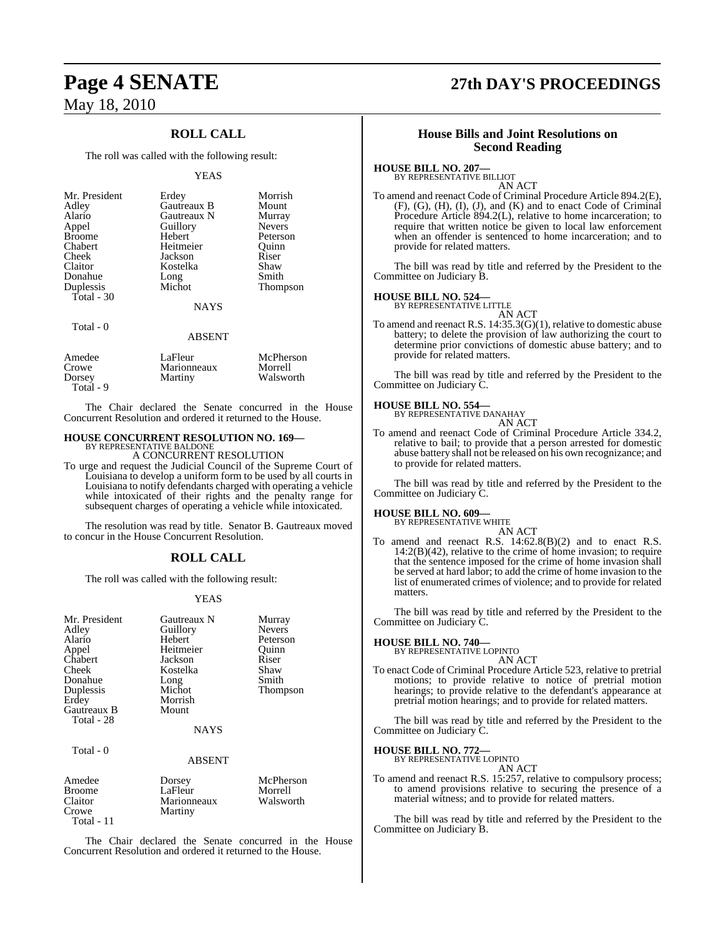## **ROLL CALL**

The roll was called with the following result:

#### YEAS

| Mr. President | Erdey       | Morrish       |
|---------------|-------------|---------------|
| Adley         | Gautreaux B | Mount         |
| Alario        | Gautreaux N | Murray        |
| Appel         | Guillory    | <b>Nevers</b> |
| <b>Broome</b> | Hebert      | Peterson      |
| Chabert       | Heitmeier   | Ouinn         |
| Cheek         | Jackson     | Riser         |
| Claitor       | Kostelka    | Shaw          |
| Donahue       | Long        | Smith         |
| Duplessis     | Michot      | Thompson      |
| Total - 30    |             |               |
|               | <b>NAYS</b> |               |
| Total - 0     |             |               |

#### Amedee LaFleur McPherson<br>Crowe Marionneaux Morrell Crowe Marionneaux<br>Dorsey Martiny Walsworth Total - 9

The Chair declared the Senate concurred in the House Concurrent Resolution and ordered it returned to the House.

ABSENT

# **HOUSE CONCURRENT RESOLUTION NO. 169—** BY REPRESENTATIVE BALDONE

A CONCURRENT RESOLUTION

To urge and request the Judicial Council of the Supreme Court of Louisiana to develop a uniform form to be used by all courts in Louisiana to notify defendants charged with operating a vehicle while intoxicated of their rights and the penalty range for subsequent charges of operating a vehicle while intoxicated.

The resolution was read by title. Senator B. Gautreaux moved to concur in the House Concurrent Resolution.

### **ROLL CALL**

The roll was called with the following result:

#### YEAS

| Mr. President<br>Adley<br>Alario<br>Appel<br>Chabert<br>Cheek<br>Donahue | Gautreaux N<br>Guillory<br>Hebert<br>Heitmeier<br>Jackson<br>Kostelka | Murray<br><b>Nevers</b><br>Peterson<br>Ouinn<br>Riser<br>Shaw |
|--------------------------------------------------------------------------|-----------------------------------------------------------------------|---------------------------------------------------------------|
|                                                                          | Long<br>Michot                                                        | Smith                                                         |
| Duplessis<br>Erdey                                                       | Morrish                                                               | Thompson                                                      |
| Gautreaux B<br>Total - 28                                                | Mount                                                                 |                                                               |
|                                                                          | <b>NAYS</b>                                                           |                                                               |
| Total - 0                                                                | <b>ABSENT</b>                                                         |                                                               |
| Amedee<br>Broome<br>Claitor<br>Crowe<br>Total - 11                       | Dorsey<br>LaFleur<br>Marionneaux<br><b>Martiny</b>                    | McPherson<br>Morrell<br>Walsworth                             |

The Chair declared the Senate concurred in the House Concurrent Resolution and ordered it returned to the House.

# **Page 4 SENATE 27th DAY'S PROCEEDINGS**

#### **House Bills and Joint Resolutions on Second Reading**

### **HOUSE BILL NO. 207—**

BY REPRESENTATIVE BILLIOT AN ACT

To amend and reenact Code of Criminal Procedure Article 894.2(E), (F), (G), (H), (I), (J), and (K) and to enact Code of Criminal Procedure Article 894.2(L), relative to home incarceration; to require that written notice be given to local law enforcement when an offender is sentenced to home incarceration; and to provide for related matters.

The bill was read by title and referred by the President to the Committee on Judiciary B.

#### **HOUSE BILL NO. 524—**

BY REPRESENTATIVE LITTLE

- AN ACT
- To amend and reenact R.S. 14:35.3(G)(1), relative to domestic abuse battery; to delete the provision of law authorizing the court to determine prior convictions of domestic abuse battery; and to provide for related matters.

The bill was read by title and referred by the President to the Committee on Judiciary C.

# **HOUSE BILL NO. 554—** BY REPRESENTATIVE DANAHAY

AN ACT

To amend and reenact Code of Criminal Procedure Article 334.2, relative to bail; to provide that a person arrested for domestic abuse battery shall not be released on his own recognizance; and to provide for related matters.

The bill was read by title and referred by the President to the Committee on Judiciary C.

#### **HOUSE BILL NO. 609—** BY REPRESENTATIVE WHITE

AN ACT To amend and reenact R.S. 14:62.8(B)(2) and to enact R.S. 14:2(B)(42), relative to the crime of home invasion; to require that the sentence imposed for the crime of home invasion shall be served at hard labor; to add the crime of home invasion to the list of enumerated crimes of violence; and to provide for related matters.

The bill was read by title and referred by the President to the Committee on Judiciary C.

**HOUSE BILL NO. 740—** BY REPRESENTATIVE LOPINTO AN ACT

To enact Code of Criminal Procedure Article 523, relative to pretrial motions; to provide relative to notice of pretrial motion hearings; to provide relative to the defendant's appearance at pretrial motion hearings; and to provide for related matters.

The bill was read by title and referred by the President to the Committee on Judiciary C.

**HOUSE BILL NO. 772—** BY REPRESENTATIVE LOPINTO

AN ACT

To amend and reenact R.S. 15:257, relative to compulsory process; to amend provisions relative to securing the presence of a material witness; and to provide for related matters.

The bill was read by title and referred by the President to the Committee on Judiciary B.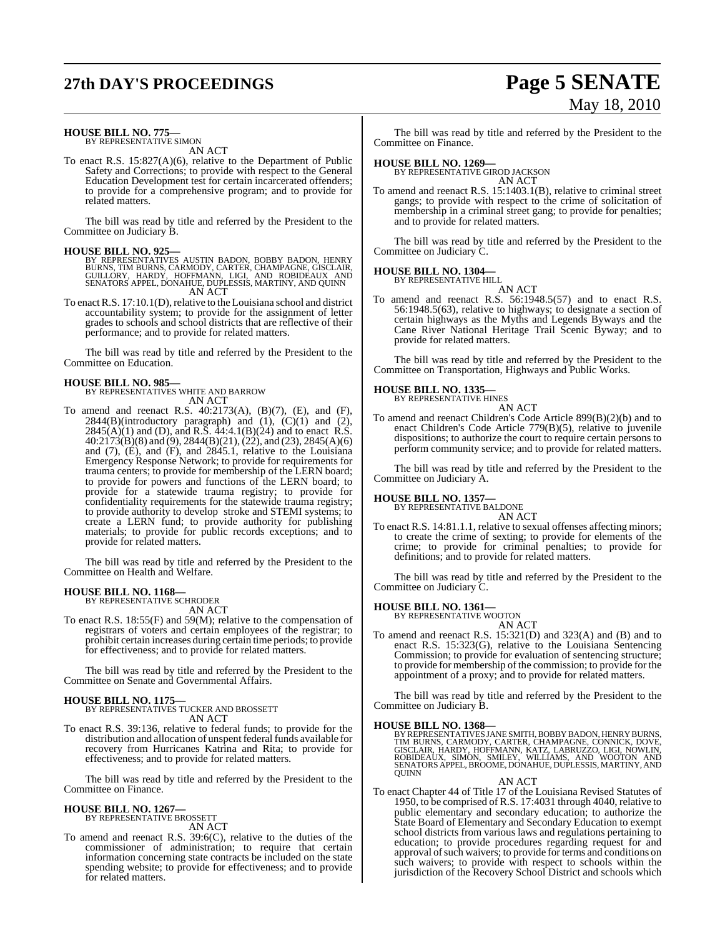# **27th DAY'S PROCEEDINGS Page 5 SENATE**

# May 18, 2010

#### **HOUSE BILL NO. 775—** BY REPRESENTATIVE SIMON

AN ACT

To enact R.S. 15:827(A)(6), relative to the Department of Public Safety and Corrections; to provide with respect to the General Education Development test for certain incarcerated offenders; to provide for a comprehensive program; and to provide for related matters.

The bill was read by title and referred by the President to the Committee on Judiciary B.

#### **HOUSE BILL NO. 925—**

BY REPRESENTATIVES AUSTIN BADON, BOBBY BADON, HENRY<br>BURNS, TIM BURNS, CARMODY, CARTER, CHAMPAGNE, GISCLAIR,<br>GUILLORY, HARDY, HOFFMANN, LIGI, AND ROBIDEAUX AND<br>SENATORS APPEL, DONAHUE, DUPLESSIS, MARTINY, AND QUINN AN ACT

To enact R.S. 17:10.1(D), relative to the Louisiana school and district accountability system; to provide for the assignment of letter grades to schools and school districts that are reflective of their performance; and to provide for related matters.

The bill was read by title and referred by the President to the Committee on Education.

#### **HOUSE BILL NO. 985—**

BY REPRESENTATIVES WHITE AND BARROW AN ACT

To amend and reenact R.S. 40:2173(A), (B)(7), (E), and (F), 2844(B)(introductory paragraph) and  $(1)$ ,  $(C)(1)$  and  $(2)$ ,  $2845(A)(1)$  and (D), and R.S.  $44:4.1(B)(24)$  and to enact R.S. 40:2173(B)(8) and (9), 2844(B)(21), (22), and (23), 2845(A)(6) and  $(7)$ ,  $(E)$ , and  $(F)$ , and  $2845.1$ , relative to the Louisiana Emergency Response Network; to provide for requirements for trauma centers; to provide for membership of the LERN board; to provide for powers and functions of the LERN board; to provide for a statewide trauma registry; to provide for confidentiality requirements for the statewide trauma registry; to provide authority to develop stroke and STEMI systems; to create a LERN fund; to provide authority for publishing materials; to provide for public records exceptions; and to provide for related matters.

The bill was read by title and referred by the President to the Committee on Health and Welfare.

# **HOUSE BILL NO. 1168—** BY REPRESENTATIVE SCHRODER

AN ACT

To enact R.S. 18:55(F) and 59(M); relative to the compensation of registrars of voters and certain employees of the registrar; to prohibit certain increases during certain time periods; to provide for effectiveness; and to provide for related matters.

The bill was read by title and referred by the President to the Committee on Senate and Governmental Affairs.

# **HOUSE BILL NO. 1175—** BY REPRESENTATIVES TUCKER AND BROSSETT

AN ACT

To enact R.S. 39:136, relative to federal funds; to provide for the distribution and allocation of unspent federal funds available for recovery from Hurricanes Katrina and Rita; to provide for effectiveness; and to provide for related matters.

The bill was read by title and referred by the President to the Committee on Finance.

# **HOUSE BILL NO. 1267—** BY REPRESENTATIVE BROSSETT

AN ACT

To amend and reenact R.S. 39:6(C), relative to the duties of the commissioner of administration; to require that certain information concerning state contracts be included on the state spending website; to provide for effectiveness; and to provide for related matters.

The bill was read by title and referred by the President to the Committee on Finance.

# **HOUSE BILL NO. 1269—** BY REPRESENTATIVE GIROD JACKSON

AN ACT To amend and reenact R.S. 15:1403.1(B), relative to criminal street gangs; to provide with respect to the crime of solicitation of membership in a criminal street gang; to provide for penalties; and to provide for related matters.

The bill was read by title and referred by the President to the Committee on Judiciary C.

#### **HOUSE BILL NO. 1304—** BY REPRESENTATIVE HILL

AN ACT

To amend and reenact R.S. 56:1948.5(57) and to enact R.S. 56:1948.5(63), relative to highways; to designate a section of certain highways as the Myths and Legends Byways and the Cane River National Heritage Trail Scenic Byway; and to provide for related matters.

The bill was read by title and referred by the President to the Committee on Transportation, Highways and Public Works.

#### **HOUSE BILL NO. 1335—**

BY REPRESENTATIVE HINES

AN ACT To amend and reenact Children's Code Article 899(B)(2)(b) and to enact Children's Code Article 779(B)(5), relative to juvenile dispositions; to authorize the court to require certain persons to

perform community service; and to provide for related matters.

The bill was read by title and referred by the President to the Committee on Judiciary A.

#### **HOUSE BILL NO. 1357—**

BY REPRESENTATIVE BALDONE AN ACT

To enact R.S. 14:81.1.1, relative to sexual offenses affecting minors; to create the crime of sexting; to provide for elements of the crime; to provide for criminal penalties; to provide for definitions; and to provide for related matters.

The bill was read by title and referred by the President to the Committee on Judiciary C.

# **HOUSE BILL NO. 1361—** BY REPRESENTATIVE WOOTON

- AN ACT
- To amend and reenact R.S. 15:321(D) and 323(A) and (B) and to enact R.S. 15:323(G), relative to the Louisiana Sentencing Commission; to provide for evaluation of sentencing structure; to provide for membership of the commission; to provide for the appointment of a proxy; and to provide for related matters.

The bill was read by title and referred by the President to the Committee on Judiciary B.

**HOUSE BILL NO. 1368—**<br>BY REPRESENTATIVES JANE SMITH, BOBBY BADON, HENRY BURNS, TIM BURNS, CARMODY, CARTER, CHAMPAGNE, CONNICK, DOVE,<br>GISCLAIR, HARDY, HOFFMANN, KATZ, LABRUZZO, LIGI, NOWLIN,<br>ROBIDEAUX. SIMON, SMILEY, WILLI

AN ACT

To enact Chapter 44 of Title 17 of the Louisiana Revised Statutes of 1950, to be comprised of R.S. 17:4031 through 4040, relative to public elementary and secondary education; to authorize the State Board of Elementary and Secondary Education to exempt school districts from various laws and regulations pertaining to education; to provide procedures regarding request for and approval of such waivers; to provide for terms and conditions on such waivers; to provide with respect to schools within the jurisdiction of the Recovery School District and schools which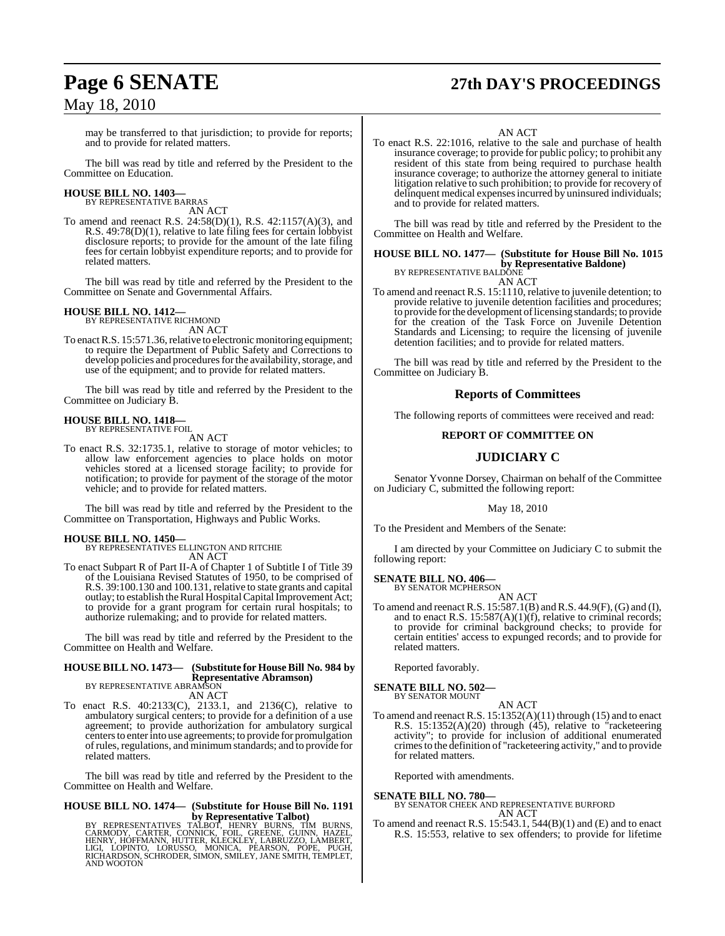# **Page 6 SENATE 27th DAY'S PROCEEDINGS**

may be transferred to that jurisdiction; to provide for reports; and to provide for related matters.

The bill was read by title and referred by the President to the Committee on Education.

#### **HOUSE BILL NO. 1403—** BY REPRESENTATIVE BARRAS

AN ACT

To amend and reenact R.S. 24:58(D)(1), R.S. 42:1157(A)(3), and R.S. 49:78(D)(1), relative to late filing fees for certain lobbyist disclosure reports; to provide for the amount of the late filing fees for certain lobbyist expenditure reports; and to provide for related matters.

The bill was read by title and referred by the President to the Committee on Senate and Governmental Affairs.

#### **HOUSE BILL NO. 1412—**

BY REPRESENTATIVE RICHMOND

AN ACT To enact R.S. 15:571.36, relative to electronic monitoring equipment; to require the Department of Public Safety and Corrections to develop policies and procedures for the availability, storage, and use of the equipment; and to provide for related matters.

The bill was read by title and referred by the President to the Committee on Judiciary B.

#### **HOUSE BILL NO. 1418—** BY REPRESENTATIVE FOIL

AN ACT

To enact R.S. 32:1735.1, relative to storage of motor vehicles; to allow law enforcement agencies to place holds on motor vehicles stored at a licensed storage facility; to provide for notification; to provide for payment of the storage of the motor vehicle; and to provide for related matters.

The bill was read by title and referred by the President to the Committee on Transportation, Highways and Public Works.

#### **HOUSE BILL NO. 1450—**

BY REPRESENTATIVES ELLINGTON AND RITCHIE

AN ACT

To enact Subpart R of Part II-A of Chapter 1 of Subtitle I of Title 39 of the Louisiana Revised Statutes of 1950, to be comprised of R.S. 39:100.130 and 100.131, relative to state grants and capital outlay; to establish the Rural Hospital Capital Improvement Act; to provide for a grant program for certain rural hospitals; to authorize rulemaking; and to provide for related matters.

The bill was read by title and referred by the President to the Committee on Health and Welfare.

## **HOUSE BILL NO. 1473— (Substitute for House Bill No. 984 by Representative Abramson)** BY REPRESENTATIVE ABRAMSON

AN ACT

To enact R.S. 40:2133(C), 2133.1, and 2136(C), relative to ambulatory surgical centers; to provide for a definition of a use agreement; to provide authorization for ambulatory surgical centersto enterinto use agreements; to provide for promulgation ofrules, regulations, and minimumstandards; and to provide for related matters.

The bill was read by title and referred by the President to the Committee on Health and Welfare.

# **HOUSE BILL NO. 1474— (Substitute for House Bill No. 1191**

by Representative Talbot)<br>CARMODY, CARTER, CONNICK, HENRY BURNS, TIM BURNS,<br>CARMODY, CARTER, CONNICK, FOIL, GREENE, GUINN, HAZEL,<br>LIGI, LOPINTO, LORUSSO, MONICA, PEARSON, POPE, PUGH,<br>RICHARDSON,SCHRODER,SIMON,SMILEY,JANE S AND WOOTON

#### AN ACT

To enact R.S. 22:1016, relative to the sale and purchase of health insurance coverage; to provide for public policy; to prohibit any resident of this state from being required to purchase health insurance coverage; to authorize the attorney general to initiate litigation relative to such prohibition; to provide for recovery of delinquent medical expenses incurred by uninsured individuals; and to provide for related matters.

The bill was read by title and referred by the President to the Committee on Health and Welfare.

#### **HOUSE BILL NO. 1477— (Substitute for House Bill No. 1015 by Representative Baldone)** BY REPRESENTATIVE BALDÖNE

AN ACT

To amend and reenact R.S. 15:1110, relative to juvenile detention; to provide relative to juvenile detention facilities and procedures; to provide forthe development oflicensing standards; to provide for the creation of the Task Force on Juvenile Detention Standards and Licensing; to require the licensing of juvenile detention facilities; and to provide for related matters.

The bill was read by title and referred by the President to the Committee on Judiciary B.

#### **Reports of Committees**

The following reports of committees were received and read:

#### **REPORT OF COMMITTEE ON**

## **JUDICIARY C**

Senator Yvonne Dorsey, Chairman on behalf of the Committee on Judiciary C, submitted the following report:

May 18, 2010

To the President and Members of the Senate:

I am directed by your Committee on Judiciary C to submit the following report:

### **SENATE BILL NO. 406—**

BY SENATOR MCPHERSON AN ACT

To amend and reenact R.S. 15:587.1(B) and R.S. 44.9(F), (G) and (I), and to enact R.S. 15:587(A)(1)(f), relative to criminal records; to provide for criminal background checks; to provide for certain entities' access to expunged records; and to provide for related matters.

Reported favorably.

# **SENATE BILL NO. 502—** BY SENATOR MOUNT

AN ACT

To amend and reenact R.S. 15:1352(A)(11) through (15) and to enact R.S. 15:1352(A)(20) through (45), relative to "racketeering activity"; to provide for inclusion of additional enumerated crimesto the definition of "racketeering activity," and to provide for related matters.

Reported with amendments.

#### **SENATE BILL NO. 780—**

BY SENATOR CHEEK AND REPRESENTATIVE BURFORD AN ACT

To amend and reenact R.S. 15:543.1, 544(B)(1) and (E) and to enact R.S. 15:553, relative to sex offenders; to provide for lifetime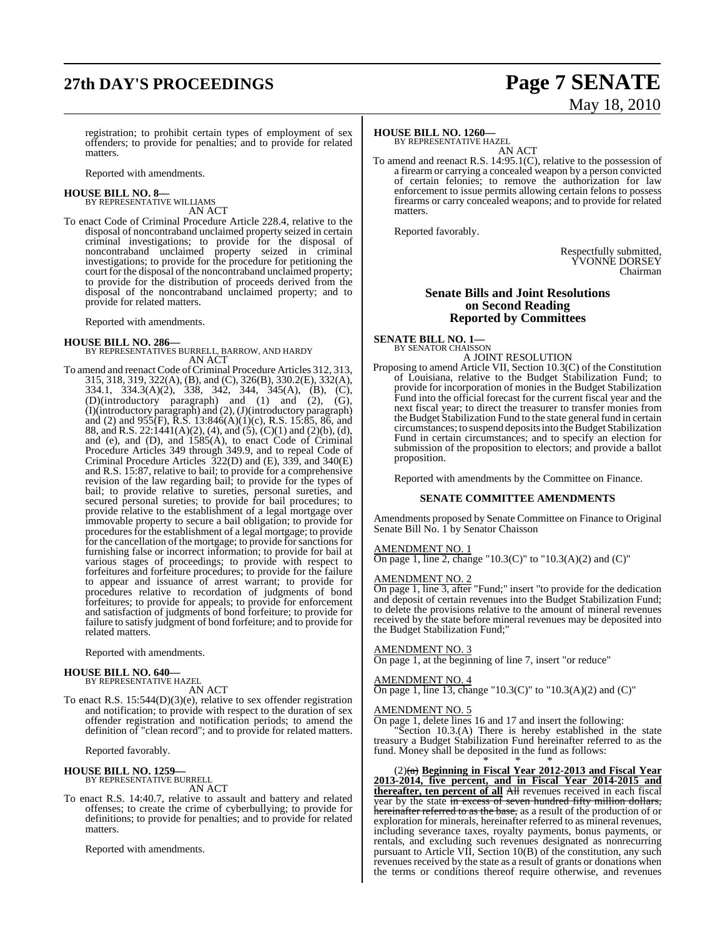# **27th DAY'S PROCEEDINGS Page 7 SENATE**

# May 18, 2010

registration; to prohibit certain types of employment of sex offenders; to provide for penalties; and to provide for related matters.

Reported with amendments.

# **HOUSE BILL NO. 8—** BY REPRESENTATIVE WILLIAMS

AN ACT

To enact Code of Criminal Procedure Article 228.4, relative to the disposal of noncontraband unclaimed property seized in certain criminal investigations; to provide for the disposal of noncontraband unclaimed property seized in criminal investigations; to provide for the procedure for petitioning the court for the disposal of the noncontraband unclaimed property; to provide for the distribution of proceeds derived from the disposal of the noncontraband unclaimed property; and to provide for related matters.

Reported with amendments.

**HOUSE BILL NO. 286—** BY REPRESENTATIVES BURRELL, BARROW, AND HARDY AN ACT

To amend and reenact Code of Criminal Procedure Articles 312, 313, 315, 318, 319, 322(A), (B), and (C), 326(B), 330.2(E), 332(A), 334.1, 334.3(A)(2), 338, 342, 344, 345(A), (B), (C), (D)(introductory paragraph) and (1) and (2), (G), (I)(introductory paragraph) and (2), (J)(introductory paragraph) and (2) and 955(F), R.S.  $13:846(A)(1)(c)$ , R.S.  $15:85$ ,  $86$ , and 88, and R.S. 22:1441(A)(2), (4), and (5), (C)(1) and (2)(b), (d), and (e), and (D), and 1585(A), to enact Code of Criminal Procedure Articles 349 through 349.9, and to repeal Code of Criminal Procedure Articles 322(D) and (E), 339, and 340(E) and R.S. 15:87, relative to bail; to provide for a comprehensive revision of the law regarding bail; to provide for the types of bail; to provide relative to sureties, personal sureties, and secured personal sureties; to provide for bail procedures; to provide relative to the establishment of a legal mortgage over immovable property to secure a bail obligation; to provide for procedures for the establishment of a legal mortgage; to provide for the cancellation of the mortgage; to provide for sanctions for furnishing false or incorrect information; to provide for bail at various stages of proceedings; to provide with respect to forfeitures and forfeiture procedures; to provide for the failure to appear and issuance of arrest warrant; to provide for procedures relative to recordation of judgments of bond forfeitures; to provide for appeals; to provide for enforcement and satisfaction of judgments of bond forfeiture; to provide for failure to satisfy judgment of bond forfeiture; and to provide for related matters.

Reported with amendments.

#### **HOUSE BILL NO. 640—** BY REPRESENTATIVE HAZEL

AN ACT

To enact R.S. 15:544(D)(3)(e), relative to sex offender registration and notification; to provide with respect to the duration of sex offender registration and notification periods; to amend the definition of "clean record"; and to provide for related matters.

Reported favorably.

#### **HOUSE BILL NO. 1259—** BY REPRESENTATIVE BURRELL

AN ACT

To enact R.S. 14:40.7, relative to assault and battery and related offenses; to create the crime of cyberbullying; to provide for definitions; to provide for penalties; and to provide for related matters.

Reported with amendments.

#### **HOUSE BILL NO. 1260—**

BY REPRESENTATIVE HAZEL

AN ACT To amend and reenact R.S. 14:95.1(C), relative to the possession of a firearm or carrying a concealed weapon by a person convicted of certain felonies; to remove the authorization for law enforcement to issue permits allowing certain felons to possess firearms or carry concealed weapons; and to provide for related matters.

Reported favorably.

Respectfully submitted, YVONNE DORSEY Chairman

#### **Senate Bills and Joint Resolutions on Second Reading Reported by Committees**

**SENATE BILL NO. 1—** BY SENATOR CHAISSON A JOINT RESOLUTION

Proposing to amend Article VII, Section 10.3(C) of the Constitution of Louisiana, relative to the Budget Stabilization Fund; to provide for incorporation of monies in the Budget Stabilization Fund into the official forecast for the current fiscal year and the next fiscal year; to direct the treasurer to transfer monies from the Budget Stabilization Fund to the state general fund in certain circumstances; to suspend deposits into the Budget Stabilization Fund in certain circumstances; and to specify an election for submission of the proposition to electors; and provide a ballot proposition.

Reported with amendments by the Committee on Finance.

#### **SENATE COMMITTEE AMENDMENTS**

Amendments proposed by Senate Committee on Finance to Original Senate Bill No. 1 by Senator Chaisson

#### AMENDMENT NO. 1

On page 1, line 2, change "10.3(C)" to "10.3(A)(2) and (C)"

#### AMENDMENT NO. 2

On page 1, line 3, after "Fund;" insert "to provide for the dedication and deposit of certain revenues into the Budget Stabilization Fund; to delete the provisions relative to the amount of mineral revenues received by the state before mineral revenues may be deposited into the Budget Stabilization Fund;"

#### AMENDMENT NO. 3

On page 1, at the beginning of line 7, insert "or reduce"

#### AMENDMENT NO. 4

On page 1, line 13, change "10.3(C)" to "10.3(A)(2) and (C)"

#### AMENDMENT NO. 5

On page 1, delete lines 16 and 17 and insert the following:

Section  $10.3(A)$  There is hereby established in the state treasury a Budget Stabilization Fund hereinafter referred to as the fund. Money shall be deposited in the fund as follows: \* \* \*

(2)(a) **Beginning in Fiscal Year 2012-2013 and Fiscal Year 2013-2014, five percent, and in Fiscal Year 2014-2015 and thereafter, ten percent of all** All revenues received in each fiscal year by the state in excess of seven hundred fifty million dollars, hereinafter referred to as the base, as a result of the production of or exploration for minerals, hereinafter referred to as mineral revenues, including severance taxes, royalty payments, bonus payments, or rentals, and excluding such revenues designated as nonrecurring pursuant to Article VII, Section 10(B) of the constitution, any such revenues received by the state as a result of grants or donations when the terms or conditions thereof require otherwise, and revenues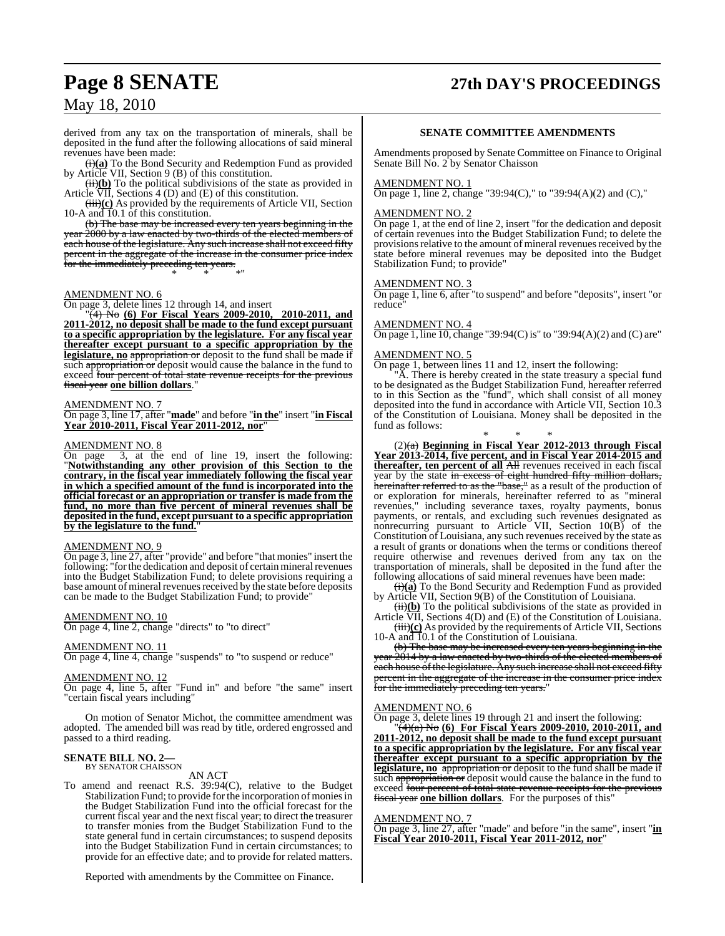# **Page 8 SENATE 27th DAY'S PROCEEDINGS**

## May 18, 2010

derived from any tax on the transportation of minerals, shall be deposited in the fund after the following allocations of said mineral revenues have been made:

(i)**(a)** To the Bond Security and Redemption Fund as provided by Article VII, Section 9 (B) of this constitution.

 $(ii)(b)$  To the political subdivisions of the state as provided in Article  $\overline{VII}$ , Sections 4 (D) and (E) of this constitution.

(iii)**(c)** As provided by the requirements of Article VII, Section 10-A and 10.1 of this constitution.

(b) The base may be increased every ten years beginning in the  $2000$  by a law enacted by two-thirds of the elected members of each house of the legislature. Any such increase shall not exceed fifty percent in the aggregate of the increase in the consumer price index for the immediately preceding ten years.

\* \* \*"

#### AMENDMENT NO. 6

On page 3, delete lines 12 through 14, and insert

"(4) No **(6) For Fiscal Years 2009-2010, 2010-2011, and 2011-2012, no deposit shall be made to the fund except pursuant to a specific appropriation by the legislature. For any fiscal year thereafter except pursuant to a specific appropriation by the legislature, no** appropriation or deposit to the fund shall be made if such appropriation or deposit would cause the balance in the fund to exceed four percent of total state revenue receipts for the previous fiscal year **one billion dollars**."

#### AMENDMENT NO. 7

On page 3, line 17, after "**made**" and before "**in the**" insert "**in Fiscal Year 2010-2011, Fiscal Year 2011-2012, nor**"

# AMENDMENT NO. 8<br>On page 3, at the

 $\overline{3}$ , at the end of line 19, insert the following: "**Notwithstanding any other provision of this Section to the contrary, in the fiscal year immediately following the fiscal year in which a specified amount of the fund is incorporated into the official forecast or an appropriation or transfer is made from the fund, no more than five percent of mineral revenues shall be deposited in the fund, except pursuant to a specific appropriation by the legislature to the fund.**"

#### AMENDMENT NO. 9

On page 3, line 27, after "provide" and before "that monies" insert the following: "for the dedication and deposit of certain mineral revenues into the Budget Stabilization Fund; to delete provisions requiring a base amount of mineral revenues received by the state before deposits can be made to the Budget Stabilization Fund; to provide"

#### AMENDMENT NO. 10

On page 4, line 2, change "directs" to "to direct"

#### AMENDMENT NO. 11

On page 4, line 4, change "suspends" to "to suspend or reduce"

#### AMENDMENT NO. 12

On page 4, line 5, after "Fund in" and before "the same" insert "certain fiscal years including"

On motion of Senator Michot, the committee amendment was adopted. The amended bill was read by title, ordered engrossed and passed to a third reading.

#### **SENATE BILL NO. 2—** BY SENATOR CHAISSON

AN ACT

To amend and reenact R.S. 39:94(C), relative to the Budget Stabilization Fund; to provide for the incorporation of monies in the Budget Stabilization Fund into the official forecast for the current fiscal year and the next fiscal year; to direct the treasurer to transfer monies from the Budget Stabilization Fund to the state general fund in certain circumstances; to suspend deposits into the Budget Stabilization Fund in certain circumstances; to provide for an effective date; and to provide for related matters.

Reported with amendments by the Committee on Finance.

#### **SENATE COMMITTEE AMENDMENTS**

Amendments proposed by Senate Committee on Finance to Original Senate Bill No. 2 by Senator Chaisson

#### AMENDMENT NO. 1

On page 1, line 2, change "39:94(C)," to "39:94(A)(2) and (C),"

#### AMENDMENT NO. 2

On page 1, at the end of line 2, insert "for the dedication and deposit of certain revenues into the Budget Stabilization Fund; to delete the provisions relative to the amount of mineral revenues received by the state before mineral revenues may be deposited into the Budget Stabilization Fund; to provide"

#### AMENDMENT NO. 3

On page 1, line 6, after "to suspend" and before "deposits", insert "or reduce

#### AMENDMENT NO. 4

On page 1, line 10, change "39:94(C) is" to "39:94(A)(2) and (C) are"

#### AMENDMENT NO. 5

On page 1, between lines 11 and 12, insert the following:

"A. There is hereby created in the state treasury a special fund to be designated as the Budget Stabilization Fund, hereafter referred to in this Section as the "fund", which shall consist of all money deposited into the fund in accordance with Article VII, Section 10.3 of the Constitution of Louisiana. Money shall be deposited in the fund as follows:

\* \* \* (2)(a) **Beginning in Fiscal Year 2012-2013 through Fiscal Year 2013-2014, five percent, and in Fiscal Year 2014-2015 and thereafter, ten percent of all** All revenues received in each fiscal year by the state in excess of eight hundred fifty million dollars, hereinafter referred to as the "base," as a result of the production of or exploration for minerals, hereinafter referred to as "mineral revenues," including severance taxes, royalty payments, bonus payments, or rentals, and excluding such revenues designated as nonrecurring pursuant to Article VII, Section 10(B) of the Constitution of Louisiana, any such revenues received by the state as a result of grants or donations when the terms or conditions thereof require otherwise and revenues derived from any tax on the transportation of minerals, shall be deposited in the fund after the following allocations of said mineral revenues have been made:

(i)**(a)** To the Bond Security and Redemption Fund as provided by Article VII, Section 9(B) of the Constitution of Louisiana.

(ii)(b) To the political subdivisions of the state as provided in Article  $\overline{\text{VII}}$ , Sections 4(D) and (E) of the Constitution of Louisiana.

(iii)(c) As provided by the requirements of Article VII, Sections 10-A and 10.1 of the Constitution of Louisiana.

(b) The base may be increased every ten years beginning in the year 2014 by a law enacted by two-thirds of the elected members of each house of the legislature. Any such increase shall not exceed fifty percent in the aggregate of the increase in the consumer price index for the immediately preceding ten years."

#### AMENDMENT NO. 6

On page 3, delete lines 19 through 21 and insert the following:

(4)(a) No <u>(6) For Fiscal Years 2009-2010, 2010-2011</u>, and **2011-2012, no deposit shall be made to the fund except pursuant to a specific appropriation by the legislature. For any fiscal year thereafter except pursuant to a specific appropriation by the legislature, no** appropriation or deposit to the fund shall be made if such appropriation or deposit would cause the balance in the fund to exceed four percent of total state revenue receipts for the previous fiscal year **one billion dollars**. For the purposes of this"

#### AMENDMENT NO. 7

On page 3, line 27, after "made" and before "in the same", insert "**in Fiscal Year 2010-2011, Fiscal Year 2011-2012, nor**"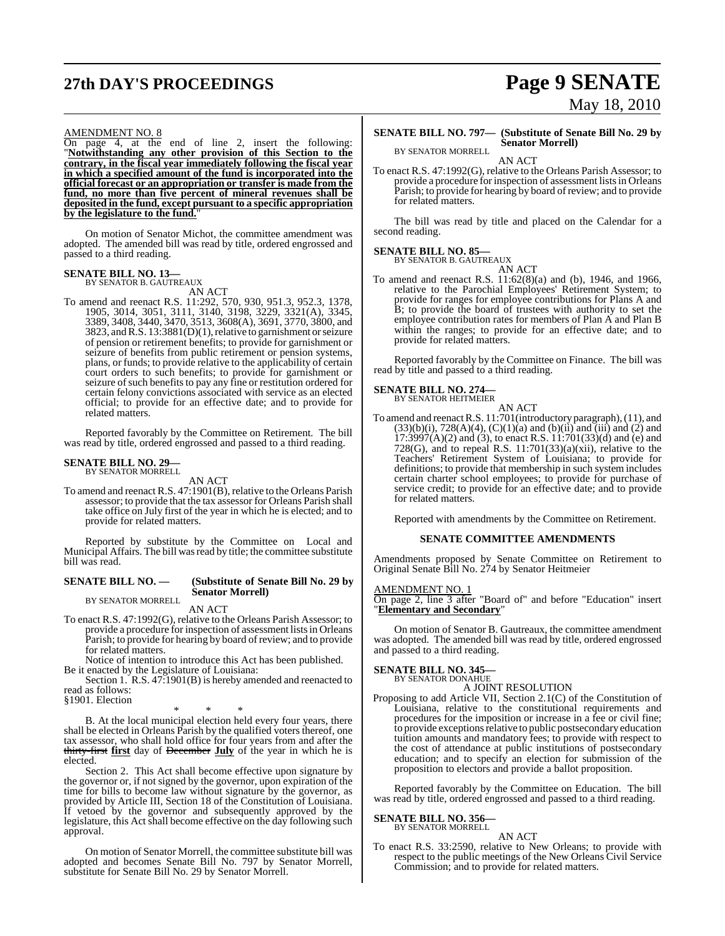# **27th DAY'S PROCEEDINGS Page 9 SENATE**

#### AMENDMENT NO. 8

On page 4, at the end of line 2, insert the following: "**Notwithstanding any other provision of this Section to the contrary, in the fiscal year immediately following the fiscal year in which a specified amount of the fund is incorporated into the official forecast or an appropriation or transfer is made from the fund, no more than five percent of mineral revenues shall be deposited in the fund, except pursuant to a specific appropriation by the legislature to the fund.**"

On motion of Senator Michot, the committee amendment was adopted. The amended bill was read by title, ordered engrossed and passed to a third reading.

#### **SENATE BILL NO. 13—**

BY SENATOR B. GAUTREAUX

AN ACT To amend and reenact R.S. 11:292, 570, 930, 951.3, 952.3, 1378, 1905, 3014, 3051, 3111, 3140, 3198, 3229, 3321(A), 3345, 3389, 3408, 3440, 3470, 3513, 3608(A), 3691, 3770, 3800, and 3823, and R.S. 13:3881(D)(1), relative to garnishment or seizure of pension or retirement benefits; to provide for garnishment or seizure of benefits from public retirement or pension systems, plans, or funds; to provide relative to the applicability of certain court orders to such benefits; to provide for garnishment or seizure of such benefits to pay any fine or restitution ordered for certain felony convictions associated with service as an elected official; to provide for an effective date; and to provide for related matters.

Reported favorably by the Committee on Retirement. The bill was read by title, ordered engrossed and passed to a third reading.

# **SENATE BILL NO. 29—** BY SENATOR MORRELL

AN ACT

To amend and reenact R.S. 47:1901(B), relative to the Orleans Parish assessor; to provide that the tax assessor for Orleans Parish shall take office on July first of the year in which he is elected; and to provide for related matters.

Reported by substitute by the Committee on Local and Municipal Affairs. The bill wasread by title; the committee substitute bill was read.

#### **SENATE BILL NO. — (Substitute of Senate Bill No. 29 by Senator Morrell)** BY SENATOR MORRELL

AN ACT

To enact R.S. 47:1992(G), relative to the Orleans Parish Assessor; to provide a procedure for inspection of assessment listsin Orleans Parish; to provide for hearing by board of review; and to provide for related matters.

Notice of intention to introduce this Act has been published. Be it enacted by the Legislature of Louisiana:

Section 1. R.S. 47:1901(B) is hereby amended and reenacted to read as follows:

§1901. Election

\* \* \*

B. At the local municipal election held every four years, there shall be elected in Orleans Parish by the qualified voters thereof, one tax assessor, who shall hold office for four years from and after the thirty-first **first** day of December **July** of the year in which he is elected.

Section 2. This Act shall become effective upon signature by the governor or, if not signed by the governor, upon expiration of the time for bills to become law without signature by the governor, as provided by Article III, Section 18 of the Constitution of Louisiana. If vetoed by the governor and subsequently approved by the legislature, this Act shall become effective on the day following such approval.

On motion of Senator Morrell, the committee substitute bill was adopted and becomes Senate Bill No. 797 by Senator Morrell, substitute for Senate Bill No. 29 by Senator Morrell.

# May 18, 2010

#### **SENATE BILL NO. 797— (Substitute of Senate Bill No. 29 by Senator Morrell)** BY SENATOR MORRELL

AN ACT

To enact R.S. 47:1992(G), relative to the Orleans Parish Assessor; to provide a procedure for inspection of assessment lists in Orleans Parish; to provide for hearing by board of review; and to provide for related matters.

The bill was read by title and placed on the Calendar for a second reading.

#### **SENATE BILL NO. 85—**

BY SENATOR B. GAUTREAUX

AN ACT

To amend and reenact R.S. 11:62(8)(a) and (b), 1946, and 1966, relative to the Parochial Employees' Retirement System; to provide for ranges for employee contributions for Plans A and B; to provide the board of trustees with authority to set the employee contribution rates for members of Plan A and Plan B within the ranges; to provide for an effective date; and to provide for related matters.

Reported favorably by the Committee on Finance. The bill was read by title and passed to a third reading.

#### **SENATE BILL NO. 274—** BY SENATOR HEITMEIER

AN ACT

To amend and reenactR.S. 11:701(introductory paragraph),(11), and  $(33)(b)(i)$ ,  $728(A)(4)$ ,  $(C)(1)(a)$  and  $(b)(ii)$  and  $(iii)$  and  $(2)$  and  $17:3997(A)(2)$  and (3), to enact R.S.  $11:701(33)(d)$  and (e) and 728(G), and to repeal R.S.  $11:701(33)(a)(xii)$ , relative to the Teachers' Retirement System of Louisiana; to provide for definitions; to provide that membership in such system includes certain charter school employees; to provide for purchase of service credit; to provide for an effective date; and to provide for related matters.

Reported with amendments by the Committee on Retirement.

#### **SENATE COMMITTEE AMENDMENTS**

Amendments proposed by Senate Committee on Retirement to Original Senate Bill No. 274 by Senator Heitmeier

#### AMENDMENT NO. 1

On page 2, line 3 after "Board of" and before "Education" insert "**Elementary and Secondary**"

On motion of Senator B. Gautreaux, the committee amendment was adopted. The amended bill was read by title, ordered engrossed and passed to a third reading.

# **SENATE BILL NO. 345—** BY SENATOR DONAHUE

A JOINT RESOLUTION

Proposing to add Article VII, Section 2.1(C) of the Constitution of Louisiana, relative to the constitutional requirements and procedures for the imposition or increase in a fee or civil fine; to provide exceptions relative to public postsecondary education tuition amounts and mandatory fees; to provide with respect to the cost of attendance at public institutions of postsecondary education; and to specify an election for submission of the proposition to electors and provide a ballot proposition.

Reported favorably by the Committee on Education. The bill was read by title, ordered engrossed and passed to a third reading.

# **SENATE BILL NO. 356—** BY SENATOR MORRELL

### AN ACT

To enact R.S. 33:2590, relative to New Orleans; to provide with respect to the public meetings of the New Orleans Civil Service Commission; and to provide for related matters.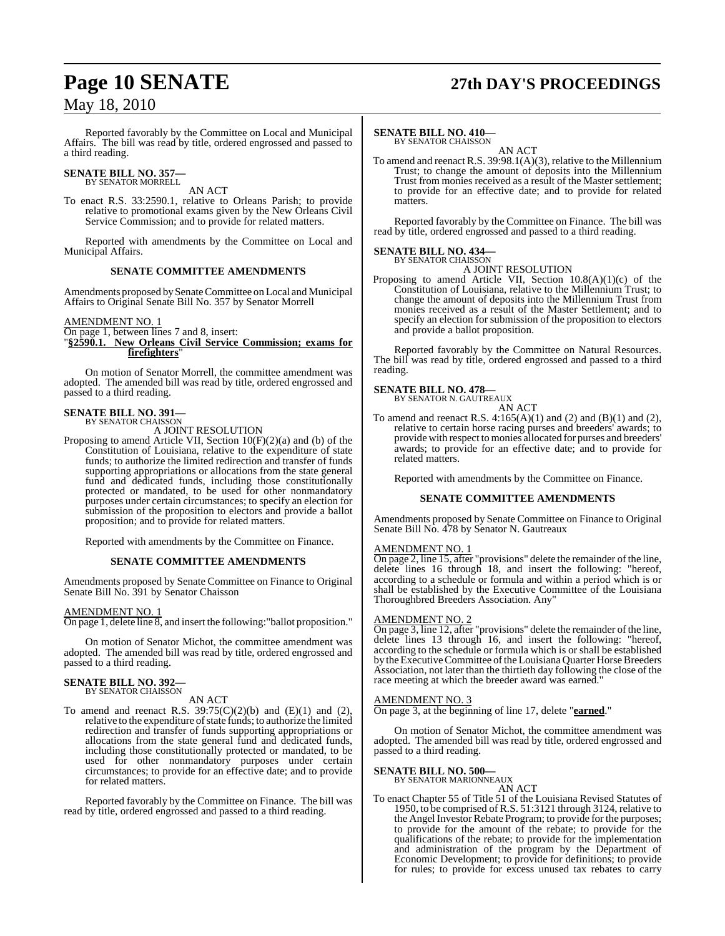# **Page 10 SENATE 27th DAY'S PROCEEDINGS**

## May 18, 2010

Reported favorably by the Committee on Local and Municipal Affairs. The bill was read by title, ordered engrossed and passed to a third reading.

# **SENATE BILL NO. 357—** BY SENATOR MORRELL

AN ACT

To enact R.S. 33:2590.1, relative to Orleans Parish; to provide relative to promotional exams given by the New Orleans Civil Service Commission; and to provide for related matters.

Reported with amendments by the Committee on Local and Municipal Affairs.

#### **SENATE COMMITTEE AMENDMENTS**

Amendments proposed by Senate Committee on Local and Municipal Affairs to Original Senate Bill No. 357 by Senator Morrell

AMENDMENT NO. 1

On page 1, between lines 7 and 8, insert: "**§2590.1. New Orleans Civil Service Commission; exams for firefighters**"

On motion of Senator Morrell, the committee amendment was adopted. The amended bill was read by title, ordered engrossed and passed to a third reading.

# **SENATE BILL NO. 391—** BY SENATOR CHAISSON

A JOINT RESOLUTION

Proposing to amend Article VII, Section 10(F)(2)(a) and (b) of the Constitution of Louisiana, relative to the expenditure of state funds; to authorize the limited redirection and transfer of funds supporting appropriations or allocations from the state general fund and dedicated funds, including those constitutionally protected or mandated, to be used for other nonmandatory purposes under certain circumstances; to specify an election for submission of the proposition to electors and provide a ballot proposition; and to provide for related matters.

Reported with amendments by the Committee on Finance.

#### **SENATE COMMITTEE AMENDMENTS**

Amendments proposed by Senate Committee on Finance to Original Senate Bill No. 391 by Senator Chaisson

AMENDMENT NO. 1

On page 1, delete line 8, and insert the following:"ballot proposition."

On motion of Senator Michot, the committee amendment was adopted. The amended bill was read by title, ordered engrossed and passed to a third reading.

#### **SENATE BILL NO. 392—** BY SENATOR CHAISSON

AN ACT

To amend and reenact R.S.  $39:75(C)(2)(b)$  and  $(E)(1)$  and  $(2)$ , relative to the expenditure of state funds; to authorize the limited redirection and transfer of funds supporting appropriations or allocations from the state general fund and dedicated funds, including those constitutionally protected or mandated, to be used for other nonmandatory purposes under certain circumstances; to provide for an effective date; and to provide for related matters.

Reported favorably by the Committee on Finance. The bill was read by title, ordered engrossed and passed to a third reading.

#### **SENATE BILL NO. 410—**

BY SENATOR CHAISSON

AN ACT To amend and reenact R.S. 39:98.1(A)(3), relative to the Millennium Trust; to change the amount of deposits into the Millennium Trust from monies received as a result of the Master settlement; to provide for an effective date; and to provide for related matters.

Reported favorably by the Committee on Finance. The bill was read by title, ordered engrossed and passed to a third reading.

#### **SENATE BILL NO. 434—**

BY SENATOR CHAISSON A JOINT RESOLUTION

Proposing to amend Article VII, Section 10.8(A)(1)(c) of the Constitution of Louisiana, relative to the Millennium Trust; to change the amount of deposits into the Millennium Trust from monies received as a result of the Master Settlement; and to specify an election for submission of the proposition to electors and provide a ballot proposition.

Reported favorably by the Committee on Natural Resources. The bill was read by title, ordered engrossed and passed to a third reading.

#### **SENATE BILL NO. 478—**

BY SENATOR N. GAUTREAUX AN ACT

To amend and reenact R.S.  $4:165(A)(1)$  and  $(2)$  and  $(B)(1)$  and  $(2)$ , relative to certain horse racing purses and breeders' awards; to provide with respect to monies allocated for purses and breeders' awards; to provide for an effective date; and to provide for related matters.

Reported with amendments by the Committee on Finance.

#### **SENATE COMMITTEE AMENDMENTS**

Amendments proposed by Senate Committee on Finance to Original Senate Bill No. 478 by Senator N. Gautreaux

#### AMENDMENT NO. 1

 $\overline{\text{On page 2, line 15, after "provisions" delete the remainder of the line, }$ delete lines 16 through 18, and insert the following: "hereof, according to a schedule or formula and within a period which is or shall be established by the Executive Committee of the Louisiana Thoroughbred Breeders Association. Any"

#### AMENDMENT NO. 2

On page 3, line  $12$ , after "provisions" delete the remainder of the line, delete lines 13 through 16, and insert the following: "hereof, according to the schedule or formula which is or shall be established by the Executive Committee of the Louisiana Quarter Horse Breeders Association, not later than the thirtieth day following the close of the race meeting at which the breeder award was earned."

#### AMENDMENT NO. 3

On page 3, at the beginning of line 17, delete "**earned**."

On motion of Senator Michot, the committee amendment was adopted. The amended bill was read by title, ordered engrossed and passed to a third reading.

#### **SENATE BILL NO. 500—** BY SENATOR MARIONNEAUX

AN ACT

To enact Chapter 55 of Title 51 of the Louisiana Revised Statutes of 1950, to be comprised of R.S. 51:3121 through 3124, relative to the Angel Investor Rebate Program; to provide for the purposes; to provide for the amount of the rebate; to provide for the qualifications of the rebate; to provide for the implementation and administration of the program by the Department of Economic Development; to provide for definitions; to provide for rules; to provide for excess unused tax rebates to carry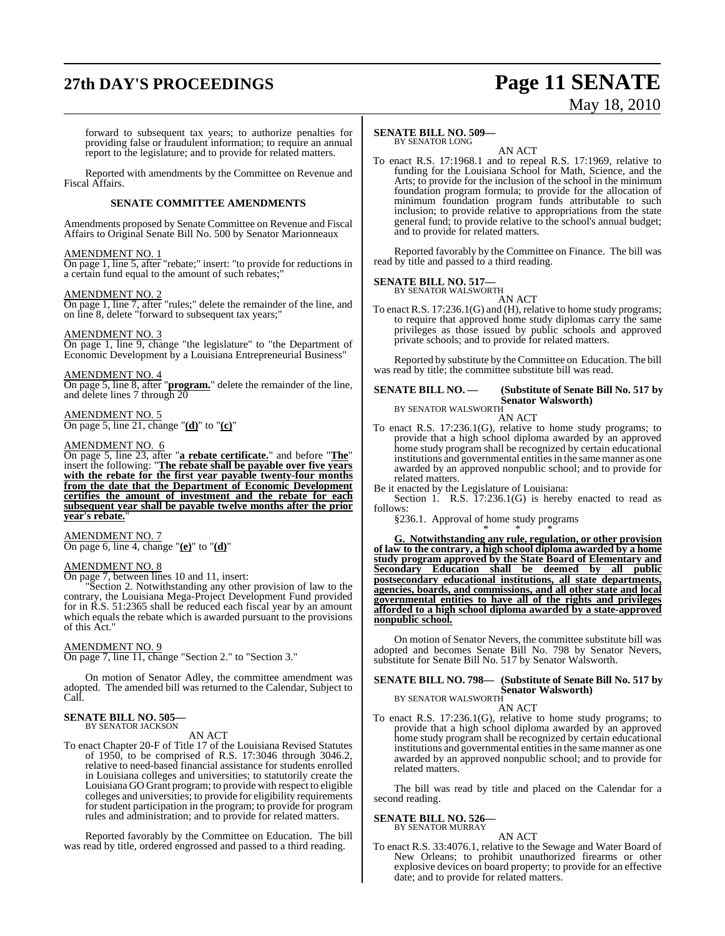# **27th DAY'S PROCEEDINGS Page 11 SENATE**

# May 18, 2010

forward to subsequent tax years; to authorize penalties for providing false or fraudulent information; to require an annual report to the legislature; and to provide for related matters.

Reported with amendments by the Committee on Revenue and Fiscal Affairs.

#### **SENATE COMMITTEE AMENDMENTS**

Amendments proposed by Senate Committee on Revenue and Fiscal Affairs to Original Senate Bill No. 500 by Senator Marionneaux

#### AMENDMENT NO. 1

On page 1, line 5, after "rebate;" insert: "to provide for reductions in a certain fund equal to the amount of such rebates;"

#### AMENDMENT NO. 2

On page 1, line 7, after "rules;" delete the remainder of the line, and on line 8, delete "forward to subsequent tax years;"

#### AMENDMENT NO. 3

On page 1, line 9, change "the legislature" to "the Department of Economic Development by a Louisiana Entrepreneurial Business"

#### AMENDMENT NO. 4

On page 5, line 8, after "**program.**" delete the remainder of the line, and delete lines 7 through 20

#### AMENDMENT NO. 5

On page 5, line 21, change "**(d)**" to "**(c)**"

#### AMENDMENT NO. 6

On page 5, line 23, after "**a rebate certificate.**" and before "**The**" insert the following: "**The rebate shall be payable over five years with the rebate for the first year payable twenty-four months from the date that the Department of Economic Development certifies the amount of investment and the rebate for each subsequent year shall be payable twelve months after the prior year's rebate.** 

#### AMENDMENT NO. 7

On page 6, line 4, change "**(e)**" to "**(d)**"

#### AMENDMENT NO. 8

On page 7, between lines 10 and 11, insert:

"Section 2. Notwithstanding any other provision of law to the contrary, the Louisiana Mega-Project Development Fund provided for in R.S. 51:2365 shall be reduced each fiscal year by an amount which equals the rebate which is awarded pursuant to the provisions of this Act."

#### AMENDMENT NO. 9

On page 7, line 11, change "Section 2." to "Section 3."

On motion of Senator Adley, the committee amendment was adopted. The amended bill was returned to the Calendar, Subject to Call.

#### **SENATE BILL NO. 505—** BY SENATOR JACKSON

AN ACT

To enact Chapter 20-F of Title 17 of the Louisiana Revised Statutes of 1950, to be comprised of R.S. 17:3046 through 3046.2, relative to need-based financial assistance for students enrolled in Louisiana colleges and universities; to statutorily create the Louisiana GO Grant program; to provide with respect to eligible colleges and universities; to provide for eligibility requirements for student participation in the program; to provide for program rules and administration; and to provide for related matters.

Reported favorably by the Committee on Education. The bill was read by title, ordered engrossed and passed to a third reading.

#### **SENATE BILL NO. 509—**

BY SENATOR LONG

AN ACT To enact R.S. 17:1968.1 and to repeal R.S. 17:1969, relative to funding for the Louisiana School for Math, Science, and the Arts; to provide for the inclusion of the school in the minimum foundation program formula; to provide for the allocation of minimum foundation program funds attributable to such inclusion; to provide relative to appropriations from the state general fund; to provide relative to the school's annual budget; and to provide for related matters.

Reported favorably by the Committee on Finance. The bill was read by title and passed to a third reading.

# **SENATE BILL NO. 517—** BY SENATOR WALSWORTH

AN ACT

To enact R.S. 17:236.1(G) and (H), relative to home study programs; to require that approved home study diplomas carry the same privileges as those issued by public schools and approved private schools; and to provide for related matters.

Reported by substitute by the Committee on Education. The bill was read by title; the committee substitute bill was read.

# **SENATE BILL NO. — (Substitute of Senate Bill No. 517 by Senator Walsworth)**<br>BY SENATOR WALSWORTH<br>AN ACT

To enact R.S. 17:236.1(G), relative to home study programs; to provide that a high school diploma awarded by an approved home study program shall be recognized by certain educational institutions and governmental entities in the same manner as one awarded by an approved nonpublic school; and to provide for related matters.

Be it enacted by the Legislature of Louisiana:

Section 1. R.S. 17:236.1(G) is hereby enacted to read as follows:

§236.1. Approval of home study programs \* \* \*

**G. Notwithstanding any rule, regulation, or other provision of law to the contrary, a high school diploma awarded by a home study program approved by the State Board of Elementary and Secondary Education shall be deemed by all public postsecondary educational institutions, all state departments, agencies, boards, and commissions, and all other state and local governmental entities to have all of the rights and privileges afforded to a high school diploma awarded by a state-approved nonpublic school.**

On motion of Senator Nevers, the committee substitute bill was adopted and becomes Senate Bill No. 798 by Senator Nevers, substitute for Senate Bill No. 517 by Senator Walsworth.

**SENATE BILL NO. 798— (Substitute of Senate Bill No. 517 by Senator Walsworth)** BY SENATOR WALSWORTH

AN ACT

To enact R.S. 17:236.1(G), relative to home study programs; to provide that a high school diploma awarded by an approved home study program shall be recognized by certain educational institutions and governmental entities in the same manner as one awarded by an approved nonpublic school; and to provide for related matters.

The bill was read by title and placed on the Calendar for a second reading.

# **SENATE BILL NO. 526—** BY SENATOR MURRAY

AN ACT

To enact R.S. 33:4076.1, relative to the Sewage and Water Board of New Orleans; to prohibit unauthorized firearms or other explosive devices on board property; to provide for an effective date; and to provide for related matters.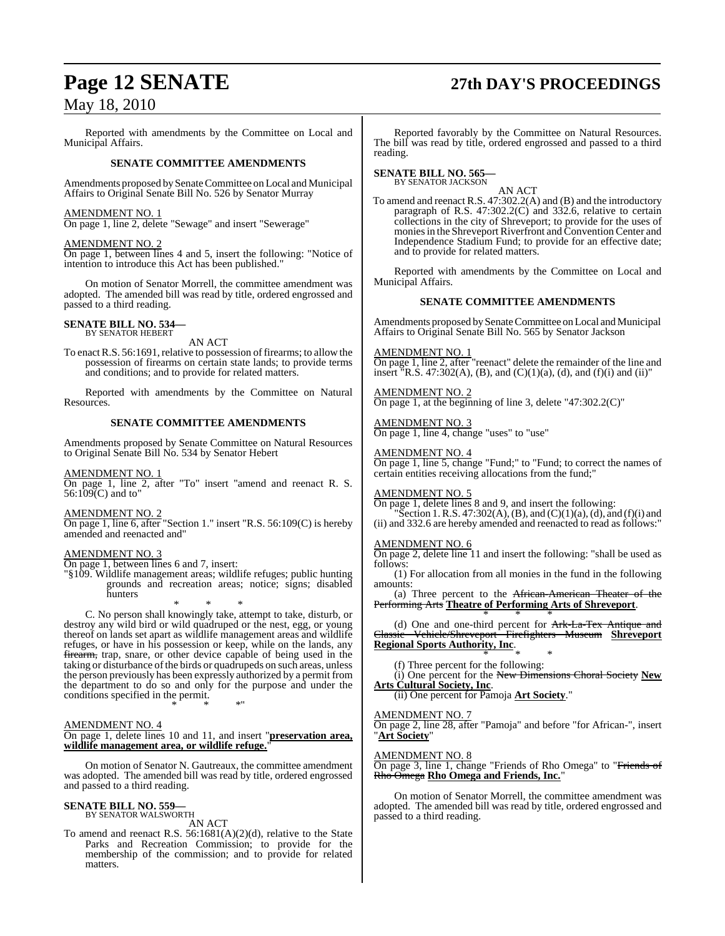# **Page 12 SENATE 27th DAY'S PROCEEDINGS**

## May 18, 2010

Reported with amendments by the Committee on Local and Municipal Affairs.

#### **SENATE COMMITTEE AMENDMENTS**

Amendments proposed by Senate Committee on Local and Municipal Affairs to Original Senate Bill No. 526 by Senator Murray

## AMENDMENT NO. 1

On page 1, line 2, delete "Sewage" and insert "Sewerage"

#### AMENDMENT NO. 2

On page 1, between lines 4 and 5, insert the following: "Notice of intention to introduce this Act has been published."

On motion of Senator Morrell, the committee amendment was adopted. The amended bill was read by title, ordered engrossed and passed to a third reading.

#### **SENATE BILL NO. 534—** BY SENATOR HEBERT

AN ACT

To enact R.S. 56:1691, relative to possession of firearms; to allow the possession of firearms on certain state lands; to provide terms and conditions; and to provide for related matters.

Reported with amendments by the Committee on Natural Resources.

#### **SENATE COMMITTEE AMENDMENTS**

Amendments proposed by Senate Committee on Natural Resources to Original Senate Bill No. 534 by Senator Hebert

AMENDMENT NO. 1

On page 1, line 2, after "To" insert "amend and reenact R. S. 56:109(C) and to"

AMENDMENT NO. 2

On page 1, line 6, after "Section 1." insert "R.S. 56:109(C) is hereby amended and reenacted and"

#### AMENDMENT NO. 3

On page 1, between lines 6 and 7, insert:

"§109. Wildlife management areas; wildlife refuges; public hunting grounds and recreation areas; notice; signs; disabled hunters

\* \* \* C. No person shall knowingly take, attempt to take, disturb, or destroy any wild bird or wild quadruped or the nest, egg, or young thereof on lands set apart as wildlife management areas and wildlife refuges, or have in his possession or keep, while on the lands, any firearm, trap, snare, or other device capable of being used in the taking or disturbance of the birds or quadrupeds on such areas, unless the person previously has been expressly authorized by a permit from the department to do so and only for the purpose and under the conditions specified in the permit. \* \* \*"

#### AMENDMENT NO. 4

On page 1, delete lines 10 and 11, and insert "**preservation area, wildlife management area, or wildlife refuge.**"

On motion of Senator N. Gautreaux, the committee amendment was adopted. The amended bill was read by title, ordered engrossed and passed to a third reading.

#### **SENATE BILL NO. 559—** BY SENATOR WALSWORTH

AN ACT

To amend and reenact R.S. 56:1681(A)(2)(d), relative to the State Parks and Recreation Commission; to provide for the membership of the commission; and to provide for related matters.

Reported favorably by the Committee on Natural Resources. The bill was read by title, ordered engrossed and passed to a third reading.

# **SENATE BILL NO. 565—** BY SENATOR JACKSON

AN ACT

To amend and reenact R.S. 47:302.2(A) and (B) and the introductory paragraph of R.S.  $47:302.2(C)$  and  $332.6$ , relative to certain collections in the city of Shreveport; to provide for the uses of moniesin the Shreveport Riverfront and Convention Center and Independence Stadium Fund; to provide for an effective date; and to provide for related matters.

Reported with amendments by the Committee on Local and Municipal Affairs.

#### **SENATE COMMITTEE AMENDMENTS**

Amendments proposed by Senate Committee on Local and Municipal Affairs to Original Senate Bill No. 565 by Senator Jackson

AMENDMENT NO. 1

On page 1, line 2, after "reenact" delete the remainder of the line and insert  $\overline{R}$ .S. 47:302(A), (B), and (C)(1)(a), (d), and (f)(i) and (ii)"

AMENDMENT NO. 2 On page 1, at the beginning of line 3, delete "47:302.2(C)"

AMENDMENT NO. 3 On page 1, line 4, change "uses" to "use"

#### AMENDMENT NO. 4

On page 1, line 5, change "Fund;" to "Fund; to correct the names of certain entities receiving allocations from the fund;"

#### AMENDMENT NO. 5

On page 1, delete lines 8 and 9, and insert the following: "Section 1. R.S. 47:302(A), (B), and (C)(1)(a), (d), and (f)(i) and

(ii) and 332.6 are hereby amended and reenacted to read as follows:"

#### AMENDMENT NO. 6

On page 2, delete line 11 and insert the following: "shall be used as follows:

(1) For allocation from all monies in the fund in the following amounts:

(a) Three percent to the African-American Theater of the Performing Arts **Theatre of Performing Arts of Shreveport**.

\* \* \* (d) One and one-third percent for Ark-La-Tex Antique and Classic Vehicle/Shreveport Firefighters Museum **Shreveport Regional Sports Authority, Inc**.

\* \* \* (f) Three percent for the following:

(i) One percent for the New Dimensions Choral Society **New Arts Cultural Society, Inc**.

(ii) One percent for Pamoja **Art Society**."

#### AMENDMENT NO. 7

On page 2, line 28, after "Pamoja" and before "for African-", insert "**Art Society**"

#### AMENDMENT NO. 8

On page 3, line 1, change "Friends of Rho Omega" to "Friends of Rho Omega **Rho Omega and Friends, Inc.**"

On motion of Senator Morrell, the committee amendment was adopted. The amended bill was read by title, ordered engrossed and passed to a third reading.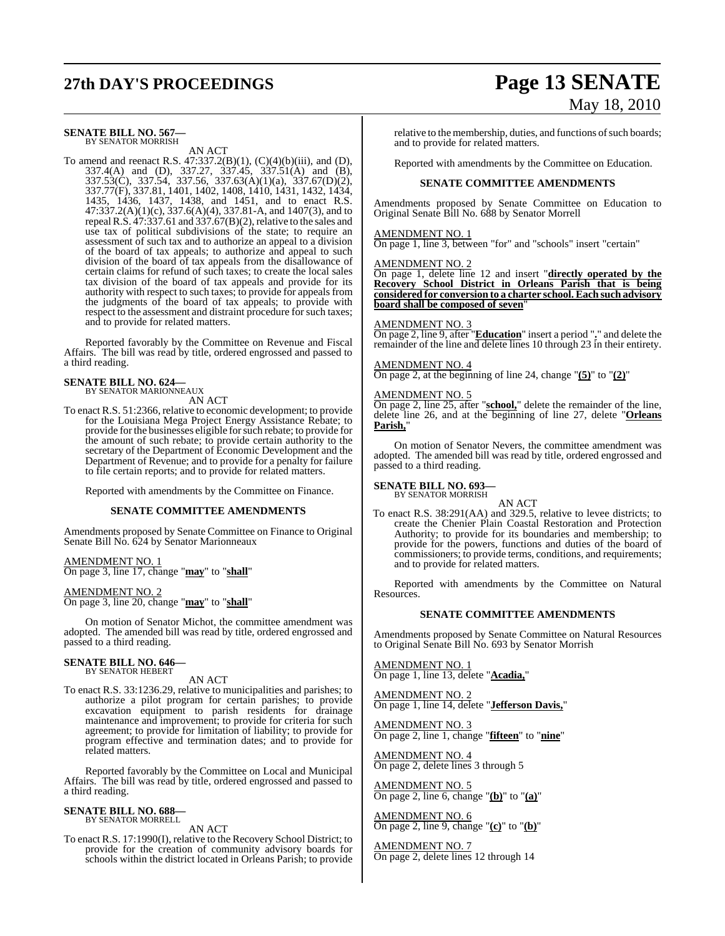# **27th DAY'S PROCEEDINGS Page 13 SENATE**

# May 18, 2010

#### **SENATE BILL NO. 567—** BY SENATOR MORRISH

AN ACT

To amend and reenact R.S. 47:337.2(B)(1), (C)(4)(b)(iii), and (D), 337.4(A) and (D), 337.27, 337.45, 337.51(A) and (B), 337.53(C), 337.54, 337.56, 337.63(A)(1)(a), 337.67(D)(2), 337.77(F), 337.81, 1401, 1402, 1408, 1410, 1431, 1432, 1434, 1435, 1436, 1437, 1438, and 1451, and to enact R.S. 47:337.2(A)(1)(c), 337.6(A)(4), 337.81-A, and 1407(3), and to repeal R.S.  $47:337.61$  and  $337.67(B)(2)$ , relative to the sales and use tax of political subdivisions of the state; to require an assessment of such tax and to authorize an appeal to a division of the board of tax appeals; to authorize and appeal to such division of the board of tax appeals from the disallowance of certain claims for refund of such taxes; to create the local sales tax division of the board of tax appeals and provide for its authority with respect to such taxes; to provide for appeals from the judgments of the board of tax appeals; to provide with respect to the assessment and distraint procedure for such taxes; and to provide for related matters.

Reported favorably by the Committee on Revenue and Fiscal Affairs. The bill was read by title, ordered engrossed and passed to a third reading.

# **SENATE BILL NO. 624—** BY SENATOR MARIONNEAUX

AN ACT

To enact R.S. 51:2366, relative to economic development; to provide for the Louisiana Mega Project Energy Assistance Rebate; to provide for the businesses eligible for such rebate; to provide for the amount of such rebate; to provide certain authority to the secretary of the Department of Economic Development and the Department of Revenue; and to provide for a penalty for failure to file certain reports; and to provide for related matters.

Reported with amendments by the Committee on Finance.

#### **SENATE COMMITTEE AMENDMENTS**

Amendments proposed by Senate Committee on Finance to Original Senate Bill No. 624 by Senator Marionneaux

AMENDMENT NO. 1 On page 3, line 17, change "**may**" to "**shall**"

AMENDMENT NO. 2 On page 3, line 20, change "**may**" to "**shall**"

On motion of Senator Michot, the committee amendment was adopted. The amended bill was read by title, ordered engrossed and passed to a third reading.

# **SENATE BILL NO. 646—** BY SENATOR HEBERT

AN ACT

To enact R.S. 33:1236.29, relative to municipalities and parishes; to authorize a pilot program for certain parishes; to provide excavation equipment to parish residents for drainage maintenance and improvement; to provide for criteria for such agreement; to provide for limitation of liability; to provide for program effective and termination dates; and to provide for related matters.

Reported favorably by the Committee on Local and Municipal Affairs. The bill was read by title, ordered engrossed and passed to a third reading.

### **SENATE BILL NO. 688**

BY SENATOR MORRELL

AN ACT

To enact R.S. 17:1990(I), relative to the Recovery School District; to provide for the creation of community advisory boards for schools within the district located in Orleans Parish; to provide relative to the membership, duties, and functions of such boards; and to provide for related matters.

Reported with amendments by the Committee on Education.

#### **SENATE COMMITTEE AMENDMENTS**

Amendments proposed by Senate Committee on Education to Original Senate Bill No. 688 by Senator Morrell

#### AMENDMENT NO. 1

On page 1, line 3, between "for" and "schools" insert "certain"

#### AMENDMENT NO. 2

On page 1, delete line 12 and insert "**directly operated by the Recovery School District in Orleans Parish that is being considered for conversion to a charter school. Each such advisory board shall be composed of seven**"

#### AMENDMENT NO. 3

On page 2, line 9, after "**Education**" insert a period "**.**" and delete the remainder of the line and delete lines 10 through 23 in their entirety.

#### AMENDMENT NO. 4

On page 2, at the beginning of line 24, change "**(5)**" to "**(2)**"

#### AMENDMENT NO. 5

On page 2, line 25, after "**school,**" delete the remainder of the line, delete line 26, and at the beginning of line 27, delete "**Orleans Parish,**"

On motion of Senator Nevers, the committee amendment was adopted. The amended bill was read by title, ordered engrossed and passed to a third reading.

#### **SENATE BILL NO. 693—**

BY SENATOR MORRISH

AN ACT To enact R.S. 38:291(AA) and 329.5, relative to levee districts; to create the Chenier Plain Coastal Restoration and Protection Authority; to provide for its boundaries and membership; to provide for the powers, functions and duties of the board of commissioners; to provide terms, conditions, and requirements; and to provide for related matters.

Reported with amendments by the Committee on Natural Resources.

#### **SENATE COMMITTEE AMENDMENTS**

Amendments proposed by Senate Committee on Natural Resources to Original Senate Bill No. 693 by Senator Morrish

AMENDMENT NO. 1 On page 1, line 13, delete "**Acadia,**"

AMENDMENT NO. 2 On page 1, line 14, delete "**Jefferson Davis,**"

AMENDMENT NO. 3 On page 2, line 1, change "**fifteen**" to "**nine**"

AMENDMENT NO. 4 On page 2, delete lines 3 through 5

AMENDMENT NO. 5 On page 2, line 6, change "**(b)**" to "**(a)**"

AMENDMENT NO. 6 On page 2, line 9, change "**(c)**" to "**(b)**"

AMENDMENT NO. 7 On page 2, delete lines 12 through 14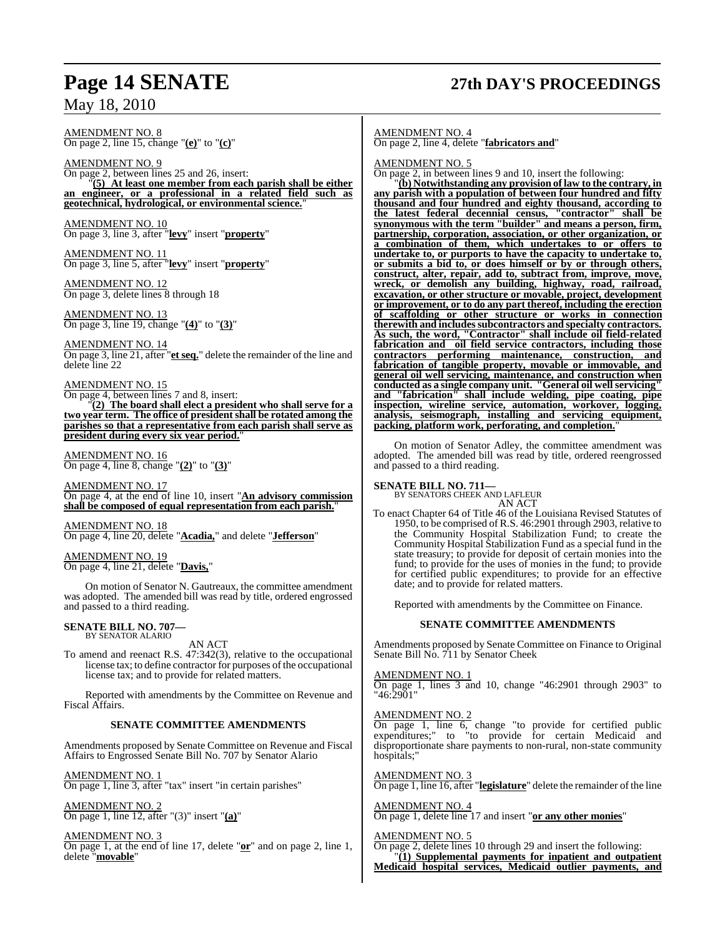AMENDMENT NO. 8 On page 2, line 15, change "**(e)**" to "**(c)**"

AMENDMENT NO. 9 On page 2, between lines 25 and 26, insert: "**(5) At least one member from each parish shall be either an engineer, or a professional in a related field such as geotechnical, hydrological, or environmental science.**"

AMENDMENT NO. 10 On page 3, line 3, after "**levy**" insert "**property**"

AMENDMENT NO. 11 On page 3, line 5, after "**levy**" insert "**property**"

AMENDMENT NO. 12 On page 3, delete lines 8 through 18

AMENDMENT NO. 13 On page 3, line 19, change "**(4)**" to "**(3)**"

AMENDMENT NO. 14 On page 3, line 21, after "**et seq.**" delete the remainder of the line and delete line 22

AMENDMENT NO. 15 On page 4, between lines 7 and 8, insert: "**(2) The board shall elect a president who shall serve for a two year term. The office of president shall be rotated among the parishes so that a representative from each parish shall serve as president during every six year period.**"

AMENDMENT NO. 16 On page 4, line 8, change "**(2)**" to "**(3)**"

AMENDMENT NO. 17 On page 4, at the end of line 10, insert "**An advisory commission shall be composed of equal representation from each parish.**"

AMENDMENT NO. 18 On page 4, line 20, delete "**Acadia,**" and delete "**Jefferson**"

AMENDMENT NO. 19 On page 4, line 21, delete "**Davis,**"

On motion of Senator N. Gautreaux, the committee amendment was adopted. The amended bill was read by title, ordered engrossed and passed to a third reading.

#### **SENATE BILL NO. 707—** BY SENATOR ALARIO

AN ACT

To amend and reenact R.S. 47:342(3), relative to the occupational license tax; to define contractor for purposes of the occupational license tax; and to provide for related matters.

Reported with amendments by the Committee on Revenue and Fiscal Affairs.

#### **SENATE COMMITTEE AMENDMENTS**

Amendments proposed by Senate Committee on Revenue and Fiscal Affairs to Engrossed Senate Bill No. 707 by Senator Alario

AMENDMENT NO. 1 On page 1, line 3, after "tax" insert "in certain parishes"

AMENDMENT NO. 2 On page 1, line 12, after "(3)" insert "**(a)**"

AMENDMENT NO. 3 On page 1, at the end of line 17, delete "**or**" and on page 2, line 1, delete "**movable**"

AMENDMENT NO. 4 On page 2, line 4, delete "**fabricators and**"

AMENDMENT NO. 5

On page 2, in between lines 9 and 10, insert the following:

"**(b) Notwithstanding any provision of law to the contrary, in any parish with a population of between four hundred and fifty thousand and four hundred and eighty thousand, according to the latest federal decennial census, "contractor" shall be synonymous with the term "builder" and means a person, firm, partnership, corporation, association, or other organization, or a combination of them, which undertakes to or offers to undertake to, or purports to have the capacity to undertake to, or submits a bid to, or does himself or by or through others, construct, alter, repair, add to, subtract from, improve, move, wreck, or demolish any building, highway, road, railroad, excavation, or other structure or movable, project, development or improvement, or to do any part thereof, including the erection of scaffolding or other structure or works in connection therewith and includessubcontractors and specialty contractors. As such, the word, "Contractor" shall include oil field-related fabrication and oil field service contractors, including those contractors performing maintenance, construction, and fabrication of tangible property, movable or immovable, and general oil well servicing, maintenance, and construction when conducted as a single company unit. "General oil well servicing" and "fabrication" shall include welding, pipe coating, pipe inspection, wireline service, automation, workover, logging, analysis, seismograph, installing and servicing equipment, packing, platform work, perforating, and completion.**"

On motion of Senator Adley, the committee amendment was adopted. The amended bill was read by title, ordered reengrossed and passed to a third reading.

#### **SENATE BILL NO. 711—**

BY SENATORS CHEEK AND LAFLEUR AN ACT

To enact Chapter 64 of Title 46 of the Louisiana Revised Statutes of 1950, to be comprised of R.S. 46:2901 through 2903, relative to the Community Hospital Stabilization Fund; to create the Community Hospital Stabilization Fund as a special fund in the state treasury; to provide for deposit of certain monies into the fund; to provide for the uses of monies in the fund; to provide for certified public expenditures; to provide for an effective date; and to provide for related matters.

Reported with amendments by the Committee on Finance.

#### **SENATE COMMITTEE AMENDMENTS**

Amendments proposed by Senate Committee on Finance to Original Senate Bill No. 711 by Senator Cheek

#### AMENDMENT NO. 1

On page 1, lines 3 and 10, change "46:2901 through 2903" to "46:2901"

#### AMENDMENT NO. 2

On page 1, line 6, change "to provide for certified public expenditures;" to "to provide for certain Medicaid and disproportionate share payments to non-rural, non-state community hospitals;"

AMENDMENT NO. 3 On page 1, line 16, after "**legislature**" delete the remainder of the line

AMENDMENT NO. 4 On page 1, delete line 17 and insert "**or any other monies**"

#### AMENDMENT NO. 5

On page 2, delete lines 10 through 29 and insert the following: "**(1) Supplemental payments for inpatient and outpatient Medicaid hospital services, Medicaid outlier payments, and**

# **Page 14 SENATE 27th DAY'S PROCEEDINGS**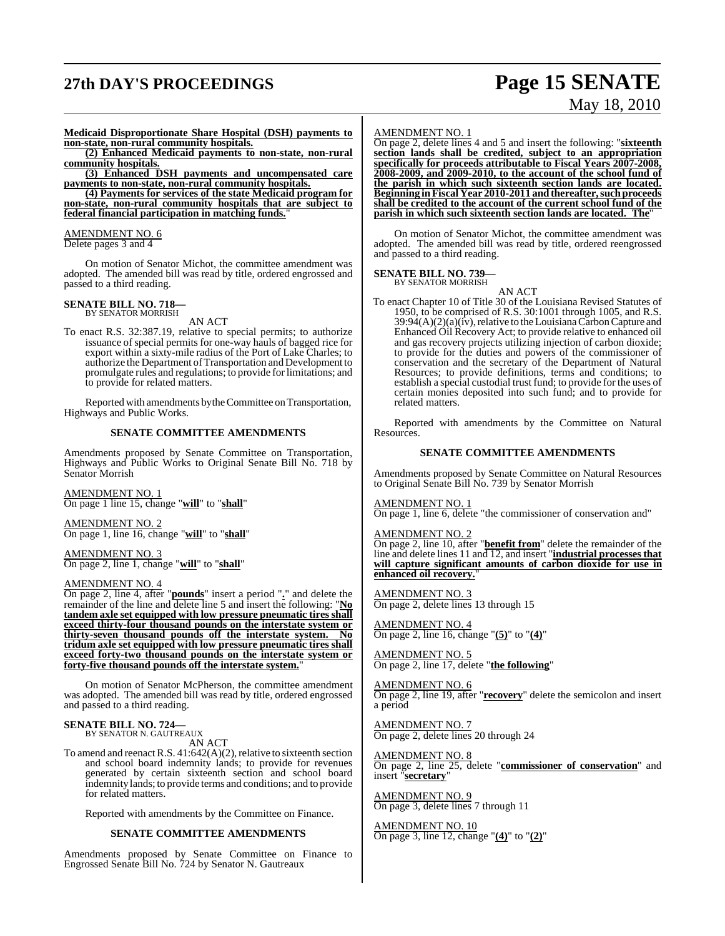# **27th DAY'S PROCEEDINGS Page 15 SENATE**

# May 18, 2010

**Medicaid Disproportionate Share Hospital (DSH) payments to non-state, non-rural community hospitals.**

**(2) Enhanced Medicaid payments to non-state, non-rural community hospitals.**

**(3) Enhanced DSH payments and uncompensated care payments to non-state, non-rural community hospitals.**

**(4) Payments for services of the state Medicaid program for non-state, non-rural community hospitals that are subject to federal financial participation in matching funds.**"

#### AMENDMENT NO. 6 Delete pages 3 and 4

On motion of Senator Michot, the committee amendment was adopted. The amended bill was read by title, ordered engrossed and passed to a third reading.

# **SENATE BILL NO. 718—** BY SENATOR MORRISH

AN ACT

To enact R.S. 32:387.19, relative to special permits; to authorize issuance of special permits for one-way hauls of bagged rice for export within a sixty-mile radius of the Port of Lake Charles; to authorize the Department ofTransportation and Development to promulgate rules and regulations; to provide for limitations; and to provide for related matters.

Reported with amendments by the Committee on Transportation, Highways and Public Works.

#### **SENATE COMMITTEE AMENDMENTS**

Amendments proposed by Senate Committee on Transportation, Highways and Public Works to Original Senate Bill No. 718 by Senator Morrish

AMENDMENT NO. 1 On page 1 line 15, change "**will**" to "**shall**"

AMENDMENT NO. 2 On page 1, line 16, change "**will**" to "**shall**"

AMENDMENT NO. 3 On page 2, line 1, change "**will**" to "**shall**"

#### AMENDMENT NO. 4

On page 2, line 4, after "**pounds**" insert a period "**.**" and delete the remainder of the line and delete line 5 and insert the following: "**No tandem axle set equipped with low pressure pneumatic tires shall exceed thirty-four thousand pounds on the interstate system or thirty-seven thousand pounds off the interstate system. No tridum axle set equipped with low pressure pneumatic tires shall exceed forty-two thousand pounds on the interstate system or forty-five thousand pounds off the interstate system.**"

On motion of Senator McPherson, the committee amendment was adopted. The amended bill was read by title, ordered engrossed and passed to a third reading.

**SENATE BILL NO. 724—**<br>BY SENATOR N. GAUTREAUX<br>AN ACT

To amend and reenact R.S.  $41:642(A)(2)$ , relative to sixteenth section and school board indemnity lands; to provide for revenues generated by certain sixteenth section and school board indemnity lands; to provide terms and conditions; and to provide for related matters.

Reported with amendments by the Committee on Finance.

### **SENATE COMMITTEE AMENDMENTS**

Amendments proposed by Senate Committee on Finance to Engrossed Senate Bill No. 724 by Senator N. Gautreaux

#### AMENDMENT NO. 1

On page 2, delete lines 4 and 5 and insert the following: "**sixteenth section lands shall be credited, subject to an appropriation specifically for proceeds attributable to Fiscal Years 2007-2008, 2008-2009, and 2009-2010, to the account of the school fund of the parish in which such sixteenth section lands are located. Beginning inFiscal Year 2010-2011 andthereafter,such proceeds shall be credited to the account of the current school fund of the parish in which such sixteenth section lands are located. The**"

On motion of Senator Michot, the committee amendment was adopted. The amended bill was read by title, ordered reengrossed and passed to a third reading.

#### **SENATE BILL NO. 739—**

BY SENATOR MORRISH AN ACT

To enact Chapter 10 of Title 30 of the Louisiana Revised Statutes of 1950, to be comprised of R.S. 30:1001 through 1005, and R.S.  $39:94(A)(2)(a)(iv)$ , relative to the Louisiana Carbon Capture and Enhanced Oil Recovery Act; to provide relative to enhanced oil and gas recovery projects utilizing injection of carbon dioxide; to provide for the duties and powers of the commissioner of conservation and the secretary of the Department of Natural Resources; to provide definitions, terms and conditions; to establish a special custodial trust fund; to provide for the uses of certain monies deposited into such fund; and to provide for related matters.

Reported with amendments by the Committee on Natural Resources.

#### **SENATE COMMITTEE AMENDMENTS**

Amendments proposed by Senate Committee on Natural Resources to Original Senate Bill No. 739 by Senator Morrish

AMENDMENT NO. 1

On page 1, line 6, delete "the commissioner of conservation and"

#### AMENDMENT NO. 2

On page 2, line 10, after "**benefit from**" delete the remainder of the line and delete lines 11 and 12, and insert "**industrial processes that will capture significant amounts of carbon dioxide for use in enhanced oil recovery.**"

AMENDMENT NO. 3 On page 2, delete lines 13 through 15

AMENDMENT NO. 4 On page 2, line 16, change "**(5)**" to "**(4)**"

AMENDMENT NO. 5 On page 2, line 17, delete "**the following**"

AMENDMENT NO. 6 On page 2, line 19, after "**recovery**" delete the semicolon and insert a period

AMENDMENT NO. 7 On page 2, delete lines 20 through 24

AMENDMENT NO. 8 On page 2, line 25, delete "**commissioner of conservation**" and insert "**secretary**"

AMENDMENT NO. 9 On page 3, delete lines 7 through 11

AMENDMENT NO. 10 On page 3, line 12, change "**(4)**" to "**(2)**"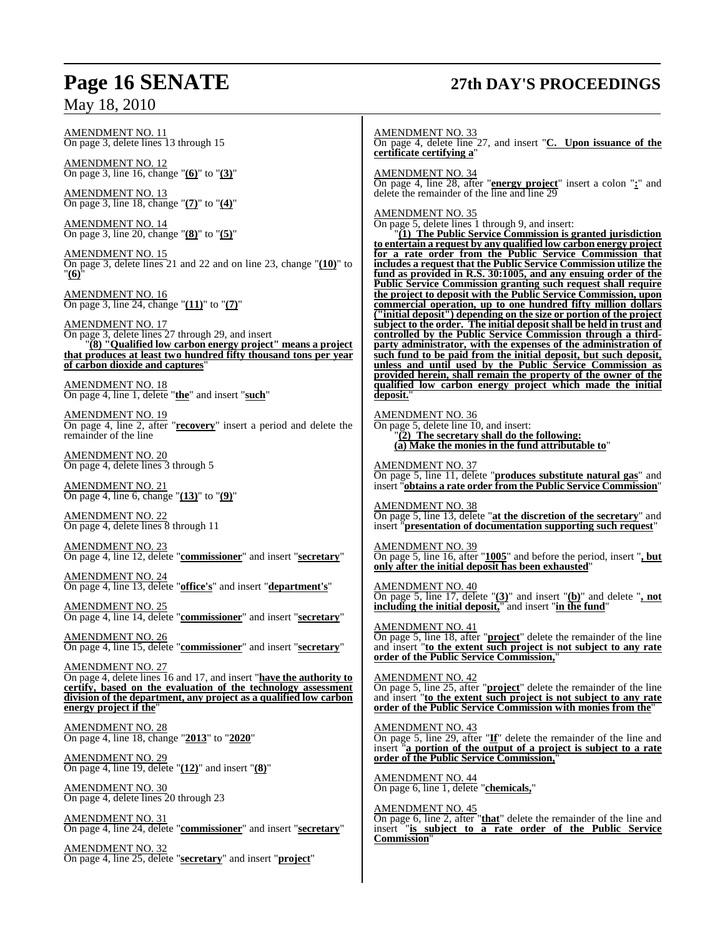# **Page 16 SENATE 27th DAY'S PROCEEDINGS**

AMENDMENT NO. 11 On page 3, delete lines 13 through 15 AMENDMENT NO. 12 On page 3, line 16, change "**(6)**" to "**(3)**" AMENDMENT NO. 13 On page 3, line 18, change "**(7)**" to "**(4)**" AMENDMENT NO. 14 On page 3, line 20, change "**(8)**" to "**(5)**" AMENDMENT NO. 15 On page 3, delete lines 21 and 22 and on line 23, change "**(10)**" to "**(6)**" AMENDMENT NO. 16 On page 3, line 24, change "**(11)**" to "**(7)**" AMENDMENT NO. 17 On page 3, delete lines 27 through 29, and insert "**(8) "Qualified low carbon energy project" means a project that produces at least two hundred fifty thousand tons per year of carbon dioxide and captures**" AMENDMENT NO. 18 On page 4, line 1, delete "**the**" and insert "**such**" AMENDMENT NO. 19 On page 4, line 2, after "**recovery**" insert a period and delete the remainder of the line AMENDMENT NO. 20 On page 4, delete lines 3 through 5 AMENDMENT NO. 21 On page 4, line 6, change "**(13)**" to "**(9)**" AMENDMENT NO. 22 On page 4, delete lines 8 through 11 AMENDMENT NO. 23 On page 4, line 12, delete "**commissioner**" and insert "**secretary**" AMENDMENT NO. 24 On page 4, line 13, delete "**office's**" and insert "**department's**" AMENDMENT NO. 25 On page 4, line 14, delete "**commissioner**" and insert "**secretary**" AMENDMENT NO. 26 On page 4, line 15, delete "**commissioner**" and insert "**secretary**" AMENDMENT NO. 27 On page 4, delete lines 16 and 17, and insert "**have the authority to certify, based on the evaluation of the technology assessment division of the department, any project as a qualified low carbon energy project if the**" AMENDMENT NO. 28 On page 4, line 18, change "**2013**" to "**2020**" AMENDMENT NO. 29 On page 4, line 19, delete "**(12)**" and insert "**(8)**" AMENDMENT NO. 30 On page 4, delete lines 20 through 23 AMENDMENT NO. 31 On page 4, line 24, delete "**commissioner**" and insert "**secretary**" AMENDMENT NO. 33 On page 4, delete line 27, and insert "**C. Upon issuance of the certificate certifying a**" AMENDMENT NO. 34 On page 4, line 28, after "**energy project**" insert a colon "**:**" and delete the remainder of the line and line 29 AMENDMENT NO. 35 On page 5, delete lines 1 through 9, and insert: "**(1) The Public Service Commission is granted jurisdiction to entertain a request by any qualified low carbon energy project for a rate order from the Public Service Commission that includes a request that the Public Service Commission utilize the fund as provided in R.S. 30:1005, and any ensuing order of the Public Service Commission granting such request shall require the project to deposit with the Public Service Commission, upon commercial operation, up to one hundred fifty million dollars ("initial deposit") depending on the size or portion of the project subject to the order. The initial deposit shall be held in trust and controlled by the Public Service Commission through a thirdparty administrator, with the expenses of the administration of such fund to be paid from the initial deposit, but such deposit, unless and until used by the Public Service Commission as provided herein, shall remain the property of the owner of the qualified low carbon energy project which made the initial deposit.**" AMENDMENT NO. 36 On page 5, delete line 10, and insert: "**(2) The secretary shall do the following: (a) Make the monies in the fund attributable to**" AMENDMENT NO. 37 On page 5, line 11, delete "**produces substitute natural gas**" and insert "**obtains a rate order from the Public Service Commission**" AMENDMENT NO. 38 On page 5, line 13, delete "**at the discretion of the secretary**" and insert "**presentation of documentation supporting such request**" AMENDMENT NO. 39 On page 5, line 16, after "**1005**" and before the period, insert "**, but only after the initial deposit has been exhausted**" AMENDMENT NO. 40 On page 5, line 17, delete "**(3)**" and insert "**(b)**" and delete "**, not including the initial deposit,**" and insert "**in the fund**" AMENDMENT NO. 41 On page 5, line 18, after "**project**" delete the remainder of the line and insert "**to the extent such project is not subject to any rate order of the Public Service Commission,**" AMENDMENT NO. 42 On page 5, line 25, after "**project**" delete the remainder of the line and insert "**to the extent such project is not subject to any rate order of the Public Service Commission with monies from the**" AMENDMENT NO. 43 On page 5, line 29, after "**If**" delete the remainder of the line and insert "**a portion of the output of a project is subject to a rate order of the Public Service Commission,**" AMENDMENT NO. 44 On page 6, line 1, delete "**chemicals,**" AMENDMENT NO. 45 On page 6, line 2, after "**that**" delete the remainder of the line and insert "**is subject to a rate order of the Public Service**

**Commission**"

AMENDMENT NO. 32 On page 4, line 25, delete "**secretary**" and insert "**project**"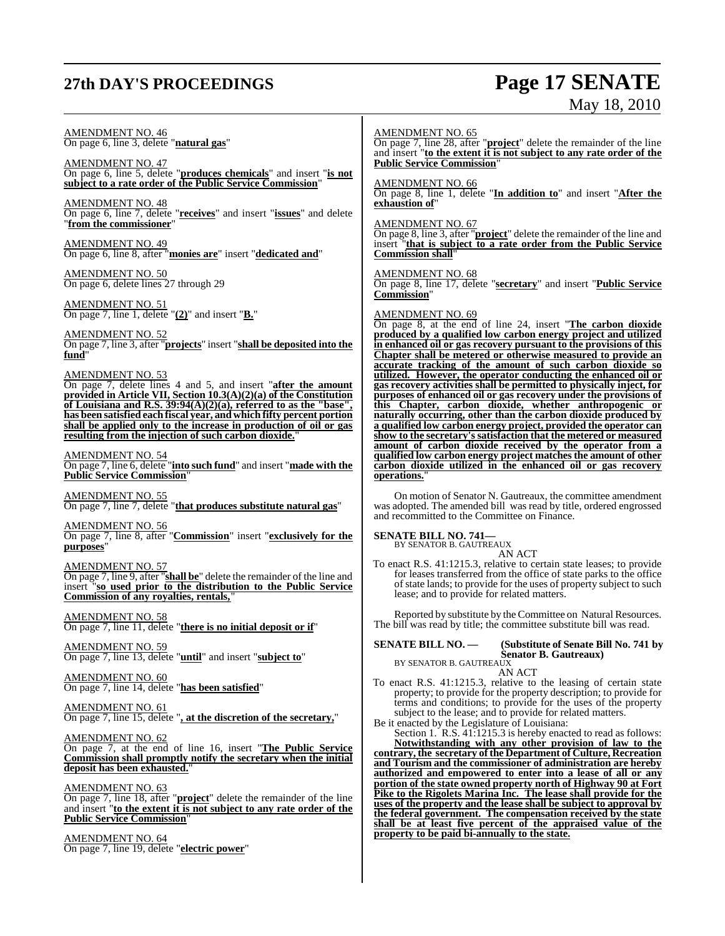# **27th DAY'S PROCEEDINGS Page 17 SENATE** May 18, 2010

| AMENDMENT NO. 46<br>On page 6, line 3, delete " <b>natural gas</b> "<br>AMENDMENT NO. 47<br>On page 6, line 5, delete "produces chemicals" and insert "is not<br>subject to a rate order of the Public Service Commission"<br><u>AMENDMENT NO. 48</u><br>On page 6, line 7, delete "receives" and insert "issues" and delete<br>"from the commissioner"<br><u>AMENDMENT NO. 49</u><br>On page 6, line 8, after "monies are" insert "dedicated and"<br><b>AMENDMENT NO. 50</b><br>On page 6, delete lines 27 through 29<br><u>AMENDMENT NO. 51</u><br>On page 7, line 1, delete $"(2)"$ and insert " <b>B</b> ."<br>AMENDMENT NO. 52<br>On page 7, line 3, after " <b>projects</b> " insert " <b>shall be deposited into the</b><br><u>fund</u> "<br><b>AMENDMENT NO. 53</b><br>On page 7, delete lines 4 and 5, and insert "after the amount<br>provided in Article VII, Section 10.3(A)(2)(a) of the Constitution<br>of Louisiana and R.S. 39:94(A)(2)(a), referred to as the "base",<br>has been satisfied each fiscal year, and which fifty percent portion<br>shall be applied only to the increase in production of oil or gas<br>resulting from the injection of such carbon dioxide.<br>AMENDMENT NO. 54<br>On page 7, line 6, delete "into such fund" and insert "made with the<br>Public Service Commission"<br>AMENDMENT NO. 55<br>On page 7, line 7, delete "that produces substitute natural gas"<br>AMENDMENT NO. 56<br>On page 7, line 8, after "Commission" insert "exclusively for the<br>purposes''<br><b>AMENDMENT NO. 57</b><br>On page 7, line 9, after "shall be" delete the remainder of the line and<br>insert "so used prior to the distribution to the Public Service | <b>AMENDMENT NO. 65</b><br>On page 7, line 28, after " <b>project</b> " delete the remainder of the line<br>and insert "to the extent it is not subject to any rate order of the<br><b>Public Service Commission'</b><br>AMENDMENT NO. 66<br>On page 8, line 1, delete "In addition to" and insert "After the<br>exhaustion of"<br><b>AMENDMENT NO. 67</b><br>On page 8, line 3, after " <b>project</b> " delete the remainder of the line and<br>insert "that is subject to a rate order from the Public Service<br><b>Commission shall</b> "<br><b>AMENDMENT NO. 68</b><br>On page 8, line 17, delete "secretary" and insert "Public Service"<br>Commission"<br><b>AMENDMENT NO. 69</b><br>On page 8, at the end of line 24, insert "The carbon dioxide<br>produced by a qualified low carbon energy project and utilized<br>in enhanced oil or gas recovery pursuant to the provisions of this<br>Chapter shall be metered or otherwise measured to provide an<br>accurate tracking of the amount of such carbon dioxide so<br>utilized. However, the operator conducting the enhanced oil or<br>gas recovery activities shall be permitted to physically inject, for<br>purposes of enhanced oil or gas recovery under the provisions of<br>this Chapter, carbon dioxide, whether anthropogenic or<br>naturally occurring, other than the carbon dioxide produced by<br>a qualified low carbon energy project, provided the operator can<br>show to the secretary's satisfaction that the metered or measured<br>amount of carbon dioxide received by the operator from a<br>qualified low carbon energy project matches the amount of other<br>carbon dioxide utilized in the enhanced oil or gas recovery<br>operations.<br>On motion of Senator N. Gautreaux, the committee amendment<br>was adopted. The amended bill was read by title, ordered engrossed<br>and recommitted to the Committee on Finance.<br><b>SENATE BILL NO. 741-</b><br>BY SENATOR B. GAUTREAUX<br>AN ACT<br>To enact R.S. 41:1215.3, relative to certain state leases; to provide<br>for leases transferred from the office of state parks to the office<br>of state lands; to provide for the uses of property subject to such |
|------------------------------------------------------------------------------------------------------------------------------------------------------------------------------------------------------------------------------------------------------------------------------------------------------------------------------------------------------------------------------------------------------------------------------------------------------------------------------------------------------------------------------------------------------------------------------------------------------------------------------------------------------------------------------------------------------------------------------------------------------------------------------------------------------------------------------------------------------------------------------------------------------------------------------------------------------------------------------------------------------------------------------------------------------------------------------------------------------------------------------------------------------------------------------------------------------------------------------------------------------------------------------------------------------------------------------------------------------------------------------------------------------------------------------------------------------------------------------------------------------------------------------------------------------------------------------------------------------------------------------------------------------------------------------------------------|---------------------------------------------------------------------------------------------------------------------------------------------------------------------------------------------------------------------------------------------------------------------------------------------------------------------------------------------------------------------------------------------------------------------------------------------------------------------------------------------------------------------------------------------------------------------------------------------------------------------------------------------------------------------------------------------------------------------------------------------------------------------------------------------------------------------------------------------------------------------------------------------------------------------------------------------------------------------------------------------------------------------------------------------------------------------------------------------------------------------------------------------------------------------------------------------------------------------------------------------------------------------------------------------------------------------------------------------------------------------------------------------------------------------------------------------------------------------------------------------------------------------------------------------------------------------------------------------------------------------------------------------------------------------------------------------------------------------------------------------------------------------------------------------------------------------------------------------------------------------------------------------------------------------------------------------------------------------------------------------------------------------------------------------------------------------------------------------------------------------------------------------------------------------------------------------------------------|
|                                                                                                                                                                                                                                                                                                                                                                                                                                                                                                                                                                                                                                                                                                                                                                                                                                                                                                                                                                                                                                                                                                                                                                                                                                                                                                                                                                                                                                                                                                                                                                                                                                                                                                |                                                                                                                                                                                                                                                                                                                                                                                                                                                                                                                                                                                                                                                                                                                                                                                                                                                                                                                                                                                                                                                                                                                                                                                                                                                                                                                                                                                                                                                                                                                                                                                                                                                                                                                                                                                                                                                                                                                                                                                                                                                                                                                                                                                                               |
|                                                                                                                                                                                                                                                                                                                                                                                                                                                                                                                                                                                                                                                                                                                                                                                                                                                                                                                                                                                                                                                                                                                                                                                                                                                                                                                                                                                                                                                                                                                                                                                                                                                                                                |                                                                                                                                                                                                                                                                                                                                                                                                                                                                                                                                                                                                                                                                                                                                                                                                                                                                                                                                                                                                                                                                                                                                                                                                                                                                                                                                                                                                                                                                                                                                                                                                                                                                                                                                                                                                                                                                                                                                                                                                                                                                                                                                                                                                               |
|                                                                                                                                                                                                                                                                                                                                                                                                                                                                                                                                                                                                                                                                                                                                                                                                                                                                                                                                                                                                                                                                                                                                                                                                                                                                                                                                                                                                                                                                                                                                                                                                                                                                                                |                                                                                                                                                                                                                                                                                                                                                                                                                                                                                                                                                                                                                                                                                                                                                                                                                                                                                                                                                                                                                                                                                                                                                                                                                                                                                                                                                                                                                                                                                                                                                                                                                                                                                                                                                                                                                                                                                                                                                                                                                                                                                                                                                                                                               |
|                                                                                                                                                                                                                                                                                                                                                                                                                                                                                                                                                                                                                                                                                                                                                                                                                                                                                                                                                                                                                                                                                                                                                                                                                                                                                                                                                                                                                                                                                                                                                                                                                                                                                                |                                                                                                                                                                                                                                                                                                                                                                                                                                                                                                                                                                                                                                                                                                                                                                                                                                                                                                                                                                                                                                                                                                                                                                                                                                                                                                                                                                                                                                                                                                                                                                                                                                                                                                                                                                                                                                                                                                                                                                                                                                                                                                                                                                                                               |
|                                                                                                                                                                                                                                                                                                                                                                                                                                                                                                                                                                                                                                                                                                                                                                                                                                                                                                                                                                                                                                                                                                                                                                                                                                                                                                                                                                                                                                                                                                                                                                                                                                                                                                |                                                                                                                                                                                                                                                                                                                                                                                                                                                                                                                                                                                                                                                                                                                                                                                                                                                                                                                                                                                                                                                                                                                                                                                                                                                                                                                                                                                                                                                                                                                                                                                                                                                                                                                                                                                                                                                                                                                                                                                                                                                                                                                                                                                                               |
| <b>Commission of any royalties, rentals,"</b>                                                                                                                                                                                                                                                                                                                                                                                                                                                                                                                                                                                                                                                                                                                                                                                                                                                                                                                                                                                                                                                                                                                                                                                                                                                                                                                                                                                                                                                                                                                                                                                                                                                  | lease; and to provide for related matters.                                                                                                                                                                                                                                                                                                                                                                                                                                                                                                                                                                                                                                                                                                                                                                                                                                                                                                                                                                                                                                                                                                                                                                                                                                                                                                                                                                                                                                                                                                                                                                                                                                                                                                                                                                                                                                                                                                                                                                                                                                                                                                                                                                    |
| AMENDMENT NO. 58<br>On page 7, line 11, delete "there is no initial deposit or if"                                                                                                                                                                                                                                                                                                                                                                                                                                                                                                                                                                                                                                                                                                                                                                                                                                                                                                                                                                                                                                                                                                                                                                                                                                                                                                                                                                                                                                                                                                                                                                                                             | Reported by substitute by the Committee on Natural Resources.<br>The bill was read by title; the committee substitute bill was read.                                                                                                                                                                                                                                                                                                                                                                                                                                                                                                                                                                                                                                                                                                                                                                                                                                                                                                                                                                                                                                                                                                                                                                                                                                                                                                                                                                                                                                                                                                                                                                                                                                                                                                                                                                                                                                                                                                                                                                                                                                                                          |
| <b>AMENDMENT NO. 59</b><br>On page 7, line 13, delete " <b>until</b> " and insert " <b>subject to</b> "                                                                                                                                                                                                                                                                                                                                                                                                                                                                                                                                                                                                                                                                                                                                                                                                                                                                                                                                                                                                                                                                                                                                                                                                                                                                                                                                                                                                                                                                                                                                                                                        | <b>SENATE BILL NO. — (Substitute of Senate Bill No. 741 by</b><br><b>Senator B. Gautreaux)</b><br>BY SENATOR B. GAUTREAUX<br>AN ACT                                                                                                                                                                                                                                                                                                                                                                                                                                                                                                                                                                                                                                                                                                                                                                                                                                                                                                                                                                                                                                                                                                                                                                                                                                                                                                                                                                                                                                                                                                                                                                                                                                                                                                                                                                                                                                                                                                                                                                                                                                                                           |
| <b>AMENDMENT NO. 60</b><br>On page 7, line 14, delete "has been satisfied"                                                                                                                                                                                                                                                                                                                                                                                                                                                                                                                                                                                                                                                                                                                                                                                                                                                                                                                                                                                                                                                                                                                                                                                                                                                                                                                                                                                                                                                                                                                                                                                                                     | To enact R.S. 41:1215.3, relative to the leasing of certain state<br>property; to provide for the property description; to provide for                                                                                                                                                                                                                                                                                                                                                                                                                                                                                                                                                                                                                                                                                                                                                                                                                                                                                                                                                                                                                                                                                                                                                                                                                                                                                                                                                                                                                                                                                                                                                                                                                                                                                                                                                                                                                                                                                                                                                                                                                                                                        |
| <u>AMENDMENT NO. 61</u><br>On page 7, line 15, delete ", at the discretion of the secretary,"                                                                                                                                                                                                                                                                                                                                                                                                                                                                                                                                                                                                                                                                                                                                                                                                                                                                                                                                                                                                                                                                                                                                                                                                                                                                                                                                                                                                                                                                                                                                                                                                  | terms and conditions; to provide for the uses of the property<br>subject to the lease; and to provide for related matters.<br>Be it enacted by the Legislature of Louisiana:                                                                                                                                                                                                                                                                                                                                                                                                                                                                                                                                                                                                                                                                                                                                                                                                                                                                                                                                                                                                                                                                                                                                                                                                                                                                                                                                                                                                                                                                                                                                                                                                                                                                                                                                                                                                                                                                                                                                                                                                                                  |
| AMENDMENT NO. 62<br>On page 7, at the end of line 16, insert "The Public Service<br>Commission shall promptly notify the secretary when the initial<br>deposit has been exhausted."                                                                                                                                                                                                                                                                                                                                                                                                                                                                                                                                                                                                                                                                                                                                                                                                                                                                                                                                                                                                                                                                                                                                                                                                                                                                                                                                                                                                                                                                                                            | Section 1. R.S. 41.1215.3 is hereby enacted to read as follows:<br>Notwithstanding with any other provision of law to the<br>contrary, the secretary of the Department of Culture, Recreation<br>and Tourism and the commissioner of administration are hereby<br>authorized and empowered to enter into a lease of all or any                                                                                                                                                                                                                                                                                                                                                                                                                                                                                                                                                                                                                                                                                                                                                                                                                                                                                                                                                                                                                                                                                                                                                                                                                                                                                                                                                                                                                                                                                                                                                                                                                                                                                                                                                                                                                                                                                |
| <b>AMENDMENT NO. 63</b><br>On page 7, line 18, after " <b>project</b> " delete the remainder of the line<br>and insert "to the extent it is not subject to any rate order of the<br><b>Public Service Commission"</b>                                                                                                                                                                                                                                                                                                                                                                                                                                                                                                                                                                                                                                                                                                                                                                                                                                                                                                                                                                                                                                                                                                                                                                                                                                                                                                                                                                                                                                                                          | portion of the state owned property north of Highway 90 at Fort<br>Pike to the Rigolets Marina Inc. The lease shall provide for the<br>uses of the property and the lease shall be subject to approval by<br>the federal government. The compensation received by the state                                                                                                                                                                                                                                                                                                                                                                                                                                                                                                                                                                                                                                                                                                                                                                                                                                                                                                                                                                                                                                                                                                                                                                                                                                                                                                                                                                                                                                                                                                                                                                                                                                                                                                                                                                                                                                                                                                                                   |
| <u>AMENDMENT NO. 64</u><br>On page 7, line 19, delete "electric power"                                                                                                                                                                                                                                                                                                                                                                                                                                                                                                                                                                                                                                                                                                                                                                                                                                                                                                                                                                                                                                                                                                                                                                                                                                                                                                                                                                                                                                                                                                                                                                                                                         | shall be at least five percent of the appraised value of the<br>property to be paid bi-annually to the state.                                                                                                                                                                                                                                                                                                                                                                                                                                                                                                                                                                                                                                                                                                                                                                                                                                                                                                                                                                                                                                                                                                                                                                                                                                                                                                                                                                                                                                                                                                                                                                                                                                                                                                                                                                                                                                                                                                                                                                                                                                                                                                 |
|                                                                                                                                                                                                                                                                                                                                                                                                                                                                                                                                                                                                                                                                                                                                                                                                                                                                                                                                                                                                                                                                                                                                                                                                                                                                                                                                                                                                                                                                                                                                                                                                                                                                                                |                                                                                                                                                                                                                                                                                                                                                                                                                                                                                                                                                                                                                                                                                                                                                                                                                                                                                                                                                                                                                                                                                                                                                                                                                                                                                                                                                                                                                                                                                                                                                                                                                                                                                                                                                                                                                                                                                                                                                                                                                                                                                                                                                                                                               |
|                                                                                                                                                                                                                                                                                                                                                                                                                                                                                                                                                                                                                                                                                                                                                                                                                                                                                                                                                                                                                                                                                                                                                                                                                                                                                                                                                                                                                                                                                                                                                                                                                                                                                                |                                                                                                                                                                                                                                                                                                                                                                                                                                                                                                                                                                                                                                                                                                                                                                                                                                                                                                                                                                                                                                                                                                                                                                                                                                                                                                                                                                                                                                                                                                                                                                                                                                                                                                                                                                                                                                                                                                                                                                                                                                                                                                                                                                                                               |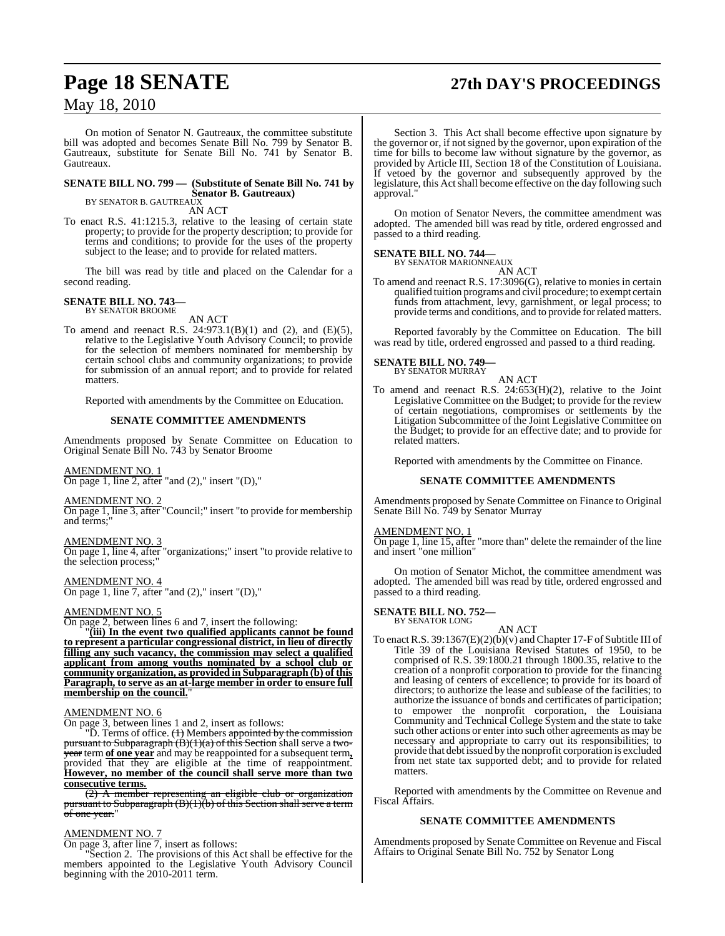# **Page 18 SENATE 27th DAY'S PROCEEDINGS**

## May 18, 2010

On motion of Senator N. Gautreaux, the committee substitute bill was adopted and becomes Senate Bill No. 799 by Senator B. Gautreaux, substitute for Senate Bill No. 741 by Senator B. Gautreaux.

## **SENATE BILL NO. 799 — (Substitute of Senate Bill No. 741 by Senator B. Gautreaux)** BY SENATOR B. GAUTREAUX

AN ACT

To enact R.S. 41:1215.3, relative to the leasing of certain state property; to provide for the property description; to provide for terms and conditions; to provide for the uses of the property subject to the lease; and to provide for related matters.

The bill was read by title and placed on the Calendar for a second reading.

#### **SENATE BILL NO. 743—** BY SENATOR BROOME

AN ACT

To amend and reenact R.S. 24:973.1(B)(1) and (2), and (E)(5), relative to the Legislative Youth Advisory Council; to provide for the selection of members nominated for membership by certain school clubs and community organizations; to provide for submission of an annual report; and to provide for related matters.

Reported with amendments by the Committee on Education.

#### **SENATE COMMITTEE AMENDMENTS**

Amendments proposed by Senate Committee on Education to Original Senate Bill No. 743 by Senator Broome

#### AMENDMENT NO. 1

On page 1, line 2, after "and  $(2)$ ," insert " $(D)$ ,"

## AMENDMENT NO. 2

On page 1, line 3, after "Council;" insert "to provide for membership and terms;"

#### AMENDMENT NO. 3

On page 1, line 4, after "organizations;" insert "to provide relative to the selection process;

AMENDMENT NO. 4 On page 1, line 7, after "and (2)," insert "(D),"

#### AMENDMENT NO. 5

On page 2, between lines 6 and 7, insert the following:

"**(iii) In the event two qualified applicants cannot be found to represent a particular congressional district, in lieu of directly filling any such vacancy, the commission may select a qualified applicant from among youths nominated by a school club or community organization, as provided in Subparagraph (b) of this Paragraph, to serve as an at-large member in order to ensure full membership on the council.**"

#### AMENDMENT NO. 6

On page 3, between lines 1 and 2, insert as follows:

"D. Terms of office. (1) Members appointed by the commission pursuant to Subparagraph (B)(1)(a) of this Section shall serve a twoyear term **of one year** and may be reappointed for a subsequent term**,** provided that they are eligible at the time of reappointment. **However, no member of the council shall serve more than two consecutive terms.**

(2) A member representing an eligible club or organization pursuant to Subparagraph  $(B)(1)(b)$  of this Section shall serve a term of one year."

#### AMENDMENT NO. 7

On page 3, after line 7, insert as follows:

"Section 2. The provisions of this Act shall be effective for the members appointed to the Legislative Youth Advisory Council beginning with the 2010-2011 term.

Section 3. This Act shall become effective upon signature by the governor or, if not signed by the governor, upon expiration of the time for bills to become law without signature by the governor, as provided by Article III, Section 18 of the Constitution of Louisiana. If vetoed by the governor and subsequently approved by the legislature, this Act shall become effective on the day following such approval."

On motion of Senator Nevers, the committee amendment was adopted. The amended bill was read by title, ordered engrossed and passed to a third reading.

# **SENATE BILL NO. 744—** BY SENATOR MARIONNEAUX

AN ACT

To amend and reenact R.S. 17:3096(G), relative to monies in certain qualified tuition programs and civil procedure; to exempt certain funds from attachment, levy, garnishment, or legal process; to provide terms and conditions, and to provide for related matters.

Reported favorably by the Committee on Education. The bill was read by title, ordered engrossed and passed to a third reading.

#### **SENATE BILL NO. 749—**

BY SENATOR MURRAY

AN ACT To amend and reenact R.S. 24:653(H)(2), relative to the Joint Legislative Committee on the Budget; to provide for the review of certain negotiations, compromises or settlements by the Litigation Subcommittee of the Joint Legislative Committee on the Budget; to provide for an effective date; and to provide for related matters.

Reported with amendments by the Committee on Finance.

#### **SENATE COMMITTEE AMENDMENTS**

Amendments proposed by Senate Committee on Finance to Original Senate Bill No. 749 by Senator Murray

#### AMENDMENT NO. 1

On page 1, line 15, after "more than" delete the remainder of the line and insert "one million"

On motion of Senator Michot, the committee amendment was adopted. The amended bill was read by title, ordered engrossed and passed to a third reading.

# **SENATE BILL NO. 752—** BY SENATOR LONG

AN ACT

To enact R.S. 39:1367(E)(2)(b)(v) and Chapter 17-F of Subtitle III of Title 39 of the Louisiana Revised Statutes of 1950, to be comprised of R.S. 39:1800.21 through 1800.35, relative to the creation of a nonprofit corporation to provide for the financing and leasing of centers of excellence; to provide for its board of directors; to authorize the lease and sublease of the facilities; to authorize the issuance of bonds and certificates of participation; to empower the nonprofit corporation, the Louisiana Community and Technical College System and the state to take such other actions or enter into such other agreements as may be necessary and appropriate to carry out its responsibilities; to provide that debt issued by the nonprofit corporation is excluded from net state tax supported debt; and to provide for related matters.

Reported with amendments by the Committee on Revenue and Fiscal Affairs.

#### **SENATE COMMITTEE AMENDMENTS**

Amendments proposed by Senate Committee on Revenue and Fiscal Affairs to Original Senate Bill No. 752 by Senator Long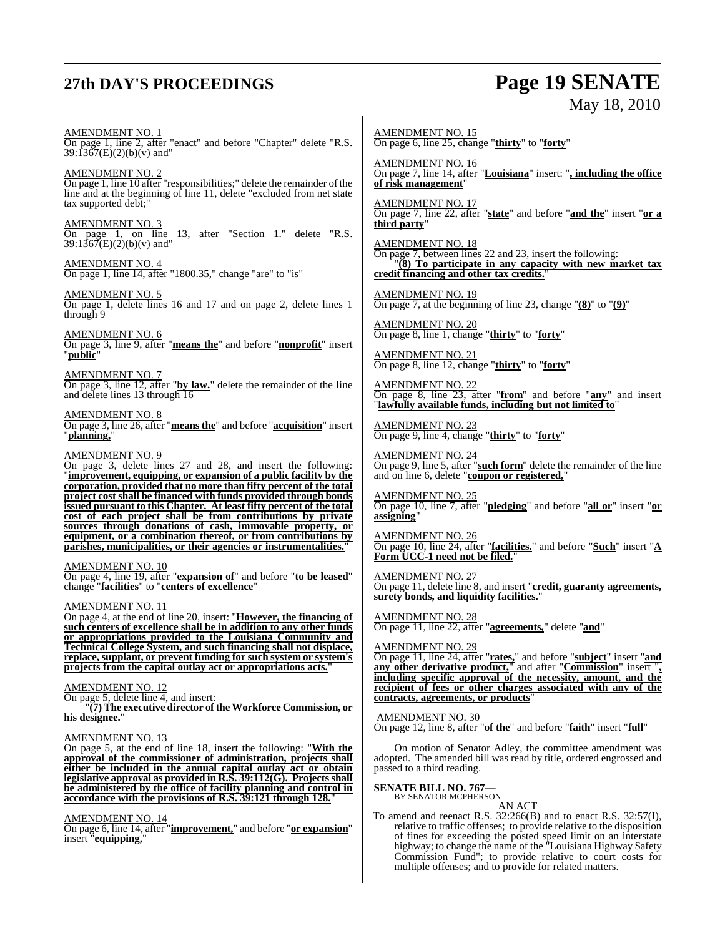# **27th DAY'S PROCEEDINGS Page 19 SENATE**

# May 18, 2010

#### AMENDMENT NO. 1

On page 1, line 2, after "enact" and before "Chapter" delete "R.S. 39:1367(E)(2)(b)(v) and"

AMENDMENT NO. 2 On page 1, line 10 after "responsibilities;" delete the remainder of the line and at the beginning of line 11, delete "excluded from net state tax supported debt;"

AMENDMENT NO. 3

On page 1, on line 13, after "Section 1." delete "R.S.  $39:1367(E)(2)(b)(v)$  and"

#### AMENDMENT NO. 4

On page 1, line 14, after "1800.35," change "are" to "is"

#### AMENDMENT NO. 5

On page 1, delete lines 16 and 17 and on page 2, delete lines 1 through 9

#### AMENDMENT NO. 6

On page 3, line 9, after "**means the**" and before "**nonprofit**" insert "**public**"

#### AMENDMENT NO. 7

On page 3, line 12, after "**by law.**" delete the remainder of the line and delete lines 13 through 16

#### AMENDMENT NO. 8

On page 3, line 26, after "**means the**" and before "**acquisition**" insert "**planning,**"

#### AMENDMENT NO. 9

On page 3, delete lines 27 and 28, and insert the following: "**improvement, equipping, or expansion of a public facility by the corporation, provided that no more than fifty percent of the total project cost shall be financed with funds provided through bonds issued pursuant to this Chapter. At least fifty percent of the total cost of each project shall be from contributions by private sources through donations of cash, immovable property, or equipment, or a combination thereof, or from contributions by parishes, municipalities, or their agencies or instrumentalities.**"

#### AMENDMENT NO. 10

On page 4, line 19, after "**expansion of**" and before "**to be leased**" change "**facilities**" to "**centers of excellence**"

#### AMENDMENT NO. 11

On page 4, at the end of line 20, insert: "**However, the financing of such centers of excellence shall be in addition to any other funds or appropriations provided to the Louisiana Community and Technical College System, and such financing shall not displace, replace, supplant, or prevent funding for such system or system's projects from the capital outlay act or appropriations acts.**"

#### AMENDMENT NO. 12

On page 5, delete line 4, and insert:

"**(7) The executive director of the Workforce Commission, or his designee.**"

#### AMENDMENT NO. 13

On page 5, at the end of line 18, insert the following: "**With the approval of the commissioner of administration, projects shall either be included in the annual capital outlay act or obtain legislative approval as provided in R.S. 39:112(G). Projects shall be administered by the office of facility planning and control in accordance with the provisions of R.S. 39:121 through 128.**"

#### AMENDMENT NO. 14

On page 6, line 14, after "**improvement,**" and before "**or expansion**" insert "**equipping,**"

AMENDMENT NO. 15 On page 6, line 25, change "**thirty**" to "**forty**"

AMENDMENT NO. 16 On page 7, line 14, after "**Louisiana**" insert: "**, including the office of risk management**"

AMENDMENT NO. 17 On page 7, line 22, after "**state**" and before "**and the**" insert "**or a third party**"

AMENDMENT NO. 18 On page 7, between lines 22 and 23, insert the following: "**(8) To participate in any capacity with new market tax credit financing and other tax credits.**"

AMENDMENT NO. 19 On page 7, at the beginning of line 23, change "**(8)**" to "**(9)**"

AMENDMENT NO. 20 On page 8, line 1, change "**thirty**" to "**forty**"

AMENDMENT NO. 21 On page 8, line 12, change "**thirty**" to "**forty**"

AMENDMENT NO. 22 On page 8, line 23, after "**from**" and before "**any**" and insert "**lawfully available funds, including but not limited to**"

AMENDMENT NO. 23 On page 9, line 4, change "**thirty**" to "**forty**"

AMENDMENT NO. 24 On page 9, line 5, after "**such form**" delete the remainder of the line and on line 6, delete "**coupon or registered,**"

AMENDMENT NO. 25 On page 10, line 7, after "**pledging**" and before "**all or**" insert "**or assigning**"

AMENDMENT NO. 26 On page 10, line 24, after "**facilities.**" and before "**Such**" insert "**A Form UCC-1 need not be filed.**"

AMENDMENT NO. 27 On page 11, delete line 8, and insert "**credit, guaranty agreements, surety bonds, and liquidity facilities.**"

AMENDMENT NO. 28 On page 11, line 22, after "**agreements,**" delete "**and**"

#### AMENDMENT NO. 29

On page 11, line 24, after "**rates,**" and before "**subject**" insert "**and any other derivative product,**" and after "**Commission**" insert "**, including specific approval of the necessity, amount, and the recipient of fees or other charges associated with any of the contracts, agreements, or products**"

#### AMENDMENT NO. 30

On page 12, line 8, after "**of the**" and before "**faith**" insert "**full**"

On motion of Senator Adley, the committee amendment was adopted. The amended bill was read by title, ordered engrossed and passed to a third reading.

#### **SENATE BILL NO. 767—**

BY SENATOR MCPHERSON AN ACT

To amend and reenact R.S. 32:266(B) and to enact R.S. 32:57(I), relative to traffic offenses; to provide relative to the disposition of fines for exceeding the posted speed limit on an interstate highway; to change the name of the "Louisiana Highway Safety Commission Fund"; to provide relative to court costs for multiple offenses; and to provide for related matters.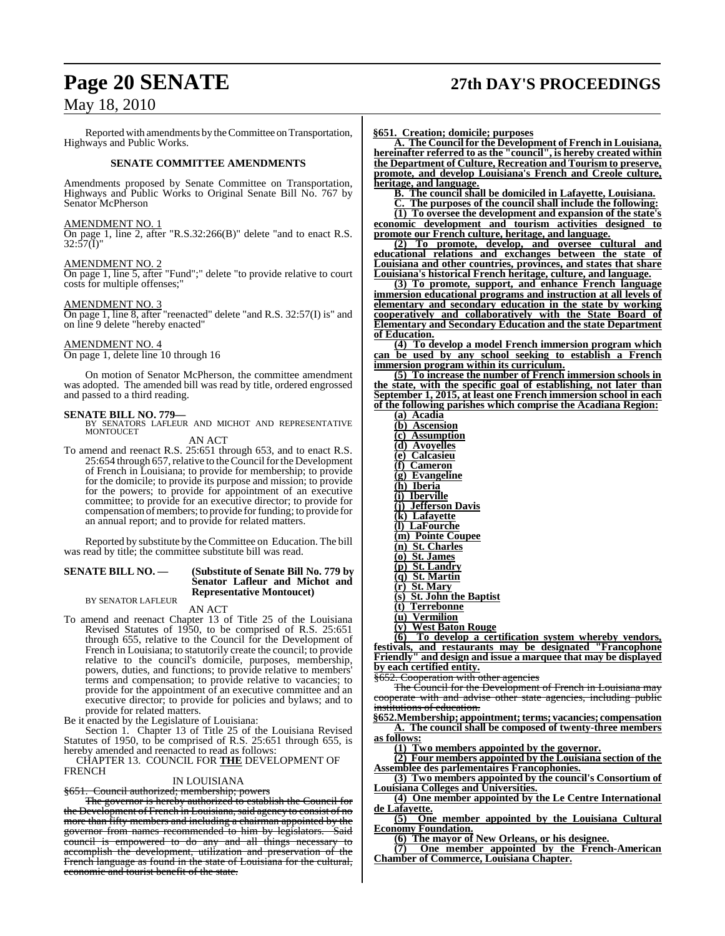# **Page 20 SENATE 27th DAY'S PROCEEDINGS**

## May 18, 2010

Reported with amendments by theCommittee on Transportation, Highways and Public Works.

#### **SENATE COMMITTEE AMENDMENTS**

Amendments proposed by Senate Committee on Transportation, Highways and Public Works to Original Senate Bill No. 767 by Senator McPherson

#### AMENDMENT NO. 1

On page 1, line 2, after "R.S.32:266(B)" delete "and to enact R.S.  $32:57(1)$ "

#### AMENDMENT NO. 2

On page 1, line 5, after "Fund";" delete "to provide relative to court costs for multiple offenses;"

#### AMENDMENT NO. 3

On page 1, line 8, after "reenacted" delete "and R.S. 32:57(I) is" and on line 9 delete "hereby enacted"

#### AMENDMENT NO. 4

On page 1, delete line 10 through 16

On motion of Senator McPherson, the committee amendment was adopted. The amended bill was read by title, ordered engrossed and passed to a third reading.

#### **SENATE BILL NO. 779—**

BY SENATORS LAFLEUR AND MICHOT AND REPRESENTATIVE MONTOUCET

AN ACT

To amend and reenact R.S. 25:651 through 653, and to enact R.S. 25:654 through 657, relative to the Council for the Development of French in Louisiana; to provide for membership; to provide for the domicile; to provide its purpose and mission; to provide for the powers; to provide for appointment of an executive committee; to provide for an executive director; to provide for compensation of members; to provide for funding; to provide for an annual report; and to provide for related matters.

Reported by substitute by theCommittee on Education. The bill was read by title; the committee substitute bill was read.

#### **SENATE BILL NO. — (Substitute of Senate Bill No. 779 by Senator Lafleur and Michot and Representative Montoucet)**

BY SENATOR LAFLEUR

AN ACT

To amend and reenact Chapter 13 of Title 25 of the Louisiana Revised Statutes of 1950, to be comprised of R.S. 25:651 through 655, relative to the Council for the Development of French in Louisiana; to statutorily create the council; to provide relative to the council's domicile, purposes, membership, powers, duties, and functions; to provide relative to members' terms and compensation; to provide relative to vacancies; to provide for the appointment of an executive committee and an executive director; to provide for policies and bylaws; and to provide for related matters.

Be it enacted by the Legislature of Louisiana:

Section 1. Chapter 13 of Title 25 of the Louisiana Revised Statutes of 1950, to be comprised of R.S. 25:651 through 655, is hereby amended and reenacted to read as follows:

CHAPTER 13. COUNCIL FOR **THE** DEVELOPMENT OF FRENCH

#### IN LOUISIANA

§651. Council authorized; membership; powers

The governor is hereby authorized to establish the Council for the Development of French in Louisiana, said agency to consist of no more than fifty members and including a chairman appointed by the proversor from names recommended to him by legislators. Said governor from names recommended to him by legislators. council is empowered to do any and all things necessary to accomplish the development, utilization and preservation of the French language as found in the state of Louisiana for the cultural. economic and tourist benefit of the state.

#### **§651. Creation; domicile; purposes**

**A. The Council for the Development of French in Louisiana, hereinafter referred to as the "council", is hereby created within the Department of Culture, Recreation and Tourism to preserve, promote, and develop Louisiana's French and Creole culture, heritage, and language.**

**B. The council shall be domiciled in Lafayette, Louisiana.**

**C. The purposes of the council shall include the following: (1) To oversee the development and expansion of the state's economic development and tourism activities designed to promote our French culture, heritage, and language.**

**(2) To promote, develop, and oversee cultural and educational relations and exchanges between the state of Louisiana and other countries, provinces, and states that share Louisiana's historical French heritage, culture, and language.**

**(3) To promote, support, and enhance French language immersion educational programs and instruction at all levels of elementary and secondary education in the state by working cooperatively and collaboratively with the State Board of Elementary and Secondary Education and the state Department of Education.**

**(4) To develop a model French immersion program which can be used by any school seeking to establish a French immersion program within its curriculum.**

**(5) To increase the number of French immersion schools in the state, with the specific goal of establishing, not later than September 1, 2015, at least one French immersion school in each of the following parishes which comprise the Acadiana Region:**

**(a) Acadia (b) Ascension (c) Assumption (d) Avoyelles (e) Calcasieu (f) Cameron (g) Evangeline (h) Iberia (i) Iberville (j) Jefferson Davis (k) Lafayette (l) LaFourche (m) Pointe Coupee (n) St. Charles (o) St. James (p) St. Landry (q) St. Martin (r) St. Mary (s) St. John the Baptist (t) Terrebonne (u) Vermilion (v) West Baton Rouge**

**(6) To develop a certification system whereby vendors, festivals, and restaurants may be designated "Francophone Friendly" and design and issue a marquee that may be displayed by each certified entity.**

§652. Cooperation with other agencies

The Council for the Development of French in Louisiana may perate with and advise other state agencies, including public institutions of education.

**§652.Membership;appointment;terms; vacancies; compensation A. The council shall be composed of twenty-three members as follows:**

**(1) Two members appointed by the governor.**

**(2) Four members appointed by the Louisiana section of the Assemblee des parlementaires Francophonies.**

**(3) Two members appointed by the council's Consortium of Louisiana Colleges and Universities.**

**(4) One member appointed by the Le Centre International de Lafayette.**

**(5) One member appointed by the Louisiana Cultural Economy Foundation.**

**(6) The mayor of New Orleans, or his designee.**

**(7) One member appointed by the French-American Chamber of Commerce, Louisiana Chapter.**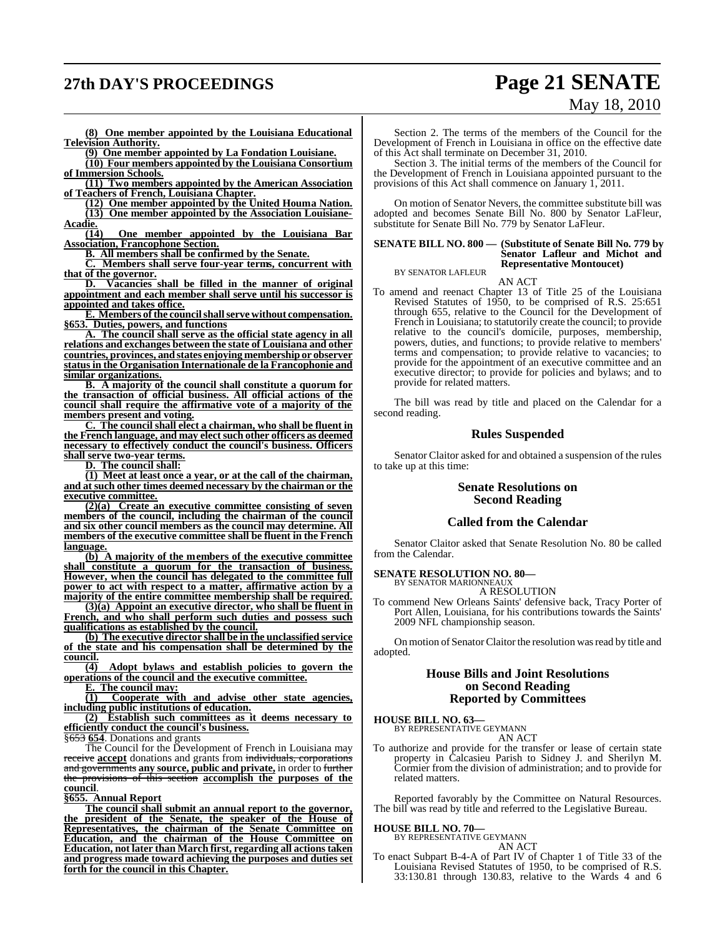# **27th DAY'S PROCEEDINGS Page 21 SENATE**

# May 18, 2010

**(8) One member appointed by the Louisiana Educational Television Authority.**

**(9) One member appointed by La Fondation Louisiane. (10) Four members appointed by the Louisiana Consortium of Immersion Schools.**

**(11) Two members appointed by the American Association of Teachers of French, Louisiana Chapter.**

**(12) One member appointed by the United Houma Nation. (13) One member appointed by the Association Louisiane-**

Acadie.<br> **(14) (14) One member appointed by the Louisiana Bar Association, Francophone Section.**

**B. All members shall be confirmed by the Senate.**

**C. Members shall serve four-year terms, concurrent with that of the governor.**

**D. Vacancies shall be filled in the manner of original appointment and each member shall serve until his successor is appointed and takes office.**

**E. Members of the council shall serve without compensation. §653. Duties, powers, and functions**

**A. The council shall serve as the official state agency in all relations and exchanges between the state of Louisiana and other countries, provinces, and states enjoying membership or observer status in the Organisation Internationale de la Francophonie and similar organizations.**

**B. A majority of the council shall constitute a quorum for the transaction of official business. All official actions of the council shall require the affirmative vote of a majority of the members present and voting.**

**C. The council shall elect a chairman, who shall be fluent in the French language, and may electsuch other officers as deemed necessary to effectively conduct the council's business. Officers shall serve two-year terms.**

**D. The council shall:**

**(1) Meet at least once a year, or at the call of the chairman, and at such other times deemed necessary by the chairman or the executive committee.**

**(2)(a) Create an executive committee consisting of seven members of the council, including the chairman of the council and six other council members as the council may determine. All members of the executive committee shall be fluent in the French language.**

**(b) A majority of the members of the executive committee shall constitute a quorum for the transaction of business. However, when the council has delegated to the committee full power to act with respect to a matter, affirmative action by a majority of the entire committee membership shall be required.**

**(3)(a) Appoint an executive director, who shall be fluent in French, and who shall perform such duties and possess such qualifications as established by the council.**

**(b) The executive director shall be in the unclassified service of the state and his compensation shall be determined by the council.**

**(4) Adopt bylaws and establish policies to govern the operations of the council and the executive committee.**

**E. The council may:**

**(1) Cooperate with and advise other state agencies, including public institutions of education.**

**(2) Establish such committees as it deems necessary to efficiently conduct the council's business.**

§653 **654**. Donations and grants

The Council for the Development of French in Louisiana may receive **accept** donations and grants from individuals, corporations and governments **any source, public and private,** in order to further the provisions of this section **accomplish the purposes of the council**.

#### **§655. Annual Report**

**The council shall submit an annual report to the governor, the president of the Senate, the speaker of the House of Representatives, the chairman of the Senate Committee on Education, and the chairman of the House Committee on Education, not later than March first, regarding all actionstaken and progress made toward achieving the purposes and duties set forth for the council in this Chapter.**

Section 2. The terms of the members of the Council for the Development of French in Louisiana in office on the effective date of this Act shall terminate on December 31, 2010.

Section 3. The initial terms of the members of the Council for the Development of French in Louisiana appointed pursuant to the provisions of this Act shall commence on January 1, 2011.

On motion of Senator Nevers, the committee substitute bill was adopted and becomes Senate Bill No. 800 by Senator LaFleur, substitute for Senate Bill No. 779 by Senator LaFleur.

#### **SENATE BILL NO. 800 — (Substitute of Senate Bill No. 779 by Senator Lafleur and Michot and Representative Montoucet)**

BY SENATOR LAFLEUR AN ACT

To amend and reenact Chapter 13 of Title 25 of the Louisiana Revised Statutes of 1950, to be comprised of R.S. 25:651 through 655, relative to the Council for the Development of French in Louisiana; to statutorily create the council; to provide relative to the council's domicile, purposes, membership, powers, duties, and functions; to provide relative to members' terms and compensation; to provide relative to vacancies; to provide for the appointment of an executive committee and an executive director; to provide for policies and bylaws; and to provide for related matters.

The bill was read by title and placed on the Calendar for a second reading.

#### **Rules Suspended**

Senator Claitor asked for and obtained a suspension of the rules to take up at this time:

#### **Senate Resolutions on Second Reading**

#### **Called from the Calendar**

Senator Claitor asked that Senate Resolution No. 80 be called from the Calendar.

#### **SENATE RESOLUTION NO. 80—** BY SENATOR MARIONNEAUX

A RESOLUTION

To commend New Orleans Saints' defensive back, Tracy Porter of Port Allen, Louisiana, for his contributions towards the Saints' 2009 NFL championship season.

On motion of Senator Claitor the resolution was read by title and adopted.

#### **House Bills and Joint Resolutions on Second Reading Reported by Committees**

#### **HOUSE BILL NO. 63—**

BY REPRESENTATIVE GEYMANN AN ACT

To authorize and provide for the transfer or lease of certain state property in Calcasieu Parish to Sidney J. and Sherilyn M. Cormier from the division of administration; and to provide for related matters.

Reported favorably by the Committee on Natural Resources. The bill was read by title and referred to the Legislative Bureau.

#### **HOUSE BILL NO. 70—**

BY REPRESENTATIVE GEYMANN AN ACT

To enact Subpart B-4-A of Part IV of Chapter 1 of Title 33 of the Louisiana Revised Statutes of 1950, to be comprised of R.S. 33:130.81 through 130.83, relative to the Wards 4 and 6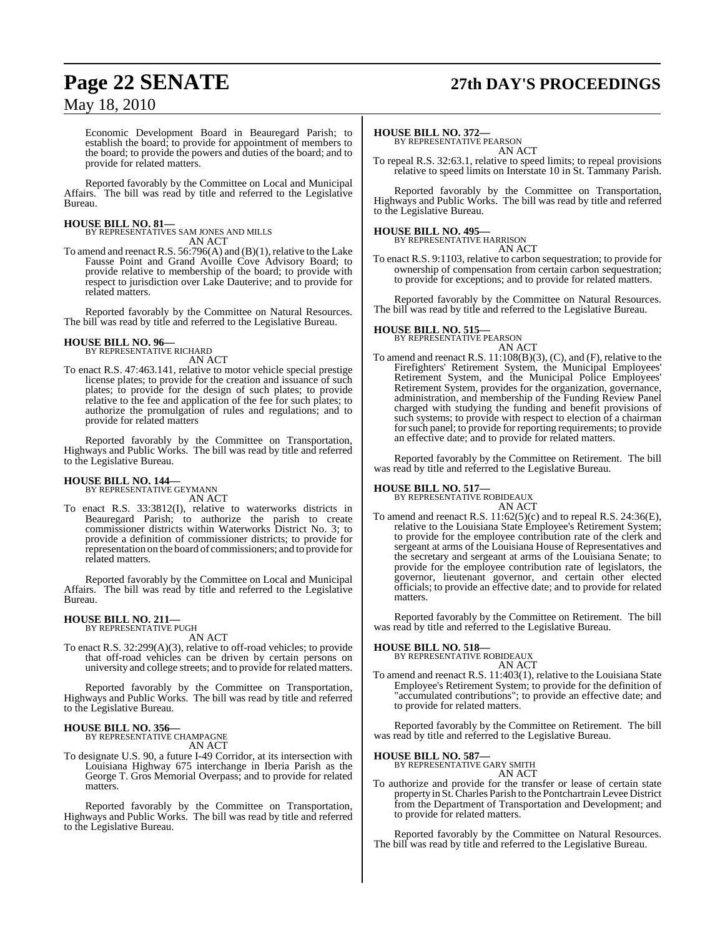# **Page 22 SENATE 27th DAY'S PROCEEDINGS**

## May 18, 2010

Economic Development Board in Beauregard Parish; to establish the board; to provide for appointment of members to the board; to provide the powers and duties of the board; and to provide for related matters.

Reported favorably by the Committee on Local and Municipal Affairs. The bill was read by title and referred to the Legislative Bureau.

#### **HOUSE BILL NO. 81—**

BY REPRESENTATIVES SAM JONES AND MILLS AN ACT

To amend and reenact R.S.  $56:796(A)$  and  $(B)(1)$ , relative to the Lake Fausse Point and Grand Avoille Cove Advisory Board; to provide relative to membership of the board; to provide with respect to jurisdiction over Lake Dauterive; and to provide for related matters.

Reported favorably by the Committee on Natural Resources. The bill was read by title and referred to the Legislative Bureau.

# **HOUSE BILL NO. 96—** BY REPRESENTATIVE RICHARD

AN ACT

To enact R.S. 47:463.141, relative to motor vehicle special prestige license plates; to provide for the creation and issuance of such plates; to provide for the design of such plates; to provide relative to the fee and application of the fee for such plates; to authorize the promulgation of rules and regulations; and to provide for related matters

Reported favorably by the Committee on Transportation, Highways and Public Works. The bill was read by title and referred to the Legislative Bureau.

# **HOUSE BILL NO. 144—** BY REPRESENTATIVE GEYMANN

AN ACT

To enact R.S. 33:3812(I), relative to waterworks districts in Beauregard Parish; to authorize the parish to create commissioner districts within Waterworks District No. 3; to provide a definition of commissioner districts; to provide for representation on the board of commissioners; and to provide for related matters.

Reported favorably by the Committee on Local and Municipal Affairs. The bill was read by title and referred to the Legislative Bureau.

#### **HOUSE BILL NO. 211—** BY REPRESENTATIVE PUGH

AN ACT

To enact R.S. 32:299(A)(3), relative to off-road vehicles; to provide that off-road vehicles can be driven by certain persons on university and college streets; and to provide for related matters.

Reported favorably by the Committee on Transportation, Highways and Public Works. The bill was read by title and referred to the Legislative Bureau.

# **HOUSE BILL NO. 356—** BY REPRESENTATIVE CHAMPAGNE

AN ACT

To designate U.S. 90, a future I-49 Corridor, at its intersection with Louisiana Highway 675 interchange in Iberia Parish as the George T. Gros Memorial Overpass; and to provide for related matters.

Reported favorably by the Committee on Transportation, Highways and Public Works. The bill was read by title and referred to the Legislative Bureau.

#### **HOUSE BILL NO. 372—**

BY REPRESENTATIVE PEARSON AN ACT

To repeal R.S. 32:63.1, relative to speed limits; to repeal provisions relative to speed limits on Interstate 10 in St. Tammany Parish.

Reported favorably by the Committee on Transportation, Highways and Public Works. The bill was read by title and referred to the Legislative Bureau.

# **HOUSE BILL NO. 495—** BY REPRESENTATIVE HARRISON

AN ACT

To enact R.S. 9:1103, relative to carbon sequestration; to provide for ownership of compensation from certain carbon sequestration; to provide for exceptions; and to provide for related matters.

Reported favorably by the Committee on Natural Resources. The bill was read by title and referred to the Legislative Bureau.

#### **HOUSE BILL NO. 515—** BY REPRESENTATIVE PEARSON

AN ACT

To amend and reenact R.S. 11:108(B)(3), (C), and (F), relative to the Firefighters' Retirement System, the Municipal Employees' Retirement System, and the Municipal Police Employees' Retirement System, provides for the organization, governance, administration, and membership of the Funding Review Panel charged with studying the funding and benefit provisions of such systems; to provide with respect to election of a chairman for such panel; to provide for reporting requirements; to provide an effective date; and to provide for related matters.

Reported favorably by the Committee on Retirement. The bill was read by title and referred to the Legislative Bureau.

### **HOUSE BILL NO. 517—**

BY REPRESENTATIVE ROBIDEAUX AN ACT

To amend and reenact R.S. 11:62(5)(c) and to repeal R.S. 24:36(E), relative to the Louisiana State Employee's Retirement System; to provide for the employee contribution rate of the clerk and sergeant at arms of the Louisiana House of Representatives and the secretary and sergeant at arms of the Louisiana Senate; to provide for the employee contribution rate of legislators, the governor, lieutenant governor, and certain other elected officials; to provide an effective date; and to provide for related matters.

Reported favorably by the Committee on Retirement. The bill was read by title and referred to the Legislative Bureau.

# **HOUSE BILL NO. 518—** BY REPRESENTATIVE ROBIDEAUX

AN ACT

To amend and reenact R.S. 11:403(1), relative to the Louisiana State Employee's Retirement System; to provide for the definition of "accumulated contributions"; to provide an effective date; and to provide for related matters.

Reported favorably by the Committee on Retirement. The bill was read by title and referred to the Legislative Bureau.

# **HOUSE BILL NO. 587—** BY REPRESENTATIVE GARY SMITH

AN ACT

To authorize and provide for the transfer or lease of certain state property in St. Charles Parish to the Pontchartrain Levee District from the Department of Transportation and Development; and to provide for related matters.

Reported favorably by the Committee on Natural Resources. The bill was read by title and referred to the Legislative Bureau.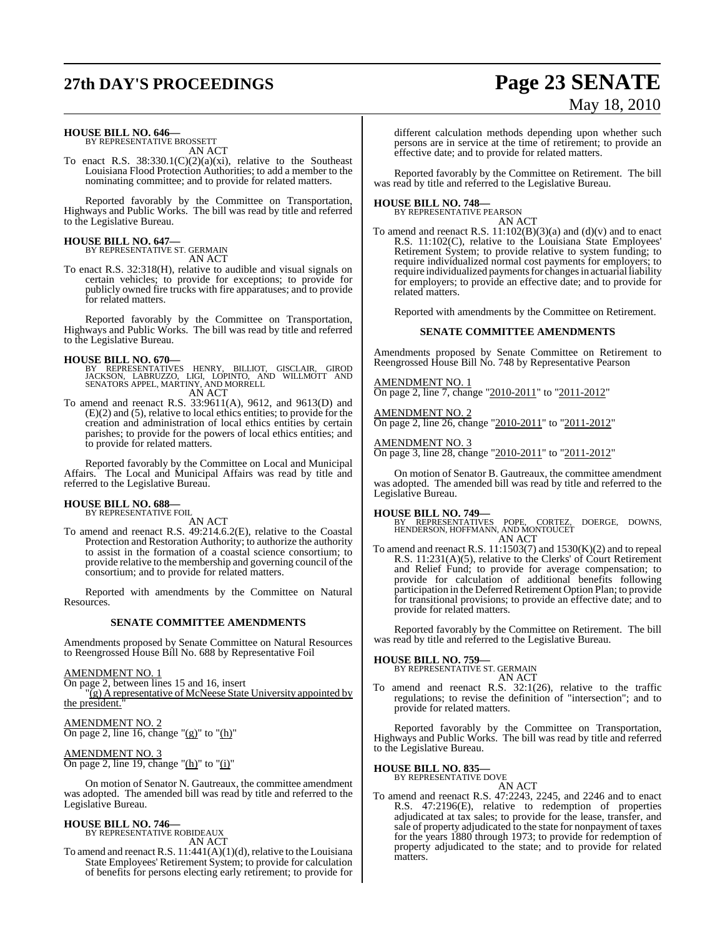# **27th DAY'S PROCEEDINGS Page 23 SENATE**

# May 18, 2010

# **HOUSE BILL NO. 646—** BY REPRESENTATIVE BROSSETT

AN ACT

To enact R.S. 38:330.1(C)(2)(a)(xi), relative to the Southeast Louisiana Flood Protection Authorities; to add a member to the nominating committee; and to provide for related matters.

Reported favorably by the Committee on Transportation, Highways and Public Works. The bill was read by title and referred to the Legislative Bureau.

# **HOUSE BILL NO. 647—** BY REPRESENTATIVE ST. GERMAIN

AN ACT

To enact R.S. 32:318(H), relative to audible and visual signals on certain vehicles; to provide for exceptions; to provide for publicly owned fire trucks with fire apparatuses; and to provide for related matters.

Reported favorably by the Committee on Transportation, Highways and Public Works. The bill was read by title and referred to the Legislative Bureau.

- **HOUSE BILL NO. 670—** BY REPRESENTATIVES HENRY, BILLIOT, GISCLAIR, GIROD JACKSON, LABRUZZO, LIGI, LOPINTO, AND WILLMOTT AND SENATORS APPEL, MARTINY, AND MORRELL AN ACT
- To amend and reenact R.S. 33:9611(A), 9612, and 9613(D) and (E)(2) and (5), relative to local ethics entities; to provide for the creation and administration of local ethics entities by certain parishes; to provide for the powers of local ethics entities; and to provide for related matters.

Reported favorably by the Committee on Local and Municipal Affairs. The Local and Municipal Affairs was read by title and referred to the Legislative Bureau.

# **HOUSE BILL NO. 688—** BY REPRESENTATIVE FOIL

AN ACT

To amend and reenact R.S. 49:214.6.2(E), relative to the Coastal Protection and Restoration Authority; to authorize the authority to assist in the formation of a coastal science consortium; to provide relative to the membership and governing council of the consortium; and to provide for related matters.

Reported with amendments by the Committee on Natural Resources.

#### **SENATE COMMITTEE AMENDMENTS**

Amendments proposed by Senate Committee on Natural Resources to Reengrossed House Bill No. 688 by Representative Foil

AMENDMENT NO. 1

On page 2, between lines 15 and 16, insert  $\overline{g}$ ) A representative of McNeese State University appointed by the president.

## AMENDMENT NO. 2

On page 2, line 16, change " $(g)$ " to " $(h)$ "

#### AMENDMENT NO. 3

On page 2, line 19, change "(h)" to "(i)"

On motion of Senator N. Gautreaux, the committee amendment was adopted. The amended bill was read by title and referred to the Legislative Bureau.

#### **HOUSE BILL NO. 746—**

BY REPRESENTATIVE ROBIDEAUX AN ACT

To amend and reenact R.S. 11:441(A)(1)(d), relative to the Louisiana State Employees' Retirement System; to provide for calculation of benefits for persons electing early retirement; to provide for

different calculation methods depending upon whether such persons are in service at the time of retirement; to provide an effective date; and to provide for related matters.

Reported favorably by the Committee on Retirement. The bill was read by title and referred to the Legislative Bureau.

#### **HOUSE BILL NO. 748—**

BY REPRESENTATIVE PEARSON AN ACT

To amend and reenact R.S.  $11:102(B)(3)(a)$  and  $(d)(v)$  and to enact R.S. 11:102(C), relative to the Louisiana State Employees' Retirement System; to provide relative to system funding; to require individualized normal cost payments for employers; to require individualized payments for changes in actuarial liability for employers; to provide an effective date; and to provide for related matters.

Reported with amendments by the Committee on Retirement.

#### **SENATE COMMITTEE AMENDMENTS**

Amendments proposed by Senate Committee on Retirement to Reengrossed House Bill No. 748 by Representative Pearson

#### AMENDMENT NO. 1

On page 2, line 7, change "2010-2011" to "2011-2012"

AMENDMENT NO. 2 On page 2, line 26, change "2010-2011" to "2011-2012"

AMENDMENT NO. 3

On page 3, line 28, change "2010-2011" to "2011-2012"

On motion of Senator B. Gautreaux, the committee amendment was adopted. The amended bill was read by title and referred to the Legislative Bureau.

**HOUSE BILL NO. 749—** BY REPRESENTATIVES POPE, CORTEZ, DOERGE, DOWNS, HENDERSON, HOFFMANN, AND MONTOUCET AN ACT

To amend and reenact R.S.  $11:1503(7)$  and  $1530(K)(2)$  and to repeal R.S. 11:231(A)(5), relative to the Clerks' of Court Retirement and Relief Fund; to provide for average compensation; to provide for calculation of additional benefits following participation in the Deferred Retirement Option Plan; to provide for transitional provisions; to provide an effective date; and to provide for related matters.

Reported favorably by the Committee on Retirement. The bill was read by title and referred to the Legislative Bureau.

#### **HOUSE BILL NO. 759—**

BY REPRESENTATIVE ST. GERMAIN AN ACT

To amend and reenact R.S. 32:1(26), relative to the traffic regulations; to revise the definition of "intersection"; and to provide for related matters.

Reported favorably by the Committee on Transportation, Highways and Public Works. The bill was read by title and referred to the Legislative Bureau.

# **HOUSE BILL NO. 835—** BY REPRESENTATIVE DOVE

AN ACT

To amend and reenact R.S. 47:2243, 2245, and 2246 and to enact R.S. 47:2196(E), relative to redemption of properties adjudicated at tax sales; to provide for the lease, transfer, and sale of property adjudicated to the state for nonpayment of taxes for the years 1880 through 1973; to provide for redemption of property adjudicated to the state; and to provide for related matters.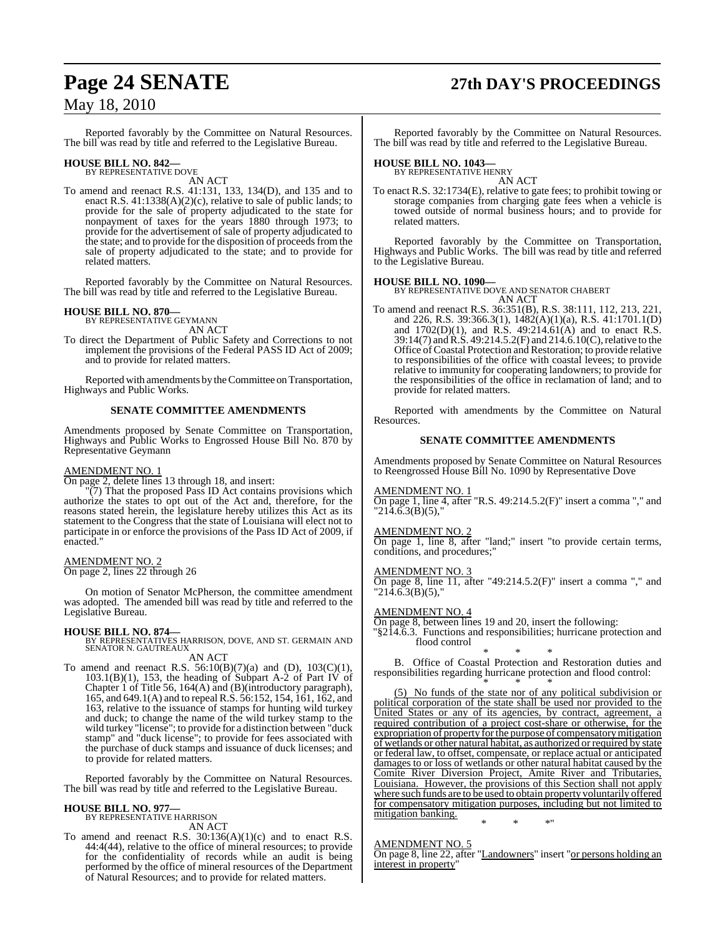# **Page 24 SENATE 27th DAY'S PROCEEDINGS**

## May 18, 2010

Reported favorably by the Committee on Natural Resources. The bill was read by title and referred to the Legislative Bureau.

# **HOUSE BILL NO. 842—** BY REPRESENTATIVE DOVE

AN ACT

To amend and reenact R.S. 41:131, 133, 134(D), and 135 and to enact R.S. 41:1338(A)(2)(c), relative to sale of public lands; to provide for the sale of property adjudicated to the state for nonpayment of taxes for the years 1880 through 1973; to provide for the advertisement of sale of property adjudicated to the state; and to provide for the disposition of proceeds from the sale of property adjudicated to the state; and to provide for related matters.

Reported favorably by the Committee on Natural Resources. The bill was read by title and referred to the Legislative Bureau.

#### **HOUSE BILL NO. 870—**

BY REPRESENTATIVE GEYMANN

AN ACT To direct the Department of Public Safety and Corrections to not implement the provisions of the Federal PASS ID Act of 2009; and to provide for related matters.

Reported with amendments by theCommittee on Transportation, Highways and Public Works.

#### **SENATE COMMITTEE AMENDMENTS**

Amendments proposed by Senate Committee on Transportation, Highways and Public Works to Engrossed House Bill No. 870 by Representative Geymann

#### AMENDMENT NO. 1

On page 2, delete lines 13 through 18, and insert:

"(7) That the proposed Pass ID Act contains provisions which authorize the states to opt out of the Act and, therefore, for the reasons stated herein, the legislature hereby utilizes this Act as its statement to the Congress that the state of Louisiana will elect not to participate in or enforce the provisions of the Pass ID Act of 2009, if enacted."

### AMENDMENT NO. 2

On page 2, lines 22 through 26

On motion of Senator McPherson, the committee amendment was adopted. The amended bill was read by title and referred to the Legislative Bureau.

#### **HOUSE BILL NO. 874—**

BY REPRESENTATIVES HARRISON, DOVE, AND ST. GERMAIN AND SENATOR N. GAUTREAUX AN ACT

To amend and reenact R.S.  $56:10(B)(7)(a)$  and (D),  $103(C)(1)$ , 103.1(B)(1), 153, the heading of Subpart A-2 of Part IV of Chapter 1 of Title 56, 164(A) and (B)(introductory paragraph), 165, and 649.1(A) and to repeal R.S. 56:152, 154, 161, 162, and 163, relative to the issuance of stamps for hunting wild turkey and duck; to change the name of the wild turkey stamp to the wild turkey "license"; to provide for a distinction between "duck stamp" and "duck license"; to provide for fees associated with the purchase of duck stamps and issuance of duck licenses; and to provide for related matters.

Reported favorably by the Committee on Natural Resources. The bill was read by title and referred to the Legislative Bureau.

#### **HOUSE BILL NO. 977—**

BY REPRESENTATIVE HARRISON AN ACT

To amend and reenact R.S.  $30:136(A)(1)(c)$  and to enact R.S. 44:4(44), relative to the office of mineral resources; to provide for the confidentiality of records while an audit is being performed by the office of mineral resources of the Department of Natural Resources; and to provide for related matters.

Reported favorably by the Committee on Natural Resources. The bill was read by title and referred to the Legislative Bureau.

# **HOUSE BILL NO. 1043—** BY REPRESENTATIVE HENRY

AN ACT

To enact R.S. 32:1734(E), relative to gate fees; to prohibit towing or storage companies from charging gate fees when a vehicle is towed outside of normal business hours; and to provide for related matters.

Reported favorably by the Committee on Transportation, Highways and Public Works. The bill was read by title and referred to the Legislative Bureau.

#### **HOUSE BILL NO. 1090—**

BY REPRESENTATIVE DOVE AND SENATOR CHABERT AN ACT

To amend and reenact R.S. 36:351(B), R.S. 38:111, 112, 213, 221, and 226, R.S. 39:366.3(1), 1482(A)(1)(a), R.S. 41:1701.1(D) and 1702(D)(1), and R.S. 49:214.61(A) and to enact R.S. 39:14(7) and R.S. 49:214.5.2(F) and 214.6.10(C), relative to the Office of Coastal Protection and Restoration; to provide relative to responsibilities of the office with coastal levees; to provide relative to immunity for cooperating landowners; to provide for the responsibilities of the office in reclamation of land; and to provide for related matters.

Reported with amendments by the Committee on Natural Resources.

#### **SENATE COMMITTEE AMENDMENTS**

Amendments proposed by Senate Committee on Natural Resources to Reengrossed House Bill No. 1090 by Representative Dove

#### AMENDMENT NO. 1

On page 1, line 4, after "R.S. 49:214.5.2(F)" insert a comma "," and  $'21\overline{4}.\overline{6}.\overline{3}(\overline{B})(5),$ 

#### AMENDMENT NO. 2

On page 1, line 8, after "land;" insert "to provide certain terms, conditions, and procedures;"

#### AMENDMENT NO. 3

On page 8, line 11, after "49:214.5.2(F)" insert a comma "," and "214.6.3(B)(5),"

#### AMENDMENT NO. 4

On page 8, between lines 19 and 20, insert the following: "§214.6.3. Functions and responsibilities; hurricane protection and flood control

\* \* \* B. Office of Coastal Protection and Restoration duties and responsibilities regarding hurricane protection and flood control:

# \* \* \*

(5) No funds of the state nor of any political subdivision or political corporation of the state shall be used nor provided to the United States or any of its agencies, by contract, agreement, a required contribution of a project cost-share or otherwise, for the expropriation of property for the purpose of compensatory mitigation of wetlands or other natural habitat, as authorized or required by state or federal law, to offset, compensate, or replace actual or anticipated damages to or loss of wetlands or other natural habitat caused by the Comite River Diversion Project, Amite River and Tributaries, Louisiana. However, the provisions of this Section shall not apply where such funds are to be used to obtain property voluntarily offered for compensatory mitigation purposes, including but not limited to mitigation banking. \* \* \*"

#### AMENDMENT NO. 5

On page 8, line 22, after "Landowners" insert "or persons holding an interest in property"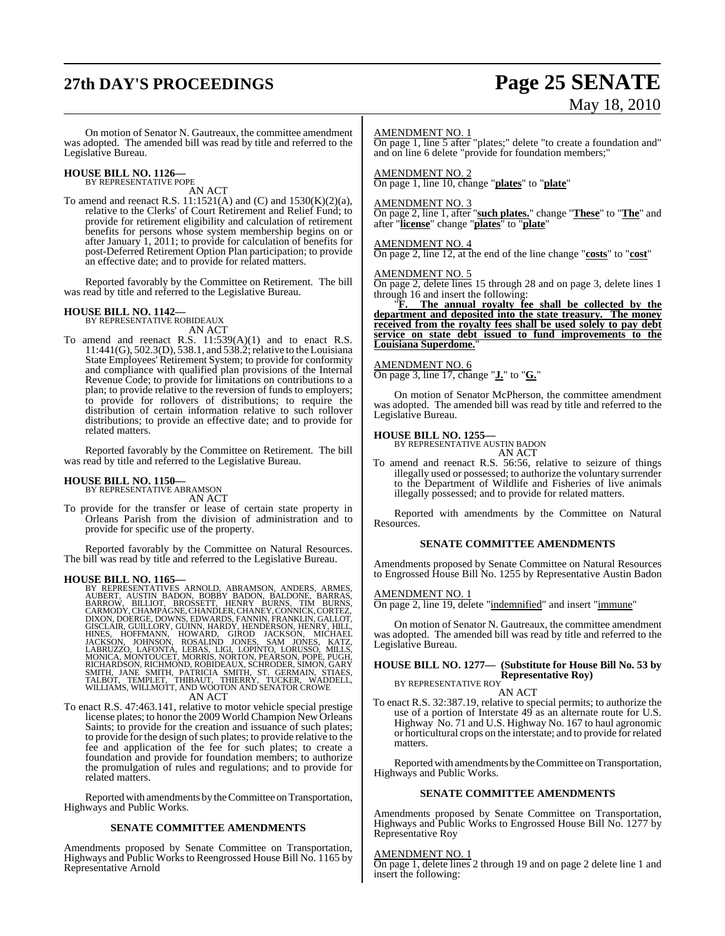# **27th DAY'S PROCEEDINGS Page 25 SENATE**

# May 18, 2010

On motion of Senator N. Gautreaux, the committee amendment was adopted. The amended bill was read by title and referred to the Legislative Bureau.

# **HOUSE BILL NO. 1126—** BY REPRESENTATIVE POPE

AN ACT

To amend and reenact R.S. 11:1521(A) and (C) and 1530(K)(2)(a), relative to the Clerks' of Court Retirement and Relief Fund; to provide for retirement eligibility and calculation of retirement benefits for persons whose system membership begins on or after January 1, 2011; to provide for calculation of benefits for post-Deferred Retirement Option Plan participation; to provide an effective date; and to provide for related matters.

Reported favorably by the Committee on Retirement. The bill was read by title and referred to the Legislative Bureau.

**HOUSE BILL NO. 1142—** BY REPRESENTATIVE ROBIDEAUX AN ACT

To amend and reenact R.S.  $11:539(A)(1)$  and to enact R.S. 11:441(G), 502.3(D), 538.1, and 538.2; relative to the Louisiana State Employees' Retirement System; to provide for conformity and compliance with qualified plan provisions of the Internal Revenue Code; to provide for limitations on contributions to a plan; to provide relative to the reversion of funds to employers; to provide for rollovers of distributions; to require the distribution of certain information relative to such rollover distributions; to provide an effective date; and to provide for related matters.

Reported favorably by the Committee on Retirement. The bill was read by title and referred to the Legislative Bureau.

# **HOUSE BILL NO. 1150—** BY REPRESENTATIVE ABRAMSON

AN ACT

To provide for the transfer or lease of certain state property in Orleans Parish from the division of administration and to provide for specific use of the property.

Reported favorably by the Committee on Natural Resources. The bill was read by title and referred to the Legislative Bureau.

HOUSE BILL NO. 1165—<br>
BY REPRESENTATIVES ARNOLD, ABRAMSON, ANDERS, ARMES, AUBERT, AUSTIN BADON, BOBBY BADON, BALDONE, BARRAS, BARROW, BILLIOT, BROSSETT, HENRY BURNS, TIM BURNS, CARMODY, CHAMPAGONE, CHANDER, CHANEY, CORTEZ,

#### To enact R.S. 47:463.141, relative to motor vehicle special prestige license plates; to honor the 2009 World Champion New Orleans Saints; to provide for the creation and issuance of such plates; to provide for the design of such plates; to provide relative to the fee and application of the fee for such plates; to create a foundation and provide for foundation members; to authorize the promulgation of rules and regulations; and to provide for related matters.

Reported with amendments by theCommittee on Transportation, Highways and Public Works.

#### **SENATE COMMITTEE AMENDMENTS**

Amendments proposed by Senate Committee on Transportation, Highways and Public Worksto Reengrossed House Bill No. 1165 by Representative Arnold

#### AMENDMENT NO. 1

On page 1, line 5 after "plates;" delete "to create a foundation and" and on line 6 delete "provide for foundation members;"

AMENDMENT NO. 2 On page 1, line 10, change "**plates**" to "**plate**"

#### AMENDMENT NO. 3

On page 2, line 1, after "**such plates.**" change "**These**" to "**The**" and after "**license**" change "**plates**" to "**plate**"

#### AMENDMENT NO. 4

On page 2, line 12, at the end of the line change "**costs**" to "**cost**"

#### AMENDMENT NO. 5

On page 2, delete lines 15 through 28 and on page 3, delete lines 1 through 16 and insert the following:

"**F. The annual royalty fee shall be collected by the department and deposited into the state treasury. The money received from the royalty fees shall be used solely to pay debt service on state debt issued to fund improvements to the** Louisiana Superdome.

#### AMENDMENT NO. 6

On page 3, line 17, change "**J.**" to "**G.**"

On motion of Senator McPherson, the committee amendment was adopted. The amended bill was read by title and referred to the Legislative Bureau.

# **HOUSE BILL NO. 1255—** BY REPRESENTATIVE AUSTIN BADON

AN ACT

To amend and reenact R.S. 56:56, relative to seizure of things illegally used or possessed; to authorize the voluntary surrender to the Department of Wildlife and Fisheries of live animals illegally possessed; and to provide for related matters.

Reported with amendments by the Committee on Natural Resources.

#### **SENATE COMMITTEE AMENDMENTS**

Amendments proposed by Senate Committee on Natural Resources to Engrossed House Bill No. 1255 by Representative Austin Badon

#### <u>AMENDMENT NO. 1</u>

On page 2, line 19, delete "indemnified" and insert "immune"

On motion of Senator N. Gautreaux, the committee amendment was adopted. The amended bill was read by title and referred to the Legislative Bureau.

#### **HOUSE BILL NO. 1277— (Substitute for House Bill No. 53 by Representative Roy)** BY REPRESENTATIVE ROY

AN ACT

To enact R.S. 32:387.19, relative to special permits; to authorize the use of a portion of Interstate 49 as an alternate route for U.S. Highway No. 71 and U.S. Highway No. 167 to haul agronomic or horticultural crops on the interstate; and to provide for related matters.

Reported with amendments by the Committee on Transportation, Highways and Public Works.

#### **SENATE COMMITTEE AMENDMENTS**

Amendments proposed by Senate Committee on Transportation, Highways and Public Works to Engrossed House Bill No. 1277 by Representative Roy

#### AMENDMENT NO. 1

On page 1, delete lines 2 through 19 and on page 2 delete line 1 and insert the following: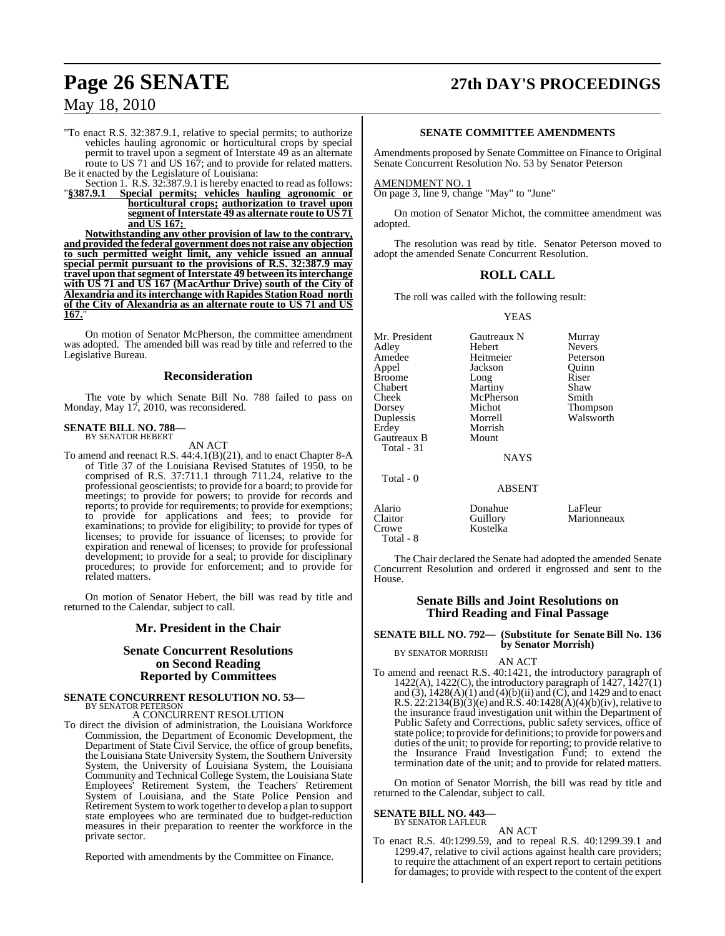# **Page 26 SENATE 27th DAY'S PROCEEDINGS**

## May 18, 2010

"To enact R.S. 32:387.9.1, relative to special permits; to authorize vehicles hauling agronomic or horticultural crops by special permit to travel upon a segment of Interstate 49 as an alternate route to US 71 and US 167; and to provide for related matters. Be it enacted by the Legislature of Louisiana:

Section 1. R.S. 32:387.9.1 is hereby enacted to read as follows:<br>"\$387.9.1 Special permits; vehicles hauling agronomic or

"**§387.9.1 Special permits; vehicles hauling agronomic or horticultural crops; authorization to travel upon segment** of Interstate 49 as alternate route to US 71 **and US 167;** 

**Notwithstanding any other provision of law to the contrary, and provided the federal government does not raise any objection to such permitted weight limit, any vehicle issued an annual special permit pursuant to the provisions of R.S. 32:387.9 may travel upon that segment of Interstate 49 between its interchange with US 71 and US 167 (MacArthur Drive) south of the City of Alexandria and its interchange with Rapides Station Road north of the City of Alexandria as an alternate route to US 71 and US 167.**"

On motion of Senator McPherson, the committee amendment was adopted. The amended bill was read by title and referred to the Legislative Bureau.

#### **Reconsideration**

The vote by which Senate Bill No. 788 failed to pass on Monday, May 17, 2010, was reconsidered.

#### **SENATE BILL NO. 788—** BY SENATOR HEBERT

AN ACT

To amend and reenact R.S. 44:4.1(B)(21), and to enact Chapter 8-A of Title 37 of the Louisiana Revised Statutes of 1950, to be comprised of R.S. 37:711.1 through 711.24, relative to the professional geoscientists; to provide for a board; to provide for meetings; to provide for powers; to provide for records and reports; to provide for requirements; to provide for exemptions; to provide for applications and fees; to provide for examinations; to provide for eligibility; to provide for types of licenses; to provide for issuance of licenses; to provide for expiration and renewal of licenses; to provide for professional development; to provide for a seal; to provide for disciplinary procedures; to provide for enforcement; and to provide for related matters.

On motion of Senator Hebert, the bill was read by title and returned to the Calendar, subject to call.

#### **Mr. President in the Chair**

#### **Senate Concurrent Resolutions on Second Reading Reported by Committees**

#### **SENATE CONCURRENT RESOLUTION NO. 53—** BY SENATOR PETERSON

A CONCURRENT RESOLUTION

To direct the division of administration, the Louisiana Workforce Commission, the Department of Economic Development, the Department of State Civil Service, the office of group benefits, the Louisiana State University System, the Southern University System, the University of Louisiana System, the Louisiana Community and Technical College System, the Louisiana State Employees' Retirement System, the Teachers' Retirement System of Louisiana, and the State Police Pension and Retirement Systemto work together to develop a plan to support state employees who are terminated due to budget-reduction measures in their preparation to reenter the workforce in the private sector.

Reported with amendments by the Committee on Finance.

#### **SENATE COMMITTEE AMENDMENTS**

Amendments proposed by Senate Committee on Finance to Original Senate Concurrent Resolution No. 53 by Senator Peterson

## AMENDMENT NO. 1

On page 3, line 9, change "May" to "June"

On motion of Senator Michot, the committee amendment was adopted.

The resolution was read by title. Senator Peterson moved to adopt the amended Senate Concurrent Resolution.

#### **ROLL CALL**

The roll was called with the following result:

#### YEAS

Mr. President Gautreaux N Murray<br>Adley Hebert Nevers Amedee Heitmeier Peterson<br>Appel Jackson Quinn Broome Long Riser<br>
Chabert Martiny Shaw Chabert Martiny Shaw<br>Cheek McPherson Smith Cheek McPherson<br>Dorsey Michot Dorsey Michot Thompson Duplessis Morrell Walsworth Gautreaux B

Total - 31

Total - 0

Jackson Quinn<br>Long Riser Morrish<br>Mount

Nevers

**NAYS** 

ABSENT

Alario Donahue LaFleur Claitor Guillory Marionneaux Kostelka Total - 8

The Chair declared the Senate had adopted the amended Senate Concurrent Resolution and ordered it engrossed and sent to the House.

#### **Senate Bills and Joint Resolutions on Third Reading and Final Passage**

#### **SENATE BILL NO. 792— (Substitute for Senate Bill No. 136 by Senator Morrish)**

BY SENATOR MORRISH AN ACT

To amend and reenact R.S. 40:1421, the introductory paragraph of 1422(A), 1422(C), the introductory paragraph of  $1427$ ,  $1427(1)$ and (3), 1428(A)(1) and (4)(b)(ii) and (C), and 1429 and to enact R.S.  $22:2134(B)(3)$ (e) and R.S.  $40:1428(A)(4)(b)(iv)$ , relative to the insurance fraud investigation unit within the Department of Public Safety and Corrections, public safety services, office of state police; to provide for definitions; to provide for powers and duties of the unit; to provide for reporting; to provide relative to the Insurance Fraud Investigation Fund; to extend the termination date of the unit; and to provide for related matters.

On motion of Senator Morrish, the bill was read by title and returned to the Calendar, subject to call.

#### **SENATE BILL NO. 443—** BY SENATOR LAFLEUR

AN ACT

To enact R.S. 40:1299.59, and to repeal R.S. 40:1299.39.1 and 1299.47, relative to civil actions against health care providers; to require the attachment of an expert report to certain petitions for damages; to provide with respect to the content of the expert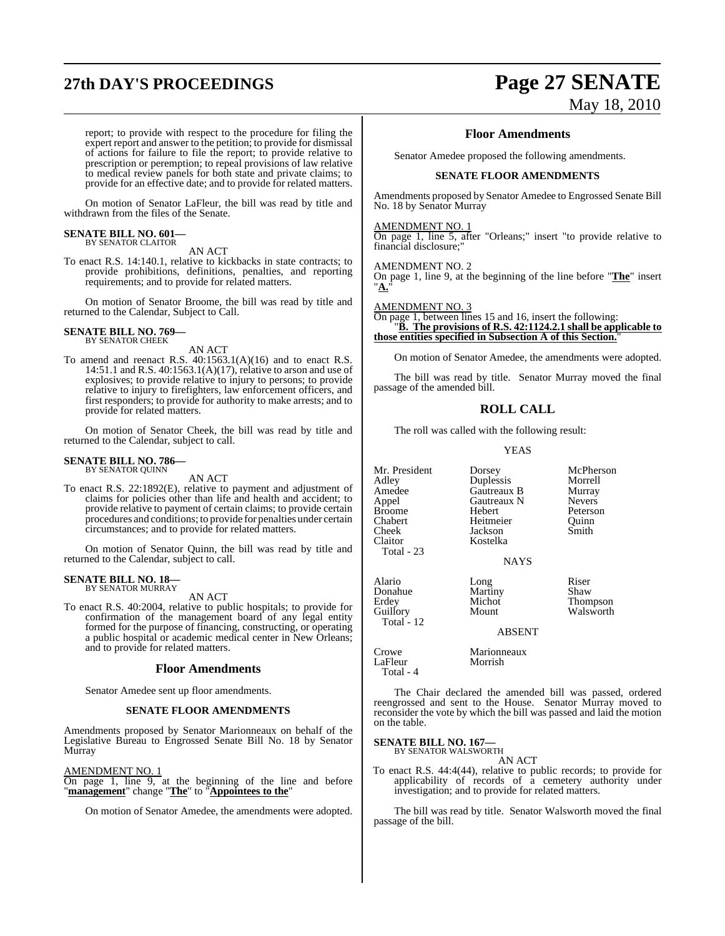# **27th DAY'S PROCEEDINGS Page 27 SENATE**

# May 18, 2010

report; to provide with respect to the procedure for filing the expert report and answer to the petition; to provide for dismissal of actions for failure to file the report; to provide relative to prescription or peremption; to repeal provisions of law relative to medical review panels for both state and private claims; to provide for an effective date; and to provide for related matters.

On motion of Senator LaFleur, the bill was read by title and withdrawn from the files of the Senate.

#### **SENATE BILL NO. 601—** BY SENATOR CLAITOR

AN ACT

To enact R.S. 14:140.1, relative to kickbacks in state contracts; to provide prohibitions, definitions, penalties, and reporting requirements; and to provide for related matters.

On motion of Senator Broome, the bill was read by title and returned to the Calendar, Subject to Call.

# **SENATE BILL NO. 769—** BY SENATOR CHEEK

AN ACT

To amend and reenact R.S. 40:1563.1(A)(16) and to enact R.S. 14:51.1 and R.S. 40:1563.1(A)(17), relative to arson and use of explosives; to provide relative to injury to persons; to provide relative to injury to firefighters, law enforcement officers, and first responders; to provide for authority to make arrests; and to provide for related matters.

On motion of Senator Cheek, the bill was read by title and returned to the Calendar, subject to call.

#### **SENATE BILL NO. 786—** BY SENATOR QUINN

AN ACT

To enact R.S. 22:1892(E), relative to payment and adjustment of claims for policies other than life and health and accident; to provide relative to payment of certain claims; to provide certain procedures and conditions; to provide for penalties under certain circumstances; and to provide for related matters.

On motion of Senator Quinn, the bill was read by title and returned to the Calendar, subject to call.

# **SENATE BILL NO. 18—** BY SENATOR MURRAY

AN ACT

To enact R.S. 40:2004, relative to public hospitals; to provide for confirmation of the management board of any legal entity formed for the purpose of financing, constructing, or operating a public hospital or academic medical center in New Orleans; and to provide for related matters.

#### **Floor Amendments**

Senator Amedee sent up floor amendments.

#### **SENATE FLOOR AMENDMENTS**

Amendments proposed by Senator Marionneaux on behalf of the Legislative Bureau to Engrossed Senate Bill No. 18 by Senator Murray

AM<u>ENDMENT NO. 1</u>

On page 1, line 9, at the beginning of the line and before "**management**" change "**The**" to "**Appointees to the**"

On motion of Senator Amedee, the amendments were adopted.

#### **Floor Amendments**

Senator Amedee proposed the following amendments.

#### **SENATE FLOOR AMENDMENTS**

Amendments proposed by Senator Amedee to Engrossed Senate Bill No. 18 by Senator Murray

#### AMENDMENT NO. 1

On page 1, line 5, after "Orleans;" insert "to provide relative to financial disclosure;"

AMENDMENT NO. 2

On page 1, line 9, at the beginning of the line before "**The**" insert "**A.**"

AMENDMENT NO. 3

On page 1, between lines 15 and 16, insert the following: "**B. The provisions of R.S. 42:1124.2.1 shall be applicable to those entities specified in Subsection A of this Section.**"

On motion of Senator Amedee, the amendments were adopted.

The bill was read by title. Senator Murray moved the final passage of the amended bill.

#### **ROLL CALL**

The roll was called with the following result:

#### YEAS

Mr. President Dorsey McPherson<br>Adley Duplessis Morrell Cheek Jackson<br>Claitor Kostelka Total - 23 Alario Long Riser<br>
Donahue Martiny Shaw Donahue Martiny<br>Erdey Michot

Kostelka

Adley **Duplessis** Morrell<br>Amedee **Cautreaux B** Murray Amedee Gautreaux B Murray<br>
Appel Gautreaux N Nevers Gautreaux N Nevers<br>
Hebert Peterson Broome Hebert Peterson<br>Chabert Heitmeier Quinn Chabert Heitmeier Quinn

Erdey Michot Thompson

 $W$ alsworth

## ABSENT

NAYS

Crowe Marionneaux<br>LaFleur Morrish Total - 4

Total<sup>-</sup> 12

The Chair declared the amended bill was passed, ordered reengrossed and sent to the House. Senator Murray moved to reconsider the vote by which the bill was passed and laid the motion on the table.

**SENATE BILL NO. 167—** BY SENATOR WALSWORTH

AN ACT

Morrish

To enact R.S. 44:4(44), relative to public records; to provide for applicability of records of a cemetery authority under investigation; and to provide for related matters.

The bill was read by title. Senator Walsworth moved the final passage of the bill.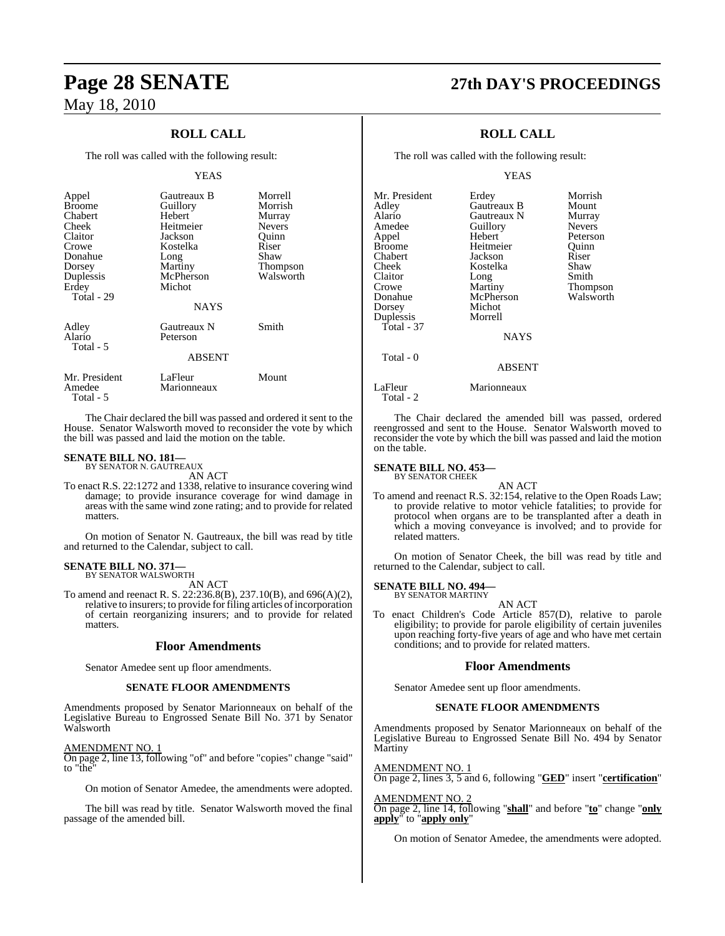## **ROLL CALL**

The roll was called with the following result:

#### YEAS

| Appel<br><b>Broome</b><br>Chabert<br>Cheek<br>Claitor<br>Crowe<br>Donahue<br>Dorsey<br>Duplessis<br>Erdey<br>Total - 29 | Gautreaux B<br>Guillory<br>Hebert<br>Heitmeier<br>Jackson<br>Kostelka<br>Long<br>Martiny<br>McPherson<br>Michot<br><b>NAYS</b> | Morrell<br>Morrish<br>Murray<br><b>Nevers</b><br>Ouinn<br>Riser<br>Shaw<br>Thompson<br>Walsworth |
|-------------------------------------------------------------------------------------------------------------------------|--------------------------------------------------------------------------------------------------------------------------------|--------------------------------------------------------------------------------------------------|
| Adley<br>Alario<br>Total - 5                                                                                            | Gautreaux N<br>Peterson<br><b>ABSENT</b>                                                                                       | Smith                                                                                            |
| Mr. President<br>Amedee                                                                                                 | LaFleur<br>Marionneaux                                                                                                         | Mount                                                                                            |

The Chair declared the bill was passed and ordered it sent to the House. Senator Walsworth moved to reconsider the vote by which the bill was passed and laid the motion on the table.

# **SENATE BILL NO. 181—** BY SENATOR N. GAUTREAUX

Total - 5

AN ACT

To enact R.S. 22:1272 and 1338, relative to insurance covering wind damage; to provide insurance coverage for wind damage in areas with the same wind zone rating; and to provide for related matters.

On motion of Senator N. Gautreaux, the bill was read by title and returned to the Calendar, subject to call.

# **SENATE BILL NO. 371—** BY SENATOR WALSWORTH

AN ACT

To amend and reenact R. S. 22:236.8(B), 237.10(B), and 696(A)(2), relative to insurers; to provide for filing articles of incorporation of certain reorganizing insurers; and to provide for related matters.

#### **Floor Amendments**

Senator Amedee sent up floor amendments.

#### **SENATE FLOOR AMENDMENTS**

Amendments proposed by Senator Marionneaux on behalf of the Legislative Bureau to Engrossed Senate Bill No. 371 by Senator Walsworth

AMENDMENT NO. 1

On page 2, line 13, following "of" and before "copies" change "said" to "the"

On motion of Senator Amedee, the amendments were adopted.

The bill was read by title. Senator Walsworth moved the final passage of the amended bill.

# **Page 28 SENATE 27th DAY'S PROCEEDINGS**

### **ROLL CALL**

The roll was called with the following result:

#### YEAS

| Mr. President        | Erdey         | Morrish       |
|----------------------|---------------|---------------|
| Adlev                | Gautreaux B   | Mount         |
| Alario               | Gautreaux N   | Murray        |
| Amedee               | Guillory      | <b>Nevers</b> |
| Appel                | Hebert        | Peterson      |
| Broome               | Heitmeier     | Ouinn         |
| Chabert              | Jackson       | Riser         |
| Cheek                | Kostelka      | Shaw          |
| Claitor              | Long          | Smith         |
| Crowe                | Martiny       | Thompson      |
| Donahue              | McPherson     | Walsworth     |
| Dorsey               | Michot        |               |
| Duplessis            | Morrell       |               |
| <b>Total - 37</b>    |               |               |
|                      | <b>NAYS</b>   |               |
| Total - 0            |               |               |
|                      | <b>ABSENT</b> |               |
| LaFleur<br>Total - 2 | Marionneaux   |               |

The Chair declared the amended bill was passed, ordered reengrossed and sent to the House. Senator Walsworth moved to reconsider the vote by which the bill was passed and laid the motion on the table.

# **SENATE BILL NO. 453—** BY SENATOR CHEEK

AN ACT

To amend and reenact R.S. 32:154, relative to the Open Roads Law; to provide relative to motor vehicle fatalities; to provide for protocol when organs are to be transplanted after a death in which a moving conveyance is involved; and to provide for related matters.

On motion of Senator Cheek, the bill was read by title and returned to the Calendar, subject to call.

#### **SENATE BILL NO. 494**

BY SENATOR MARTINY

AN ACT To enact Children's Code Article 857(D), relative to parole eligibility; to provide for parole eligibility of certain juveniles upon reaching forty-five years of age and who have met certain conditions; and to provide for related matters.

#### **Floor Amendments**

Senator Amedee sent up floor amendments.

#### **SENATE FLOOR AMENDMENTS**

Amendments proposed by Senator Marionneaux on behalf of the Legislative Bureau to Engrossed Senate Bill No. 494 by Senator Martiny

AMENDMENT NO. 1 On page 2, lines 3, 5 and 6, following "**GED**" insert "**certification**"

### AMENDMENT NO.

On page 2, line 14, following "**shall**" and before "**to**" change "**only apply**" to "**apply only**"

On motion of Senator Amedee, the amendments were adopted.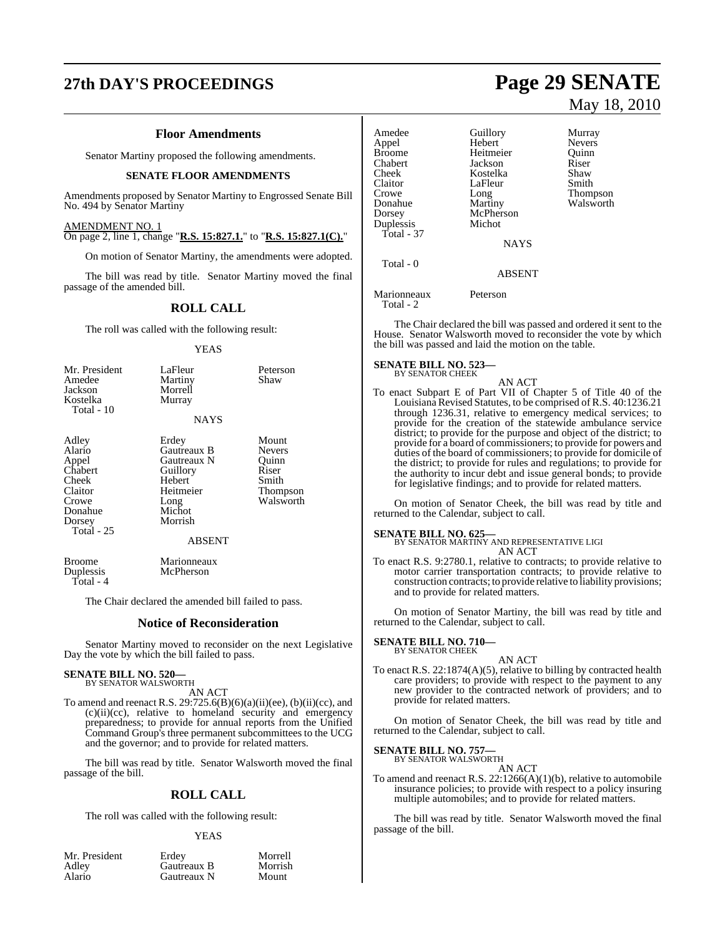# **27th DAY'S PROCEEDINGS Page 29 SENATE**

#### **Floor Amendments**

Senator Martiny proposed the following amendments.

#### **SENATE FLOOR AMENDMENTS**

Amendments proposed by Senator Martiny to Engrossed Senate Bill No. 494 by Senator Martiny

AMENDMENT NO. 1

On page 2, line 1, change "**R.S. 15:827.1.**" to "**R.S. 15:827.1(C).**"

On motion of Senator Martiny, the amendments were adopted.

The bill was read by title. Senator Martiny moved the final passage of the amended bill.

### **ROLL CALL**

The roll was called with the following result:

#### YEAS

| Mr. President<br>Amedee<br>Jackson<br>Kostelka<br>Total - 10                                        | LaFleur<br>Martiny<br>Morrell<br>Murray<br><b>NAYS</b>                                                               | Peterson<br>Shaw                                                           |
|-----------------------------------------------------------------------------------------------------|----------------------------------------------------------------------------------------------------------------------|----------------------------------------------------------------------------|
| Adley<br>Alario<br>Appel<br>Chabert<br>Cheek<br>Claitor<br>Crowe<br>Donahue<br>Dorsey<br>Total - 25 | Erdey<br>Gautreaux B<br>Gautreaux N<br>Guillory<br>Hebert<br>Heitmeier<br>Long<br>Michot<br>Morrish<br><b>ABSENT</b> | Mount<br><b>Nevers</b><br>Quinn<br>Riser<br>Smith<br>Thompson<br>Walsworth |
| $D_{\rm non}$                                                                                       | Morionnoouv                                                                                                          |                                                                            |

Broome Marionneaux<br>Dunlessis McPherson Total - 4

The Chair declared the amended bill failed to pass.

McPherson

#### **Notice of Reconsideration**

Senator Martiny moved to reconsider on the next Legislative Day the vote by which the bill failed to pass.

# **SENATE BILL NO. 520—** BY SENATOR WALSWORTH

AN ACT

To amend and reenact R.S. 29:725.6(B)(6)(a)(ii)(ee), (b)(ii)(cc), and  $(c)(ii)(cc)$ , relative to homeland security and emergency preparedness; to provide for annual reports from the Unified Command Group's three permanent subcommittees to the UCG and the governor; and to provide for related matters.

The bill was read by title. Senator Walsworth moved the final passage of the bill.

#### **ROLL CALL**

The roll was called with the following result:

#### **YEAS**

| Mr. President |  |  |
|---------------|--|--|
| Adley         |  |  |
| Alario        |  |  |

Erdey Morrell<br>
Gautreaux B Morrish Gautreaux B Morris<br>
Gautreaux N Mount Gautreaux N

```
Amedee Guillory Murray<br>Appel Hebert Nevers
Broome Heitmeier Quinn
Chabert Jackson Riser
Cheek Kostelka<br>Claitor LaFleur
Claitor LaFleur Smith<br>Crowe Long Thom
Crowe Long Long<br>
Donahue Martiny Walsworth
Dorsey McPherson<br>Duplessis Michot
Duplessis
  Total - 37
```
Hebert Nevers<br>
Heitmeier Ouinn

Walsworth

ABSENT

**NAYS** 

Marionneaux Peterson

Total - 2

Total - 0

The Chair declared the bill was passed and ordered it sent to the House. Senator Walsworth moved to reconsider the vote by which the bill was passed and laid the motion on the table.

# **SENATE BILL NO. 523—** BY SENATOR CHEEK

AN ACT To enact Subpart E of Part VII of Chapter 5 of Title 40 of the Louisiana Revised Statutes, to be comprised of R.S. 40:1236.21 through 1236.31, relative to emergency medical services; to provide for the creation of the statewide ambulance service district; to provide for the purpose and object of the district; to provide for a board of commissioners; to provide for powers and duties of the board of commissioners; to provide for domicile of the district; to provide for rules and regulations; to provide for the authority to incur debt and issue general bonds; to provide for legislative findings; and to provide for related matters.

On motion of Senator Cheek, the bill was read by title and returned to the Calendar, subject to call.

#### **SENATE BILL NO. 625—**

BY SENATOR MARTINY AND REPRESENTATIVE LIGI AN ACT

To enact R.S. 9:2780.1, relative to contracts; to provide relative to motor carrier transportation contracts; to provide relative to construction contracts; to provide relative to liability provisions; and to provide for related matters.

On motion of Senator Martiny, the bill was read by title and returned to the Calendar, subject to call.

#### **SENATE BILL NO. 710—**

BY SENATOR CHEEK

To enact R.S. 22:1874(A)(5), relative to billing by contracted health care providers; to provide with respect to the payment to any new provider to the contracted network of providers; and to provide for related matters.

AN ACT

On motion of Senator Cheek, the bill was read by title and returned to the Calendar, subject to call.

# **SENATE BILL NO. 757—** BY SENATOR WALSWORTH

AN ACT

To amend and reenact R.S. 22:1266(A)(1)(b), relative to automobile insurance policies; to provide with respect to a policy insuring multiple automobiles; and to provide for related matters.

The bill was read by title. Senator Walsworth moved the final passage of the bill.

# May 18, 2010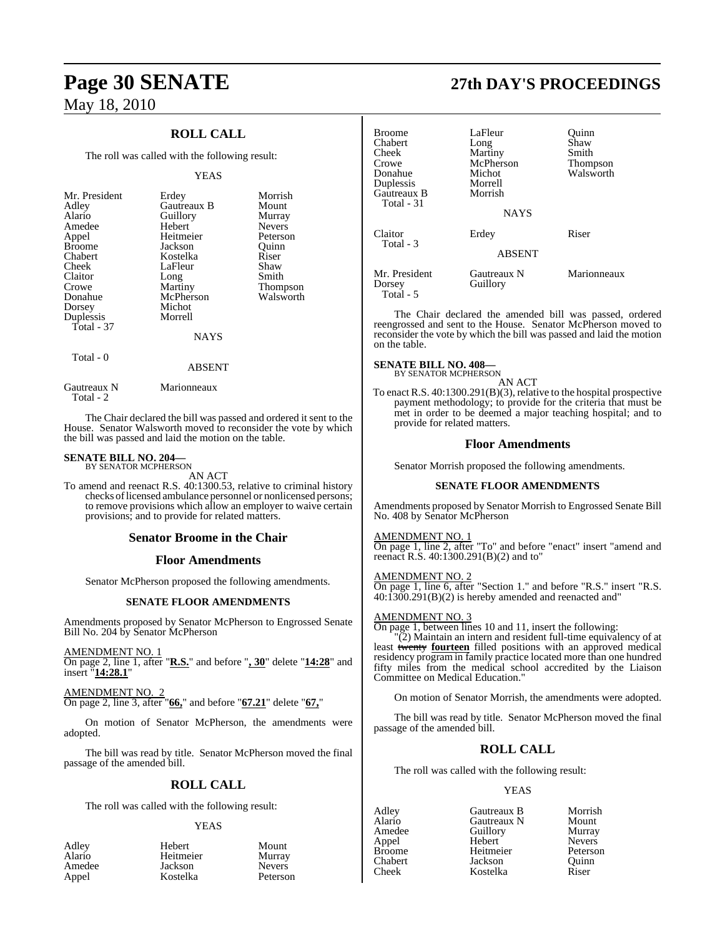## **ROLL CALL**

The roll was called with the following result:

#### YEAS

| Mr. President | Erdey       | Morrish         |
|---------------|-------------|-----------------|
| Adley         | Gautreaux B | Mount           |
| Alario        | Guillory    | Murray          |
| Amedee        | Hebert      | <b>Nevers</b>   |
| Appel         | Heitmeier   | Peterson        |
| <b>Broome</b> | Jackson     | Ouinn           |
| Chabert       | Kostelka    | Riser           |
| Cheek         | LaFleur     | Shaw            |
| Claitor       | Long        | Smith           |
| Crowe         | Martiny     | <b>Thompson</b> |
| Donahue       | McPherson   | Walsworth       |
| Dorsey        | Michot      |                 |
| Duplessis     | Morrell     |                 |
| Total - $37$  |             |                 |
|               | <b>NAYS</b> |                 |
| Total - 0     |             |                 |

Gautreaux N Marionneaux Total - 2

The Chair declared the bill was passed and ordered it sent to the House. Senator Walsworth moved to reconsider the vote by which the bill was passed and laid the motion on the table.

ABSENT

#### **SENATE BILL NO. 204—** BY SENATOR MCPHERSON

AN ACT

To amend and reenact R.S. 40:1300.53, relative to criminal history checks of licensed ambulance personnel or nonlicensed persons; to remove provisions which allow an employer to waive certain provisions; and to provide for related matters.

#### **Senator Broome in the Chair**

## **Floor Amendments**

Senator McPherson proposed the following amendments.

#### **SENATE FLOOR AMENDMENTS**

Amendments proposed by Senator McPherson to Engrossed Senate Bill No. 204 by Senator McPherson

AMENDMENT NO. 1 On page 2, line 1, after "**R.S.**" and before "**, 30**" delete "**14:28**" and insert "**14:28.1**"

#### AMENDMENT NO.

On page 2, line 3, after "**66,**" and before "**67.21**" delete "**67,**"

On motion of Senator McPherson, the amendments were adopted.

The bill was read by title. Senator McPherson moved the final passage of the amended bill.

#### **ROLL CALL**

The roll was called with the following result:

#### YEAS

| Adley  | Hebert    | Mount         |
|--------|-----------|---------------|
| Alario | Heitmeier | Murray        |
| Amedee | Jackson   | <b>Nevers</b> |
| Appel  | Kostelka  | Peterso       |

# **Page 30 SENATE 27th DAY'S PROCEEDINGS**

| <b>Broome</b><br>Chabert<br>Cheek<br>Crowe<br>Donahue<br>Duplessis<br>Gautreaux B<br>Total - 31 | LaFleur<br>Long<br>Martiny<br>McPherson<br>Michot<br>Morrell<br>Morrish<br><b>NAYS</b> | Ouinn<br>Shaw<br>Smith<br>Thompson<br>Walsworth |
|-------------------------------------------------------------------------------------------------|----------------------------------------------------------------------------------------|-------------------------------------------------|
| Claitor                                                                                         | Erdey                                                                                  | Riser                                           |
| Total - 3                                                                                       | <b>ABSENT</b>                                                                          |                                                 |
| Mr. President<br>Dorsey<br>Total - 5                                                            | Gautreaux N<br>Guillory                                                                | Marionneaux                                     |

The Chair declared the amended bill was passed, ordered reengrossed and sent to the House. Senator McPherson moved to reconsider the vote by which the bill was passed and laid the motion on the table.

#### **SENATE BILL NO. 408—**

BY SENATOR MCPHERSON AN ACT

To enact R.S. 40:1300.291(B)(3), relative to the hospital prospective payment methodology; to provide for the criteria that must be met in order to be deemed a major teaching hospital; and to provide for related matters.

#### **Floor Amendments**

Senator Morrish proposed the following amendments.

#### **SENATE FLOOR AMENDMENTS**

Amendments proposed by Senator Morrish to Engrossed Senate Bill No. 408 by Senator McPherson

#### AMENDMENT NO. 1

On page 1, line 2, after "To" and before "enact" insert "amend and reenact R.S. 40:1300.291(B)(2) and to"

#### AMENDMENT NO. 2

On page 1, line 6, after "Section 1." and before "R.S." insert "R.S. 40:1300.291(B)(2) is hereby amended and reenacted and"

#### AMENDMENT NO. 3

On page 1, between lines 10 and 11, insert the following:

"(2) Maintain an intern and resident full-time equivalency of at least twenty **fourteen** filled positions with an approved medical residency program in family practice located more than one hundred fifty miles from the medical school accredited by the Liaison Committee on Medical Education."

On motion of Senator Morrish, the amendments were adopted.

The bill was read by title. Senator McPherson moved the final passage of the amended bill.

#### **ROLL CALL**

The roll was called with the following result:

#### YEAS

Amedee Guillory<br>Appel Hebert Broome Heitmeier<br>Chabert Jackson

Adley Gautreaux B Morrish Alario Gautreaux N Mount Appel Hebert Nevers Chabert Jackson Quinn Kostelka Riser

Nevers Peterson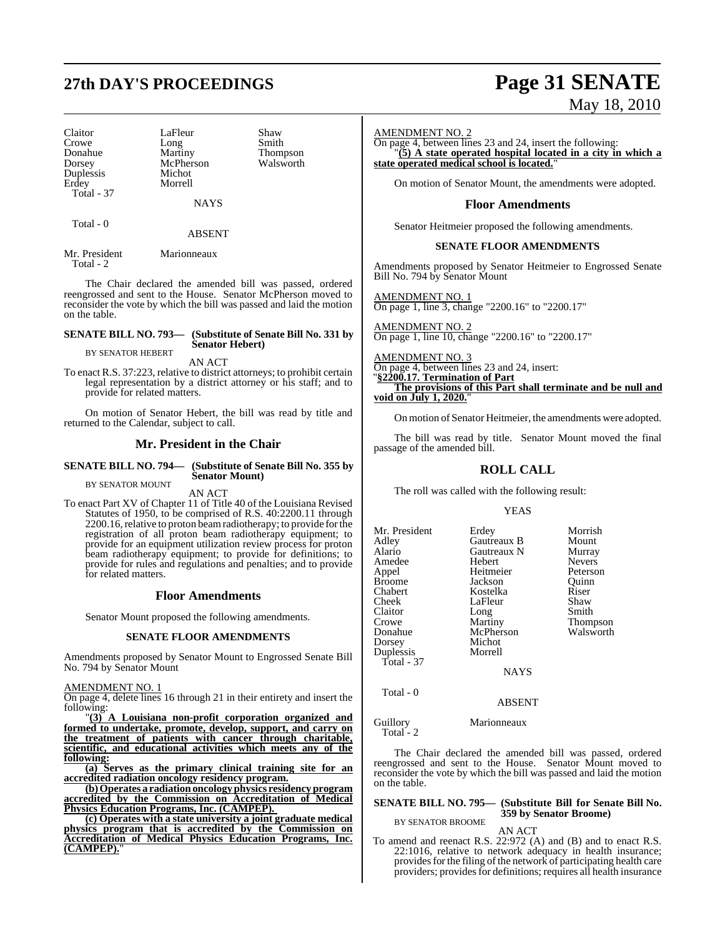# **27th DAY'S PROCEEDINGS Page 31 SENATE**

Claitor LaFleur Shaw<br>Crowe Long Smith Crowe Long<br>
Donahue Martiny Donahue Martiny Thompson<br>Dorsey McPherson Walsworth Duplessis Erdey Morrell Total - 37

McPherson<br>Michot

Total - 0

ABSENT

**NAYS** 

Mr. President Marionneaux Total - 2

The Chair declared the amended bill was passed, ordered reengrossed and sent to the House. Senator McPherson moved to reconsider the vote by which the bill was passed and laid the motion on the table.

#### **SENATE BILL NO. 793— (Substitute of Senate Bill No. 331 by Senator Hebert)**

BY SENATOR HEBERT

AN ACT

To enact R.S. 37:223, relative to district attorneys; to prohibit certain legal representation by a district attorney or his staff; and to provide for related matters.

On motion of Senator Hebert, the bill was read by title and returned to the Calendar, subject to call.

#### **Mr. President in the Chair**

**SENATE BILL NO. 794— (Substitute of Senate Bill No. 355 by Senator Mount)** BY SENATOR MOUNT

AN ACT

To enact Part XV of Chapter 11 of Title 40 of the Louisiana Revised Statutes of 1950, to be comprised of R.S. 40:2200.11 through 2200.16, relative to proton beam radiotherapy; to provide for the registration of all proton beam radiotherapy equipment; to provide for an equipment utilization review process for proton beam radiotherapy equipment; to provide for definitions; to provide for rules and regulations and penalties; and to provide for related matters.

#### **Floor Amendments**

Senator Mount proposed the following amendments.

#### **SENATE FLOOR AMENDMENTS**

Amendments proposed by Senator Mount to Engrossed Senate Bill No. 794 by Senator Mount

#### AMENDMENT NO. 1

On page 4, delete lines 16 through 21 in their entirety and insert the following:

"**(3) A Louisiana non-profit corporation organized and formed to undertake, promote, develop, support, and carry on the treatment of patients with cancer through charitable, scientific, and educational activities which meets any of the following:**

**(a) Serves as the primary clinical training site for an accredited radiation oncology residency program.**

**(b)Operates a radiation oncology physics residency program accredited by the Commission on Accreditation of Medical Physics Education Programs, Inc. (CAMPEP).** 

**(c) Operates with a state university a joint graduate medical physics program that is accredited by the Commission on Accreditation of Medical Physics Education Programs, Inc. (CAMPEP).**"

#### AMENDMENT NO. 2

On page 4, between lines 23 and 24, insert the following: "**(5) A state operated hospital located in a city in which a state operated medical school is located.**"

On motion of Senator Mount, the amendments were adopted.

#### **Floor Amendments**

Senator Heitmeier proposed the following amendments.

#### **SENATE FLOOR AMENDMENTS**

Amendments proposed by Senator Heitmeier to Engrossed Senate Bill No. 794 by Senator Mount

AMENDMENT NO. 1 On page 1, line 3, change "2200.16" to "2200.17"

AMENDMENT NO. 2 On page 1, line 10, change "2200.16" to "2200.17"

AMENDMENT NO. 3 On page 4, between lines 23 and 24, insert: "**§2200.17. Termination of Part The provisions of this Part shall terminate and be null and void on July 1, 2020.**"

On motion of Senator Heitmeier, the amendments were adopted.

The bill was read by title. Senator Mount moved the final passage of the amended bill.

### **ROLL CALL**

The roll was called with the following result:

#### YEAS

| Mr. President | Erdey       | Morrish       |
|---------------|-------------|---------------|
| Adley         | Gautreaux B | Mount         |
| Alario        | Gautreaux N | Murray        |
| Amedee        | Hebert      | <b>Nevers</b> |
| Appel         | Heitmeier   | Peterson      |
| <b>Broome</b> | Jackson     | Ouinn         |
| Chabert       | Kostelka    | Riser         |
| Cheek         | LaFleur     | Shaw          |
| Claitor       | Long        | Smith         |
| Crowe         | Martiny     | Thompson      |
| Donahue       | McPherson   | Walsworth     |
| Dorsey        | Michot      |               |
| Duplessis     | Morrell     |               |
| Total - 37    |             |               |
|               | <b>NAYS</b> |               |
| Total - 0     |             |               |
|               |             |               |

ABSENT

Guillory Marionneaux Total<sup>-</sup>2

The Chair declared the amended bill was passed, ordered reengrossed and sent to the House. Senator Mount moved to reconsider the vote by which the bill was passed and laid the motion on the table.

#### **SENATE BILL NO. 795— (Substitute Bill for Senate Bill No. 359 by Senator Broome)** BY SENATOR BROOME

AN ACT

To amend and reenact R.S. 22:972 (A) and (B) and to enact R.S. 22:1016, relative to network adequacy in health insurance; provides for the filing of the network of participating health care providers; providesfor definitions; requires all health insurance

# May 18, 2010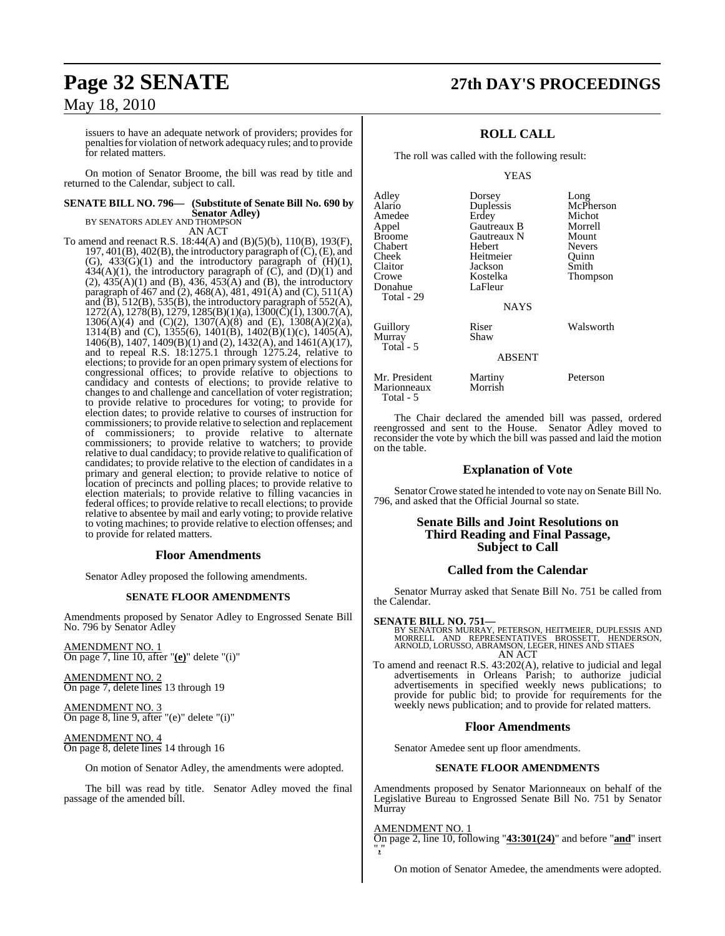# **Page 32 SENATE 27th DAY'S PROCEEDINGS**

May 18, 2010

issuers to have an adequate network of providers; provides for penalties for violation of network adequacy rules; and to provide for related matters.

On motion of Senator Broome, the bill was read by title and returned to the Calendar, subject to call.

## **SENATE BILL NO. 796— (Substitute of Senate Bill No. 690 by Senator Adley)** BY SENATORS ADLEY AND THOMPSON

AN ACT

To amend and reenact R.S. 18:44(A) and (B)(5)(b), 110(B), 193(F), 197, 401(B), 402(B), the introductory paragraph of  $(C)$ ,  $(E)$ , and (G),  $433(G)(1)$  and the introductory paragraph of  $(H)(1)$ ,  $434(A)(1)$ , the introductory paragraph of  $(C)$ , and  $(D)(1)$  and  $(2)$ , 435(A)(1) and (B), 436, 453(A) and (B), the introductory paragraph of 467 and (2), 468(A), 481, 491(A) and (C), 511(A) and  $(B)$ , 512(B), 535( $\hat{B}$ ), the introductory paragraph of 552( $\hat{A}$ ), 1272(A), 1278(B), 1279, 1285(B)(1)(a), 1300(C)(1), 1300.7(A),  $1306(A)(4)$  and  $(C)(2)$ ,  $1307(A)(8)$  and  $(E)$ ,  $1308(A)(2)(a)$ , 1314(B) and (C), 1355(6), 1401(B), 1402(B)(1)(c), 1405(A), 1406(B), 1407, 1409(B)(1) and (2), 1432(A), and 1461(A)(17), and to repeal R.S. 18:1275.1 through 1275.24, relative to elections; to provide for an open primary system of elections for congressional offices; to provide relative to objections to candidacy and contests of elections; to provide relative to changes to and challenge and cancellation of voter registration; to provide relative to procedures for voting; to provide for election dates; to provide relative to courses of instruction for commissioners; to provide relative to selection and replacement of commissioners; to provide relative to alternate commissioners; to provide relative to watchers; to provide relative to dual candidacy; to provide relative to qualification of candidates; to provide relative to the election of candidates in a primary and general election; to provide relative to notice of location of precincts and polling places; to provide relative to election materials; to provide relative to filling vacancies in federal offices; to provide relative to recall elections; to provide relative to absentee by mail and early voting; to provide relative to voting machines; to provide relative to election offenses; and to provide for related matters.

#### **Floor Amendments**

Senator Adley proposed the following amendments.

#### **SENATE FLOOR AMENDMENTS**

Amendments proposed by Senator Adley to Engrossed Senate Bill No. 796 by Senator Adley

AMENDMENT NO. 1 On page 7, line 10, after "**(e)**" delete "(i)"

AMENDMENT NO. 2 On page 7, delete lines 13 through 19

#### AMENDMENT NO. 3 On page 8, line 9, after "(e)" delete "(i)"

AMENDMENT NO. 4 On page 8, delete lines 14 through 16

On motion of Senator Adley, the amendments were adopted.

The bill was read by title. Senator Adley moved the final passage of the amended bill.

## **ROLL CALL**

The roll was called with the following result:

#### YEAS

| Adley         | Dorsey        | Long          |
|---------------|---------------|---------------|
| Alario        | Duplessis     | McPherson     |
| Amedee        | Erdey         | Michot        |
| Appel         | Gautreaux B   | Morrell       |
| Broome        | Gautreaux N   | Mount         |
| Chabert       | Hebert        | <b>Nevers</b> |
| Cheek         | Heitmeier     | Ouinn         |
| Claitor       | Jackson       | Smith         |
| Crowe         | Kostelka      | Thompson      |
| Donahue       | LaFleur       |               |
| Total - 29    |               |               |
|               | <b>NAYS</b>   |               |
| Guillory      | Riser         | Walsworth     |
| Murray        | Shaw          |               |
| Total - 5     |               |               |
|               | <b>ABSENT</b> |               |
| Mr. President | Martiny       | Peterson      |
| Marionneaux   | Morrish       |               |
| Total - 5     |               |               |

The Chair declared the amended bill was passed, ordered reengrossed and sent to the House. Senator Adley moved to reconsider the vote by which the bill was passed and laid the motion on the table.

#### **Explanation of Vote**

Senator Crowe stated he intended to vote nay on Senate Bill No. 796, and asked that the Official Journal so state.

#### **Senate Bills and Joint Resolutions on Third Reading and Final Passage, Subject to Call**

#### **Called from the Calendar**

Senator Murray asked that Senate Bill No. 751 be called from the Calendar.

**SENATE BILL NO. 751—**<br>BY SENATORS MURRAY, PETERSON, HEITMEIER, DUPLESSIS AND<br>MORRELL AND REPRESENTATIVES BROSSETT, HENDERSON,<br>ARNOLD, LORUSSO, ABRAMSON, LEGER, HINES AND STIAES AN ACT

To amend and reenact R.S. 43:202(A), relative to judicial and legal advertisements in Orleans Parish; to authorize judicial advertisements in specified weekly news publications; to provide for public bid; to provide for requirements for the weekly news publication; and to provide for related matters.

#### **Floor Amendments**

Senator Amedee sent up floor amendments.

#### **SENATE FLOOR AMENDMENTS**

Amendments proposed by Senator Marionneaux on behalf of the Legislative Bureau to Engrossed Senate Bill No. 751 by Senator Murray

#### AMENDMENT NO. 1

On page 2, line 10, following "**43:301(24)**" and before "**and**" insert "**,**"

On motion of Senator Amedee, the amendments were adopted.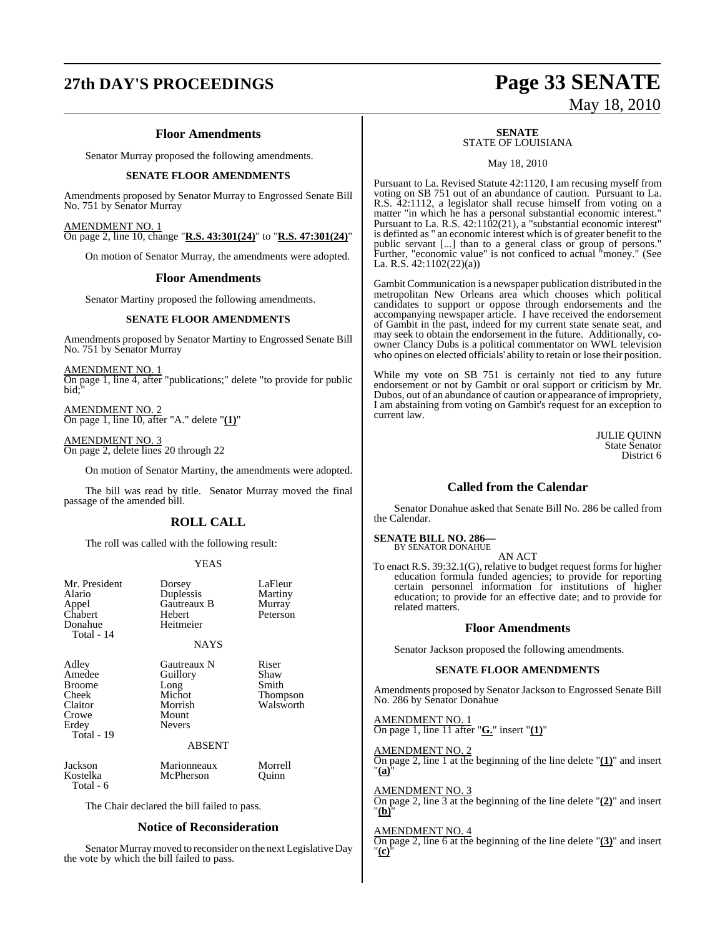# **27th DAY'S PROCEEDINGS Page 33 SENATE**

#### **Floor Amendments**

Senator Murray proposed the following amendments.

#### **SENATE FLOOR AMENDMENTS**

Amendments proposed by Senator Murray to Engrossed Senate Bill No. 751 by Senator Murray

AMENDMENT NO. 1 On page 2, line 10, change "**R.S. 43:301(24)**" to "**R.S. 47:301(24)**"

On motion of Senator Murray, the amendments were adopted.

#### **Floor Amendments**

Senator Martiny proposed the following amendments.

#### **SENATE FLOOR AMENDMENTS**

Amendments proposed by Senator Martiny to Engrossed Senate Bill No. 751 by Senator Murray

AMENDMENT NO. 1 On page 1, line 4, after "publications;" delete "to provide for public bid;"

AMENDMENT NO. 2 On page 1, line 10, after "A." delete "**(1)**"

AMENDMENT NO. 3 On page 2, delete lines 20 through 22

On motion of Senator Martiny, the amendments were adopted.

The bill was read by title. Senator Murray moved the final passage of the amended bill.

## **ROLL CALL**

The roll was called with the following result:

#### YEAS

| Mr. President<br>Alario<br>Appel<br>Chabert<br>Donahue<br>Total - 14                 | Dorsey<br>Duplessis<br>Gautreaux B<br>Hebert<br>Heitmeier<br><b>NAYS</b>       | LaFleur<br>Martiny<br>Murray<br>Peterson        |
|--------------------------------------------------------------------------------------|--------------------------------------------------------------------------------|-------------------------------------------------|
| Adley<br>Amedee<br><b>Broome</b><br>Cheek<br>Claitor<br>Crowe<br>Erdey<br>Total - 19 | Gautreaux N<br>Guillory<br>Long<br>Michot<br>Morrish<br>Mount<br><b>Nevers</b> | Riser<br>Shaw<br>Smith<br>Thompson<br>Walsworth |
|                                                                                      | <b>ABSENT</b>                                                                  |                                                 |
| Jackson<br>Kostelka<br>Total - 6                                                     | Marionneaux<br>McPherson                                                       | Morrell<br>Ouinn                                |
|                                                                                      | The Chair declared the bill failed to pass.                                    |                                                 |

#### **Notice of Reconsideration**

Senator Murray moved to reconsider on the next Legislative Day the vote by which the bill failed to pass.

# May 18, 2010

#### **SENATE** STATE OF LOUISIANA

May 18, 2010

Pursuant to La. Revised Statute 42:1120, I am recusing myself from voting on SB 751 out of an abundance of caution. Pursuant to La. R.S. 42:1112, a legislator shall recuse himself from voting on a matter "in which he has a personal substantial economic interest." Pursuant to La. R.S. 42:1102(21), a "substantial economic interest" is definted as " an economic interest which is of greater benefit to the public servant [...] than to a general class or group of persons." Further, "economic value" is not conficed to actual "money." (See La. R.S. 42:1102(22)(a))

Gambit Communication is a newspaper publication distributed in the metropolitan New Orleans area which chooses which political candidates to support or oppose through endorsements and the accompanying newspaper article. I have received the endorsement of Gambit in the past, indeed for my current state senate seat, and may seek to obtain the endorsement in the future. Additionally, coowner Clancy Dubs is a political commentator on WWL television who opines on elected officials' ability to retain or lose their position.

While my vote on SB 751 is certainly not tied to any future endorsement or not by Gambit or oral support or criticism by Mr. Dubos, out of an abundance of caution or appearance of impropriety, I am abstaining from voting on Gambit's request for an exception to current law.

> JULIE QUINN State Senator District 6

### **Called from the Calendar**

Senator Donahue asked that Senate Bill No. 286 be called from the Calendar.

# **SENATE BILL NO. 286—** BY SENATOR DONAHUE

AN ACT

To enact R.S. 39:32.1(G), relative to budget request forms for higher education formula funded agencies; to provide for reporting certain personnel information for institutions of higher education; to provide for an effective date; and to provide for related matters.

#### **Floor Amendments**

Senator Jackson proposed the following amendments.

#### **SENATE FLOOR AMENDMENTS**

Amendments proposed by Senator Jackson to Engrossed Senate Bill No. 286 by Senator Donahue

AMENDMENT NO. 1 On page 1, line 11 after "**G.**" insert "**(1)**"

AMENDMENT NO. 2 On page 2, line 1 at the beginning of the line delete "**(1)**" and insert "**(a)**"

AMENDMENT NO. 3

On page 2, line 3 at the beginning of the line delete "**(2)**" and insert "**(b)**"

#### AMENDMENT NO. 4

On page 2, line 6 at the beginning of the line delete "**(3)**" and insert "**(c)**"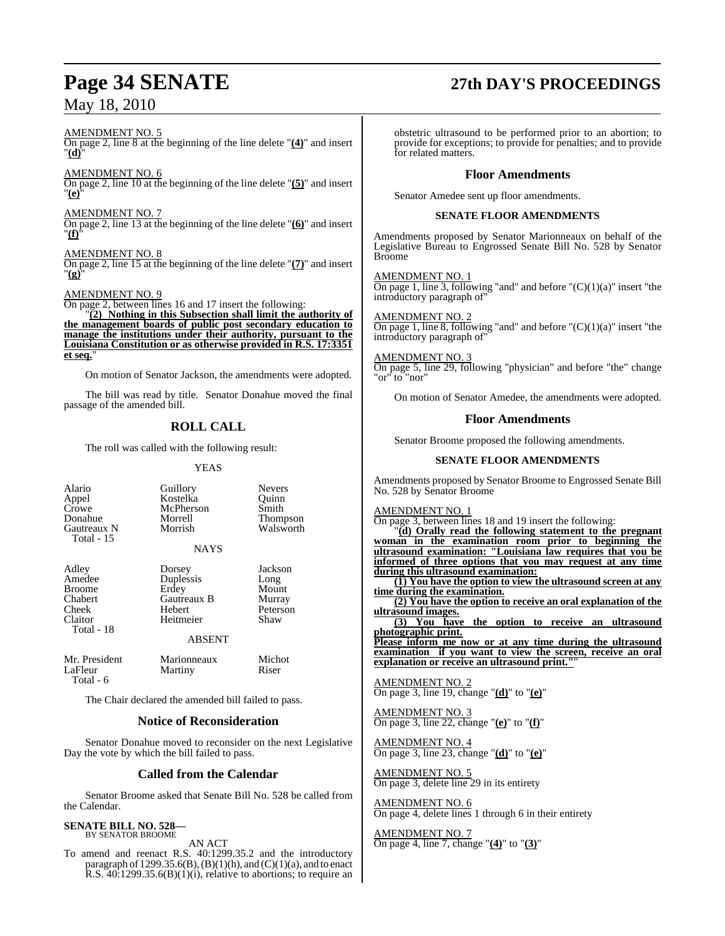## AMENDMENT NO. 5

On page 2, line 8 at the beginning of the line delete "**(4)**" and insert "**(d)**"

AMENDMENT NO. 6 On page 2, line 10 at the beginning of the line delete "**(5)**" and insert "**(e)**"

AMENDMENT NO. 7

On page 2, line 13 at the beginning of the line delete "**(6)**" and insert "**(f)**"

AMENDMENT NO. 8

On page 2, line 15 at the beginning of the line delete "**(7)**" and insert "**(g)**"

#### AMENDMENT NO. 9

On page 2, between lines 16 and 17 insert the following:

"**(2) Nothing in this Subsection shall limit the authority of the management boards of public post secondary education to manage the institutions under their authority, pursuant to the Louisiana Constitution or as otherwise provided in R.S. 17:3351 et seq.**"

On motion of Senator Jackson, the amendments were adopted.

The bill was read by title. Senator Donahue moved the final passage of the amended bill.

## **ROLL CALL**

The roll was called with the following result:

YEAS

| Alario<br>Appel<br>Crowe<br>Donahue<br>Gautreaux N<br>Total - 15              | Guillory<br>Kostelka<br>McPherson<br>Morrell<br>Morrish<br><b>NAYS</b>                     | <b>Nevers</b><br>Ouinn<br>Smith<br>Thompson<br>Walsworth |
|-------------------------------------------------------------------------------|--------------------------------------------------------------------------------------------|----------------------------------------------------------|
| Adley<br>Amedee<br><b>Broome</b><br>Chabert<br>Cheek<br>Claitor<br>Total - 18 | Dorsey<br>Duplessis<br>Erdey<br><b>Gautreaux B</b><br>Hebert<br>Heitmeier<br><b>ABSENT</b> | Jackson<br>Long<br>Mount<br>Murray<br>Peterson<br>Shaw   |
| Mr. President<br>LaFleur<br>Total - 6                                         | Marionneaux<br>Martiny                                                                     | Michot<br>Riser                                          |

The Chair declared the amended bill failed to pass.

#### **Notice of Reconsideration**

Senator Donahue moved to reconsider on the next Legislative Day the vote by which the bill failed to pass.

#### **Called from the Calendar**

Senator Broome asked that Senate Bill No. 528 be called from the Calendar.

#### **SENATE BILL NO. 528** BY SENATOR BROOME

AN ACT

To amend and reenact R.S. 40:1299.35.2 and the introductory paragraph of 1299.35.6(B), (B)(1)(h), and (C)(1)(a), and to enact  $R.S.$  40:1299.35.6(B)(1)(i), relative to abortions; to require an

obstetric ultrasound to be performed prior to an abortion; to provide for exceptions; to provide for penalties; and to provide for related matters.

#### **Floor Amendments**

Senator Amedee sent up floor amendments.

#### **SENATE FLOOR AMENDMENTS**

Amendments proposed by Senator Marionneaux on behalf of the Legislative Bureau to Engrossed Senate Bill No. 528 by Senator Broome

AMENDMENT NO. 1 On page 1, line 3, following "and" and before " $(C)(1)(a)$ " insert "the introductory paragraph of"

AMENDMENT NO. 2 On page 1, line 8, following "and" and before " $(C)(1)(a)$ " insert "the introductory paragraph of"

AMENDMENT NO. 3

On page 5, line 29, following "physician" and before "the" change "or" to "nor"

On motion of Senator Amedee, the amendments were adopted.

#### **Floor Amendments**

Senator Broome proposed the following amendments.

#### **SENATE FLOOR AMENDMENTS**

Amendments proposed by Senator Broome to Engrossed Senate Bill No. 528 by Senator Broome

AMENDMENT NO. 1

On page 3, between lines 18 and 19 insert the following:

"**(d) Orally read the following statement to the pregnant woman in the examination room prior to beginning the ultrasound examination: "Louisiana law requires that you be informed of three options that you may request at any time during this ultrasound examination:**

**(1) You have the option to view the ultrasound screen at any time during the examination.**

**(2) You have the option to receive an oral explanation of the ultrasound images.**

**(3) You have the option to receive an ultrasound photographic print.**

**Please inform me now or at any time during the ultrasound examination if you want to view the screen, receive an oral explanation or receive an ultrasound print."**"

AMENDMENT NO. 2 On page 3, line 19, change "**(d)**" to "**(e)**"

AMENDMENT NO. 3 On page 3, line 22, change "**(e)**" to "**(f)**"

AMENDMENT NO. 4 On page 3, line 23, change "**(d)**" to "**(e)**"

AMENDMENT NO. 5 On page 3, delete line 29 in its entirety

AMENDMENT NO. 6 On page 4, delete lines 1 through 6 in their entirety

AMENDMENT NO. 7 On page 4, line 7, change "**(4)**" to "**(3)**"

# **Page 34 SENATE 27th DAY'S PROCEEDINGS**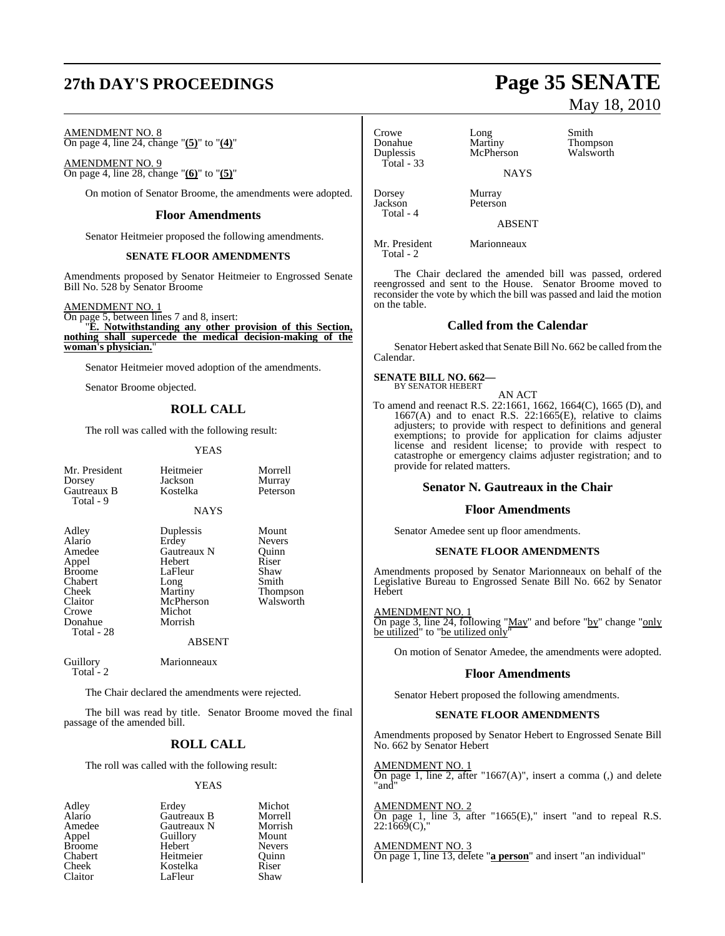# **27th DAY'S PROCEEDINGS Page 35 SENATE**

#### AMENDMENT NO. 8 On page 4, line 24, change "**(5)**" to "**(4)**"

AMENDMENT NO. 9 On page 4, line 28, change "**(6)**" to "**(5)**"

On motion of Senator Broome, the amendments were adopted.

#### **Floor Amendments**

Senator Heitmeier proposed the following amendments.

#### **SENATE FLOOR AMENDMENTS**

Amendments proposed by Senator Heitmeier to Engrossed Senate Bill No. 528 by Senator Broome

#### AMENDMENT NO. 1

On page 5, between lines 7 and 8, insert: "**E. Notwithstanding any other provision of this Section, nothing shall supercede the medical decision-making of the woman's physician.**"

Senator Heitmeier moved adoption of the amendments.

Senator Broome objected.

#### **ROLL CALL**

The roll was called with the following result:

Kostelka

#### YEAS

NAYS

Heitmeier Morrell<br>
Jackson Murray Jackson Murray<br>Kostelka Peterson

| Mr. President |
|---------------|
| Dorsey        |
| Gautreaux B   |
| Total - 9     |

Chabert Long<br>
Cheek Martiny Claitor McPherson<br>Crowe Michot Donahue Morrish Total - 28

Adley Duplessis Mount<br>Alario Erdev Nevers Alario Erdey Nevers Amedee Gautreaux N Quinn<br>
Appel Hebert Riser Hebert Riser<br>LaFleur Shaw Broome LaFleur Shaw<br>Chabert Long Smith Cheek Martiny Thompson Michot

#### ABSENT

Guillory Marionneaux Total - 2

The Chair declared the amendments were rejected.

The bill was read by title. Senator Broome moved the final passage of the amended bill.

## **ROLL CALL**

The roll was called with the following result:

#### YEAS

| Adley         | Erdey       | Michot        |
|---------------|-------------|---------------|
| Alario        | Gautreaux B | Morrell       |
| Amedee        | Gautreaux N | Morrish       |
| Appel         | Guillory    | Mount         |
| <b>Broome</b> | Hebert      | <b>Nevers</b> |
| Chabert       | Heitmeier   | Ouinn         |
| Cheek         | Kostelka    | Riser         |
| Claitor       | LaFleur     | Shaw          |
|               |             |               |

Crowe Long Smith<br>
Donahue Martiny Thom Donahue Martiny Thompson Total - 33

McPherson **NAVS** 

Dorsey Murray<br>Jackson Peterson

ABSENT

Mr. President Marionneaux Total - 2

Jackson Total - 4

The Chair declared the amended bill was passed, ordered reengrossed and sent to the House. Senator Broome moved to reconsider the vote by which the bill was passed and laid the motion on the table.

#### **Called from the Calendar**

Senator Hebert asked that Senate Bill No. 662 be called fromthe Calendar.

#### **SENATE BILL NO. 662—** BY SENATOR HEBERT

- AN ACT
- To amend and reenact R.S. 22:1661, 1662, 1664(C), 1665 (D), and  $1667(A)$  and to enact R.S. 22:1665(E), relative to claims adjusters; to provide with respect to definitions and general exemptions; to provide for application for claims adjuster license and resident license; to provide with respect to catastrophe or emergency claims adjuster registration; and to provide for related matters.

#### **Senator N. Gautreaux in the Chair**

#### **Floor Amendments**

Senator Amedee sent up floor amendments.

#### **SENATE FLOOR AMENDMENTS**

Amendments proposed by Senator Marionneaux on behalf of the Legislative Bureau to Engrossed Senate Bill No. 662 by Senator Hebert

#### AMENDMENT NO. 1

On page 3, line 24, following "May" and before "by" change "only be utilized" to "be utilized only"

On motion of Senator Amedee, the amendments were adopted.

#### **Floor Amendments**

Senator Hebert proposed the following amendments.

#### **SENATE FLOOR AMENDMENTS**

Amendments proposed by Senator Hebert to Engrossed Senate Bill No. 662 by Senator Hebert

AMENDMENT NO. 1  $\overline{On}$  page 1, line 2, after "1667(A)", insert a comma (,) and delete "and"

AMENDMENT NO. 2 On page 1, line 3, after "1665(E)," insert "and to repeal R.S.  $22:1669(C)$ ,

## AMENDMENT NO. 3

On page 1, line 13, delete "**a person**" and insert "an individual"

# May 18, 2010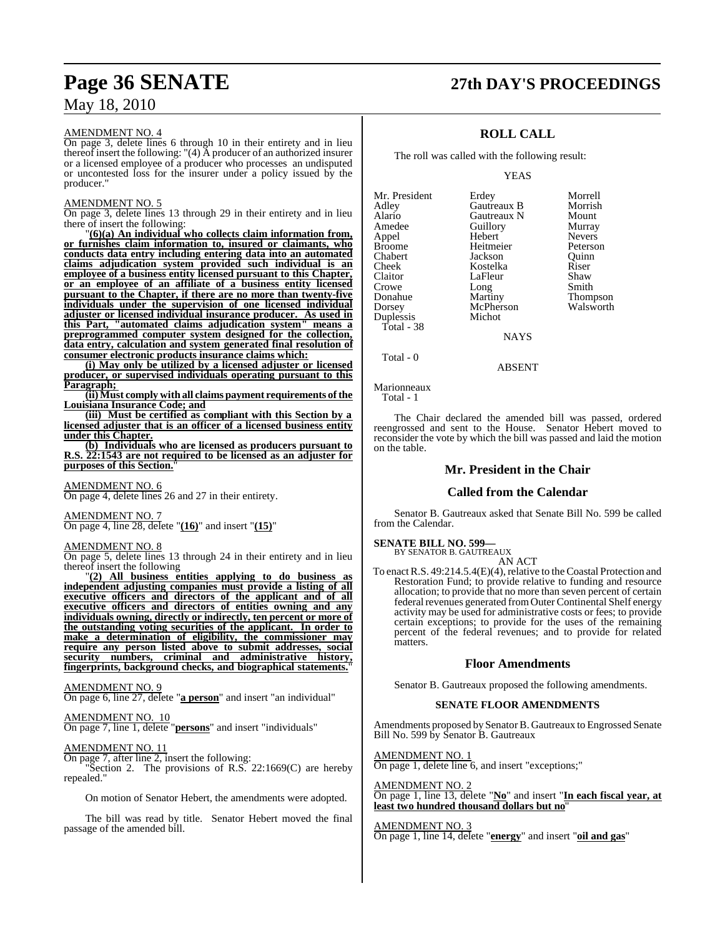#### AMENDMENT NO. 4

On page 3, delete lines 6 through 10 in their entirety and in lieu thereof insert the following: "(4) A producer of an authorized insurer or a licensed employee of a producer who processes an undisputed or uncontested loss for the insurer under a policy issued by the producer."

#### AMENDMENT NO. 5

On page 3, delete lines 13 through 29 in their entirety and in lieu there of insert the following:

"**(6)(a) An individual who collects claim information from, or furnishes claim information to, insured or claimants, who conducts data entry including entering data into an automated claims adjudication system provided such individual is an employee of a business entity licensed pursuant to this Chapter, or an employee of an affiliate of a business entity licensed pursuant to the Chapter, if there are no more than twenty-five individuals under the supervision of one licensed individual adjuster or licensed individual insurance producer. As used in this Part, "automated claims adjudication system" means a preprogrammed computer system designed for the collection, data entry, calculation and system generated final resolution of consumer electronic products insurance claims which:**

**(i) May only be utilized by a licensed adjuster or licensed producer, or supervised individuals operating pursuant to this Paragraph;** 

**(ii) Must comply with all claims payment requirements ofthe Louisiana Insurance Code; and**

**(iii) Must be certified as compliant with this Section by a licensed adjuster that is an officer of a licensed business entity under this Chapter.**

**(b) Individuals who are licensed as producers pursuant to R.S. 22:1543 are not required to be licensed as an adjuster for purposes of this Section.**"

#### AMENDMENT NO. 6

On page 4, delete lines 26 and 27 in their entirety.

#### AMENDMENT NO. 7

On page 4, line 28, delete "**(16)**" and insert "**(15)**"

#### AMENDMENT NO. 8

On page 5, delete lines 13 through 24 in their entirety and in lieu thereof insert the following

"**(2) All business entities applying to do business as independent adjusting companies must provide a listing of all executive officers and directors of the applicant and of all executive officers and directors of entities owning and any individuals owning, directly or indirectly, ten percent or more of the outstanding voting securities of the applicant. In order to make a determination of eligibility, the commissioner may require any person listed above to submit addresses, social security numbers, criminal and administrative history, fingerprints, background checks, and biographical statements.**"

#### AMENDMENT NO. 9

On page 6, line 27, delete "**a person**" and insert "an individual"

#### AMENDMENT NO. 10

On page 7, line 1, delete "**persons**" and insert "individuals"

#### AMENDMENT NO. 11

On page 7, after line 2, insert the following: Section 2. The provisions of R.S. 22:1669(C) are hereby repealed."

On motion of Senator Hebert, the amendments were adopted.

The bill was read by title. Senator Hebert moved the final passage of the amended bill.

# **Page 36 SENATE 27th DAY'S PROCEEDINGS**

## **ROLL CALL**

The roll was called with the following result:

#### YEAS

| Mr. President | Erdey         | Morrell         |
|---------------|---------------|-----------------|
| Adley         | Gautreaux B   | Morrish         |
| Alario        | Gautreaux N   | Mount           |
| Amedee        | Guillory      | Murray          |
| Appel         | Hebert        | <b>Nevers</b>   |
| <b>Broome</b> | Heitmeier     | Peterson        |
| Chabert       | Jackson       | Ouinn           |
| Cheek         | Kostelka      | Riser           |
| Claitor       | LaFleur       | Shaw            |
| Crowe         | Long          | Smith           |
| Donahue       | Martiny       | <b>Thompson</b> |
| Dorsey        | McPherson     | Walsworth       |
| Duplessis     | Michot        |                 |
| Total - 38    |               |                 |
|               | <b>NTANZO</b> |                 |

NAYS

Total - 0

ABSENT

Marionneaux Total - 1

The Chair declared the amended bill was passed, ordered reengrossed and sent to the House. Senator Hebert moved to reconsider the vote by which the bill was passed and laid the motion on the table.

#### **Mr. President in the Chair**

#### **Called from the Calendar**

Senator B. Gautreaux asked that Senate Bill No. 599 be called from the Calendar.

# **SENATE BILL NO. 599—** BY SENATOR B. GAUTREAUX

AN ACT

To enact R.S. 49:214.5.4(E)(4), relative to the Coastal Protection and Restoration Fund; to provide relative to funding and resource allocation; to provide that no more than seven percent of certain federal revenues generated from Outer Continental Shelf energy activity may be used for administrative costs or fees; to provide certain exceptions; to provide for the uses of the remaining percent of the federal revenues; and to provide for related matters.

#### **Floor Amendments**

Senator B. Gautreaux proposed the following amendments.

#### **SENATE FLOOR AMENDMENTS**

Amendments proposed by Senator B. Gautreaux to Engrossed Senate Bill No. 599 by Senator B. Gautreaux

AMENDMENT NO. 1 On page 1, delete line 6, and insert "exceptions;"

AMENDMENT NO. 2 On page 1, line 13, delete "**No**" and insert "**In each fiscal year, at least two hundred thousand dollars but no**"

AMENDMENT NO. 3 On page 1, line 14, delete "**energy**" and insert "**oil and gas**"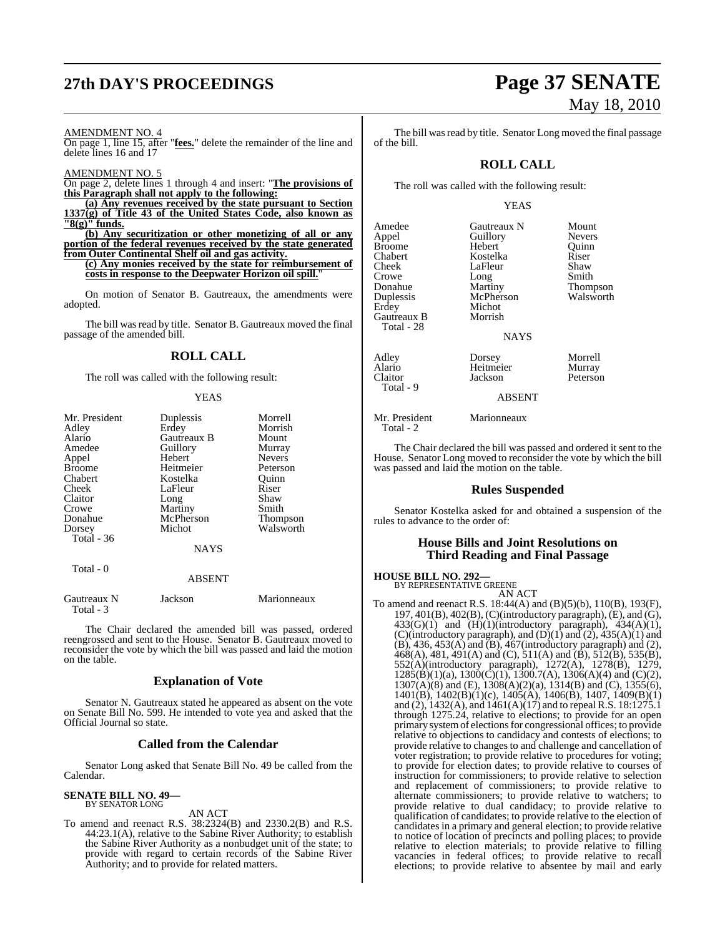# **27th DAY'S PROCEEDINGS Page 37 SENATE**

AMENDMENT NO. 4

On page 1, line 15, after "**fees.**" delete the remainder of the line and delete lines 16 and 17

AMENDMENT NO. 5

On page 2, delete lines 1 through 4 and insert: "**The provisions of this Paragraph shall not apply to the following:**

**(a) Any revenues received by the state pursuant to Section 1337(g) of Title 43 of the United States Code, also known as "8(g)" funds.**

**(b) Any securitization or other monetizing of all or any portion of the federal revenues received by the state generated from Outer Continental Shelf oil and gas activity.**

**(c) Any monies received by the state for reimbursement of costs in response to the Deepwater Horizon oil spill.**"

On motion of Senator B. Gautreaux, the amendments were adopted.

The bill was read by title. Senator B. Gautreaux moved the final passage of the amended bill.

### **ROLL CALL**

The roll was called with the following result:

YEAS

| Mr. President | Duplessis     | Morrell       |
|---------------|---------------|---------------|
| Adley         | Erdey         | Morrish       |
| Alario        | Gautreaux B   | Mount         |
| Amedee        | Guillory      | Murray        |
| Appel         | Hebert        | <b>Nevers</b> |
| <b>Broome</b> | Heitmeier     | Peterson      |
| Chabert       | Kostelka      | Quinn         |
| Cheek         | LaFleur       | Riser         |
| Claitor       | Long          | Shaw          |
| Crowe         | Martiny       | Smith         |
| Donahue       | McPherson     | Thompson      |
| Dorsey        | Michot        | Walsworth     |
| Total - 36    |               |               |
|               | <b>NAYS</b>   |               |
| Total - 0     |               |               |
|               | <b>ABSENT</b> |               |
| Gautreaux N   | Jackson       | Marionneaux   |

Total - 3

The Chair declared the amended bill was passed, ordered reengrossed and sent to the House. Senator B. Gautreaux moved to reconsider the vote by which the bill was passed and laid the motion on the table.

### **Explanation of Vote**

Senator N. Gautreaux stated he appeared as absent on the vote on Senate Bill No. 599. He intended to vote yea and asked that the Official Journal so state.

### **Called from the Calendar**

Senator Long asked that Senate Bill No. 49 be called from the Calendar.

#### **SENATE BILL NO. 49—** BY SENATOR LONG

AN ACT

To amend and reenact R.S. 38:2324(B) and 2330.2(B) and R.S. 44:23.1(A), relative to the Sabine River Authority; to establish the Sabine River Authority as a nonbudget unit of the state; to provide with regard to certain records of the Sabine River Authority; and to provide for related matters.

# May 18, 2010

The bill was read by title. Senator Long moved the final passage of the bill.

## **ROLL CALL**

The roll was called with the following result:

#### YEAS

| Amedee                    | Gautreaux N | Mount         |
|---------------------------|-------------|---------------|
| Appel                     | Guillory    | <b>Nevers</b> |
| <b>Broome</b>             | Hebert      | Ouinn         |
| Chabert                   | Kostelka    | Riser         |
| Cheek                     | LaFleur     | Shaw          |
| Crowe                     | Long        | Smith         |
| Donahue                   | Martiny     | Thompson      |
| Duplessis                 | McPherson   | Walsworth     |
| Erdey                     | Michot      |               |
| Gautreaux B<br>Total - 28 | Morrish     |               |
|                           | <b>NAYS</b> |               |
| Adley                     | Dorsey      | Morrell       |
| Alario                    | Heitmeier   | Murray        |
| Claitor                   | Jackson     | Peterson      |
| Total - 9                 |             |               |

ABSENT

Mr. President Marionneaux Total - 2

The Chair declared the bill was passed and ordered it sent to the House. Senator Long moved to reconsider the vote by which the bill was passed and laid the motion on the table.

### **Rules Suspended**

Senator Kostelka asked for and obtained a suspension of the rules to advance to the order of:

### **House Bills and Joint Resolutions on Third Reading and Final Passage**

#### **HOUSE BILL NO. 292—** BY REPRESENTATIVE GREENE

AN ACT

To amend and reenact R.S. 18:44(A) and (B)(5)(b), 110(B), 193(F), 197, 401(B), 402(B), (C)(introductory paragraph), (E), and (G),  $433(G)(1)$  and  $(H)(1)(introductory$  paragraph),  $434(A)(1)$ , (C)(introductory paragraph), and  $(D)(1)$  and  $(2)$ , 435(A)(1) and  $(B)$ , 436, 453(A) and  $(B)$ , 467(introductory paragraph) and (2),  $468(A)$ ,  $481$ ,  $491(A)$  and (C),  $511(A)$  and (B),  $512(B)$ ,  $535(B)$ , 552(A)(introductory paragraph), 1272(A), 1278(B), 1279,  $1285(B)(1)(a)$ ,  $1300(\overrightarrow{C})(1)$ ,  $1300.7(A)$ ,  $1306(A)(4)$  and  $(\overrightarrow{C})(2)$ , 1307(A)(8) and (E), 1308(A)(2)(a), 1314(B) and (C), 1355(6), 1401(B), 1402(B)(1)(c), 1405(A), 1406(B), 1407, 1409(B)(1) and (2), 1432(A), and 1461(A)(17) and to repeal R.S. 18:1275.1 through 1275.24, relative to elections; to provide for an open primary system of elections for congressional offices; to provide relative to objections to candidacy and contests of elections; to provide relative to changes to and challenge and cancellation of voter registration; to provide relative to procedures for voting; to provide for election dates; to provide relative to courses of instruction for commissioners; to provide relative to selection and replacement of commissioners; to provide relative to alternate commissioners; to provide relative to watchers; to provide relative to dual candidacy; to provide relative to qualification of candidates; to provide relative to the election of candidates in a primary and general election; to provide relative to notice of location of precincts and polling places; to provide relative to election materials; to provide relative to filling vacancies in federal offices; to provide relative to recall elections; to provide relative to absentee by mail and early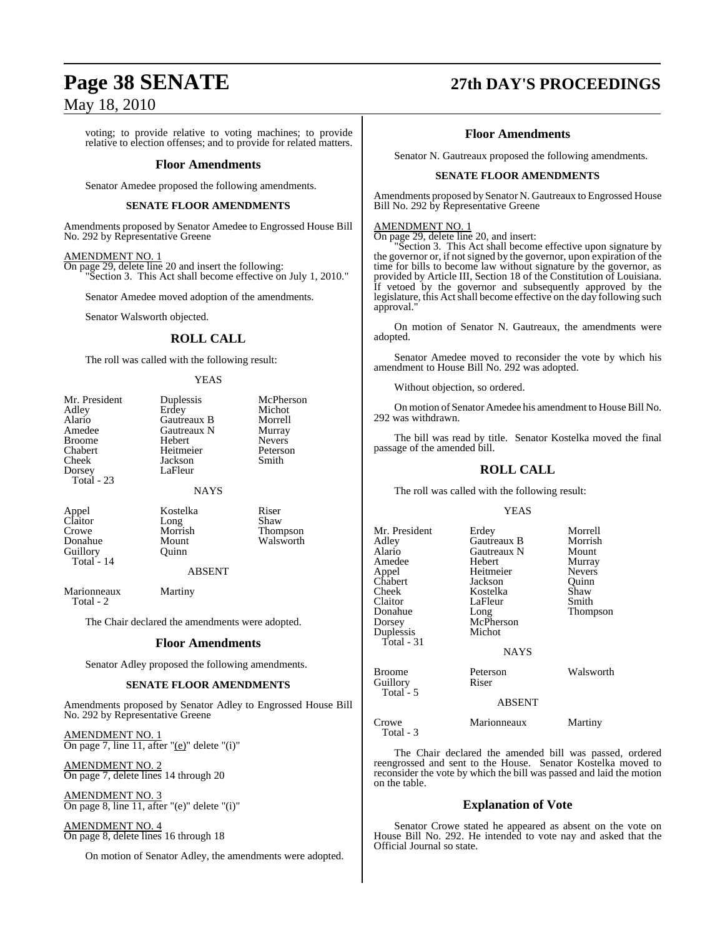voting; to provide relative to voting machines; to provide relative to election offenses; and to provide for related matters.

#### **Floor Amendments**

Senator Amedee proposed the following amendments.

#### **SENATE FLOOR AMENDMENTS**

Amendments proposed by Senator Amedee to Engrossed House Bill No. 292 by Representative Greene

#### AMENDMENT NO. 1

On page 29, delete line 20 and insert the following: "Section 3. This Act shall become effective on July 1, 2010."

Senator Amedee moved adoption of the amendments.

Senator Walsworth objected.

#### **ROLL CALL**

The roll was called with the following result:

#### YEAS

| Mr. President | Duplessis   | McPherson     |
|---------------|-------------|---------------|
| Adley         | Erdey       | Michot        |
| Alario        | Gautreaux B | Morrell       |
| Amedee        | Gautreaux N | Murray        |
| <b>Broome</b> | Hebert      | <b>Nevers</b> |
| Chabert       | Heitmeier   | Peterson      |
| Cheek         | Jackson     | Smith         |
| Dorsey        | LaFleur     |               |
| Total $-23$   |             |               |
|               |             |               |

NAYS

Crowe Morrish Thompson Donahue Mount Walsworth<br>
Cuillory Ouinn Guillory Total - 14

Appel Kostelka Riser<br>Claitor Long Shaw Claitor Long Shaw

#### ABSENT

Marionneaux Martiny Total - 2

The Chair declared the amendments were adopted.

#### **Floor Amendments**

Senator Adley proposed the following amendments.

#### **SENATE FLOOR AMENDMENTS**

Amendments proposed by Senator Adley to Engrossed House Bill No. 292 by Representative Greene

AMENDMENT NO. 1 On page 7, line 11, after "(e)" delete "(i)"

AMENDMENT NO. 2 On page 7, delete lines 14 through 20

AMENDMENT NO. 3 On page 8, line 11, after "(e)" delete "(i)"

AMENDMENT NO. 4 On page 8, delete lines 16 through 18

On motion of Senator Adley, the amendments were adopted.

# **Page 38 SENATE 27th DAY'S PROCEEDINGS**

#### **Floor Amendments**

Senator N. Gautreaux proposed the following amendments.

#### **SENATE FLOOR AMENDMENTS**

Amendments proposed by Senator N. Gautreaux to Engrossed House Bill No. 292 by Representative Greene

#### AMENDMENT NO. 1

On page 29, delete line 20, and insert:

"Section 3. This Act shall become effective upon signature by the governor or, if notsigned by the governor, upon expiration of the time for bills to become law without signature by the governor, as provided by Article III, Section 18 of the Constitution of Louisiana. If vetoed by the governor and subsequently approved by the legislature, this Act shall become effective on the day following such approval."

On motion of Senator N. Gautreaux, the amendments were adopted.

Senator Amedee moved to reconsider the vote by which his amendment to House Bill No. 292 was adopted.

Without objection, so ordered.

On motion of Senator Amedee his amendment to House Bill No. 292 was withdrawn.

The bill was read by title. Senator Kostelka moved the final passage of the amended bill.

### **ROLL CALL**

The roll was called with the following result:

#### YEAS

| Mr. President<br>Adlev<br>Alario<br>Amedee<br>Appel<br>Chabert<br>Cheek<br>Claitor<br>Donahue<br>Dorsey<br>Duplessis<br>Total - 31 | Erdey<br>Gautreaux B<br>Gautreaux N<br>Hebert<br>Heitmeier<br>Jackson<br>Kostelka<br>LaFleur<br>Long<br>McPherson<br>Michot<br><b>NAYS</b> | Morrell<br>Morrish<br>Mount<br>Murray<br><b>Nevers</b><br>Ouinn<br>Shaw<br>Smith<br>Thompson |
|------------------------------------------------------------------------------------------------------------------------------------|--------------------------------------------------------------------------------------------------------------------------------------------|----------------------------------------------------------------------------------------------|
| Broome<br>Guillory<br>Total - 5                                                                                                    | Peterson<br>Riser                                                                                                                          | Walsworth                                                                                    |
|                                                                                                                                    | <b>ABSENT</b>                                                                                                                              |                                                                                              |
| Crowe<br>Total - 3                                                                                                                 | Marionneaux                                                                                                                                | Martiny                                                                                      |

The Chair declared the amended bill was passed, ordered reengrossed and sent to the House. Senator Kostelka moved to reconsider the vote by which the bill was passed and laid the motion on the table.

#### **Explanation of Vote**

Senator Crowe stated he appeared as absent on the vote on House Bill No. 292. He intended to vote nay and asked that the Official Journal so state.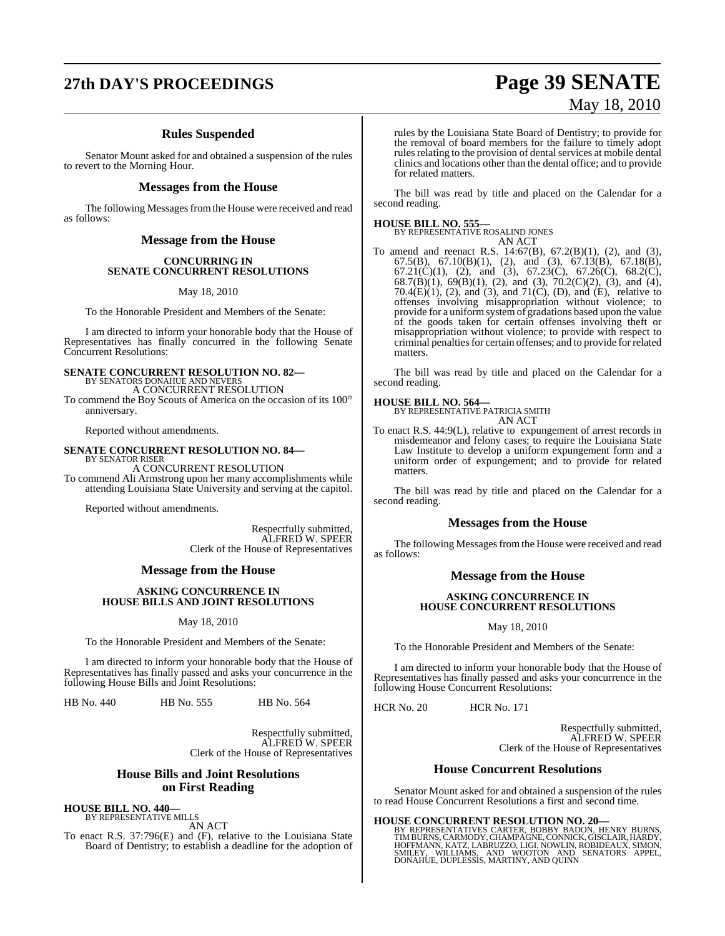# **27th DAY'S PROCEEDINGS Page 39 SENATE**

## **Rules Suspended**

Senator Mount asked for and obtained a suspension of the rules to revert to the Morning Hour.

#### **Messages from the House**

The following Messages from the House were received and read as follows:

#### **Message from the House**

#### **CONCURRING IN SENATE CONCURRENT RESOLUTIONS**

May 18, 2010

To the Honorable President and Members of the Senate:

I am directed to inform your honorable body that the House of Representatives has finally concurred in the following Senate Concurrent Resolutions:

# **SENATE CONCURRENT RESOLUTION NO. 82—** BY SENATORS DONAHUE AND NEVERS

A CONCURRENT RESOLUTION

To commend the Boy Scouts of America on the occasion of its 100<sup>th</sup> anniversary.

Reported without amendments.

# **SENATE CONCURRENT RESOLUTION NO. 84—** BY SENATOR RISER

A CONCURRENT RESOLUTION To commend Ali Armstrong upon her many accomplishments while attending Louisiana State University and serving at the capitol.

Reported without amendments.

Respectfully submitted, ALFRED W. SPEER Clerk of the House of Representatives

#### **Message from the House**

#### **ASKING CONCURRENCE IN HOUSE BILLS AND JOINT RESOLUTIONS**

May 18, 2010

To the Honorable President and Members of the Senate:

I am directed to inform your honorable body that the House of Representatives has finally passed and asks your concurrence in the following House Bills and Joint Resolutions:

HB No. 440 HB No. 555 HB No. 564

Respectfully submitted, ALFRED W. SPEER Clerk of the House of Representatives

#### **House Bills and Joint Resolutions on First Reading**

**HOUSE BILL NO. 440—** BY REPRESENTATIVE MILLS

AN ACT

To enact R.S. 37:796(E) and (F), relative to the Louisiana State Board of Dentistry; to establish a deadline for the adoption of

# May 18, 2010

rules by the Louisiana State Board of Dentistry; to provide for the removal of board members for the failure to timely adopt rules relating to the provision of dental services at mobile dental clinics and locations other than the dental office; and to provide for related matters.

The bill was read by title and placed on the Calendar for a second reading.

**HOUSE BILL NO. 555—** BY REPRESENTATIVE ROSALIND JONES AN ACT

To amend and reenact R.S. 14:67(B), 67.2(B)(1), (2), and (3), 67.5(B), 67.10(B)(1), (2), and (3), 67.13(B), 67.18(B), 67.21(C)(1), (2), and (3), 67.23(C), 67.26(C), 68.2(C), 68.7(B)(1), 69(B)(1), (2), and (3), 70.2(C)(2), (3), and (4), 70.4 $(E)(1)$ , (2), and (3), and 71 $(C)$ , (D), and  $(E)$ , relative to offenses involving misappropriation without violence; to provide for a uniformsystemof gradations based upon the value of the goods taken for certain offenses involving theft or misappropriation without violence; to provide with respect to criminal penalties for certain offenses; and to provide for related matters.

The bill was read by title and placed on the Calendar for a second reading.

#### **HOUSE BILL NO. 564—**

BY REPRESENTATIVE PATRICIA SMITH AN ACT

To enact R.S. 44:9(L), relative to expungement of arrest records in misdemeanor and felony cases; to require the Louisiana State Law Institute to develop a uniform expungement form and a uniform order of expungement; and to provide for related matters.

The bill was read by title and placed on the Calendar for a second reading.

#### **Messages from the House**

The following Messages from the House were received and read as follows:

#### **Message from the House**

#### **ASKING CONCURRENCE IN HOUSE CONCURRENT RESOLUTIONS**

May 18, 2010

To the Honorable President and Members of the Senate:

I am directed to inform your honorable body that the House of Representatives has finally passed and asks your concurrence in the following House Concurrent Resolutions:

HCR No. 20 HCR No. 171

Respectfully submitted, ALFRED W. SPEER Clerk of the House of Representatives

### **House Concurrent Resolutions**

Senator Mount asked for and obtained a suspension of the rules to read House Concurrent Resolutions a first and second time.

#### **HOUSE CONCURRENT RESOLUTION NO. 20—**

BY REPRESENTATIVES CARTER, BOBBY BADON, HENRY BURNS,<br>TIMBURNS, CARMODY, CHAMPAGNE, CONNICK, GISCLAIR, HARDY,<br>HOFFMANN, KATZ, LABRUZZO, LIGI, NOWLIN, ROBIDEAUX, SIMON,<br>SMILEY, WILLIAMS, AND WOOTON AND SENATORS APPEL,<br>DONAHU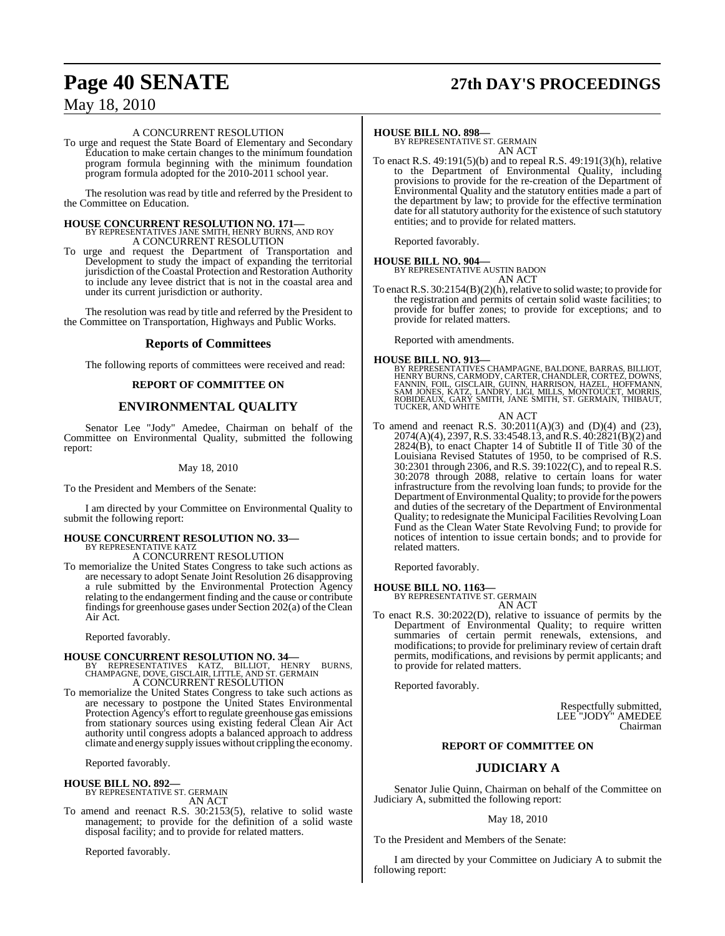# **Page 40 SENATE 27th DAY'S PROCEEDINGS**

## May 18, 2010

#### A CONCURRENT RESOLUTION

To urge and request the State Board of Elementary and Secondary Education to make certain changes to the minimum foundation program formula beginning with the minimum foundation program formula adopted for the 2010-2011 school year.

The resolution was read by title and referred by the President to the Committee on Education.

**HOUSE CONCURRENT RESOLUTION NO. 171—**<br>BY REPRESENTATIVES JANE SMITH, HENRY BURNS, AND ROY A CONCURRENT RESOLUTION

To urge and request the Department of Transportation and Development to study the impact of expanding the territorial jurisdiction of the Coastal Protection and Restoration Authority to include any levee district that is not in the coastal area and under its current jurisdiction or authority.

The resolution was read by title and referred by the President to the Committee on Transportation, Highways and Public Works.

#### **Reports of Committees**

The following reports of committees were received and read:

#### **REPORT OF COMMITTEE ON**

### **ENVIRONMENTAL QUALITY**

Senator Lee "Jody" Amedee, Chairman on behalf of the Committee on Environmental Quality, submitted the following report:

#### May 18, 2010

To the President and Members of the Senate:

I am directed by your Committee on Environmental Quality to submit the following report:

# **HOUSE CONCURRENT RESOLUTION NO. 33—** BY REPRESENTATIVE KATZ

A CONCURRENT RESOLUTION

To memorialize the United States Congress to take such actions as are necessary to adopt Senate Joint Resolution 26 disapproving a rule submitted by the Environmental Protection Agency relating to the endangerment finding and the cause or contribute findings for greenhouse gases under Section  $202(a)$  of the Clean Air Act.

Reported favorably.

**HOUSE CONCURRENT RESOLUTION NO. 34—**<br>BY REPRESENTATIVES KATZ, BILLIOT, HENRY BURNS,<br>CHAMPAGNE, DOVE, GISCLAIR, LITTLE, AND ST. GERMAIN A CONCURRENT RESOLUTION

To memorialize the United States Congress to take such actions as are necessary to postpone the United States Environmental Protection Agency's effort to regulate greenhouse gas emissions from stationary sources using existing federal Clean Air Act authority until congress adopts a balanced approach to address climate and energy supply issues without crippling the economy.

Reported favorably.

#### **HOUSE BILL NO. 892—**

BY REPRESENTATIVE ST. GERMAIN AN ACT

To amend and reenact R.S. 30:2153(5), relative to solid waste management; to provide for the definition of a solid waste disposal facility; and to provide for related matters.

Reported favorably.

#### **HOUSE BILL NO. 898—**

BY REPRESENTATIVE ST. GERMAIN AN ACT

To enact R.S. 49:191(5)(b) and to repeal R.S. 49:191(3)(h), relative to the Department of Environmental Quality, including provisions to provide for the re-creation of the Department of Environmental Quality and the statutory entities made a part of the department by law; to provide for the effective termination date for all statutory authority for the existence of such statutory entities; and to provide for related matters.

Reported favorably.

#### **HOUSE BILL NO. 904—** BY REPRESENTATIVE AUSTIN BADON AN ACT

To enact R.S. 30:2154(B)(2)(h), relative to solid waste; to provide for the registration and permits of certain solid waste facilities; to provide for buffer zones; to provide for exceptions; and to provide for related matters.

Reported with amendments.

**HOUSE BILL NO. 913—**<br>BY REPRESENTATIVES CHAMPAGNE, BALDONE, BARRAS, BILLIOT,<br>HENRY BURNS, CARMODY, CARTER, CHANDLER, CORTEZ, DOWNS,<br>FANNIN, FOIL, GISCLAIR, GUINN, HARRISON, HAZEL, HOFFMANN,<br>SAM JONES, KATZ, LANDRY, LIGI,

AN ACT

To amend and reenact R.S. 30:2011(A)(3) and (D)(4) and (23), 2074(A)(4), 2397,R.S. 33:4548.13, and R.S. 40:2821(B)(2) and  $2824(B)$ , to enact Chapter 14 of Subtitle II of Title 30 of the Louisiana Revised Statutes of 1950, to be comprised of R.S. 30:2301 through 2306, and R.S. 39:1022(C), and to repeal R.S. 30:2078 through 2088, relative to certain loans for water infrastructure from the revolving loan funds; to provide for the Department of Environmental Quality; to provide for the powers and duties of the secretary of the Department of Environmental Quality; to redesignate the Municipal Facilities Revolving Loan Fund as the Clean Water State Revolving Fund; to provide for notices of intention to issue certain bonds; and to provide for related matters.

Reported favorably.

**HOUSE BILL NO. 1163—** BY REPRESENTATIVE ST. GERMAIN AN ACT

To enact R.S. 30:2022(D), relative to issuance of permits by the Department of Environmental Quality; to require written summaries of certain permit renewals, extensions, and modifications; to provide for preliminary review of certain draft permits, modifications, and revisions by permit applicants; and to provide for related matters.

Reported favorably.

Respectfully submitted, LEE "JODY" AMEDEE Chairman

#### **REPORT OF COMMITTEE ON**

#### **JUDICIARY A**

Senator Julie Quinn, Chairman on behalf of the Committee on Judiciary A, submitted the following report:

#### May 18, 2010

To the President and Members of the Senate:

I am directed by your Committee on Judiciary A to submit the following report: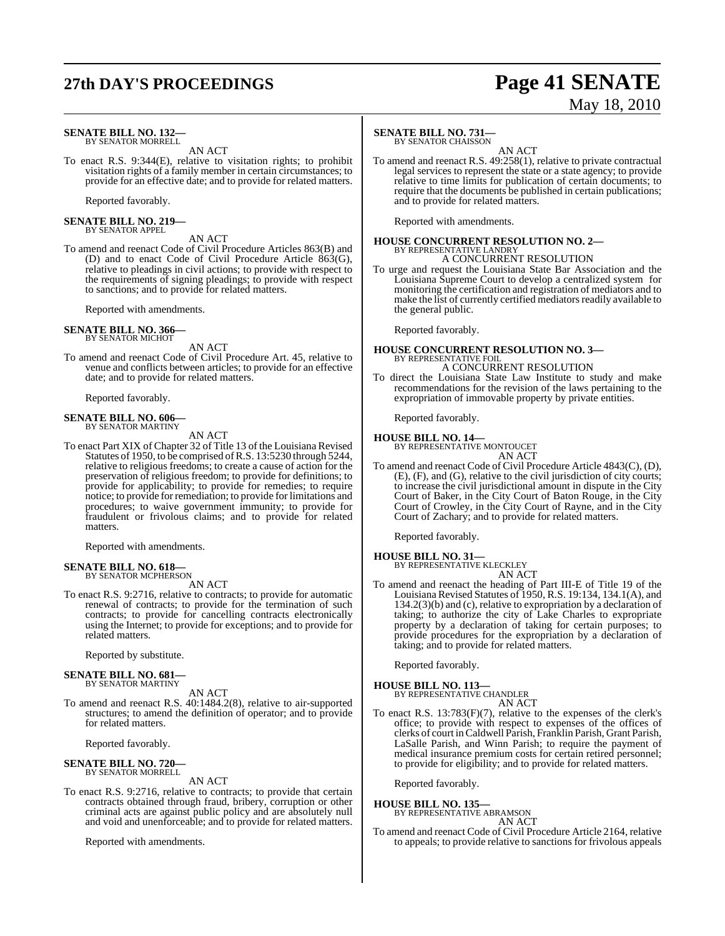# **27th DAY'S PROCEEDINGS Page 41 SENATE**

#### **SENATE BILL NO. 132—** BY SENATOR MORRELL

AN ACT

To enact R.S. 9:344(E), relative to visitation rights; to prohibit visitation rights of a family member in certain circumstances; to provide for an effective date; and to provide for related matters.

Reported favorably.

**SENATE BILL NO. 219—** BY SENATOR APPEL

#### AN ACT

To amend and reenact Code of Civil Procedure Articles 863(B) and (D) and to enact Code of Civil Procedure Article  $\frac{863}{(G)}$ , relative to pleadings in civil actions; to provide with respect to the requirements of signing pleadings; to provide with respect to sanctions; and to provide for related matters.

Reported with amendments.

#### **SENATE BILL NO. 366—** BY SENATOR MICHOT

AN ACT

To amend and reenact Code of Civil Procedure Art. 45, relative to venue and conflicts between articles; to provide for an effective date; and to provide for related matters.

Reported favorably.

# **SENATE BILL NO. 606—** BY SENATOR MARTINY

AN ACT

To enact Part XIX of Chapter 32 of Title 13 of the Louisiana Revised Statutes of 1950, to be comprised ofR.S. 13:5230 through 5244, relative to religious freedoms; to create a cause of action for the preservation of religious freedom; to provide for definitions; to provide for applicability; to provide for remedies; to require notice; to provide forremediation; to provide for limitations and procedures; to waive government immunity; to provide for fraudulent or frivolous claims; and to provide for related matters.

Reported with amendments.

# **SENATE BILL NO. 618—** BY SENATOR MCPHERSON

AN ACT

To enact R.S. 9:2716, relative to contracts; to provide for automatic renewal of contracts; to provide for the termination of such contracts; to provide for cancelling contracts electronically using the Internet; to provide for exceptions; and to provide for related matters.

Reported by substitute.

# **SENATE BILL NO. 681—** BY SENATOR MARTINY

AN ACT

To amend and reenact R.S. 40:1484.2(8), relative to air-supported structures; to amend the definition of operator; and to provide for related matters.

Reported favorably.

#### **SENATE BILL NO. 720—** BY SENATOR MORRELL

AN ACT

To enact R.S. 9:2716, relative to contracts; to provide that certain contracts obtained through fraud, bribery, corruption or other criminal acts are against public policy and are absolutely null and void and unenforceable; and to provide for related matters.

Reported with amendments.

### **SENATE BILL NO. 731—**

BY SENATOR CHAISSON

AN ACT To amend and reenact R.S. 49:258(1), relative to private contractual legal services to represent the state or a state agency; to provide relative to time limits for publication of certain documents; to require that the documents be published in certain publications; and to provide for related matters.

Reported with amendments.

# **HOUSE CONCURRENT RESOLUTION NO. 2—** BY REPRESENTATIVE LANDRY

A CONCURRENT RESOLUTION

To urge and request the Louisiana State Bar Association and the Louisiana Supreme Court to develop a centralized system for monitoring the certification and registration of mediators and to make the list of currently certified mediators readily available to the general public.

Reported favorably.

#### **HOUSE CONCURRENT RESOLUTION NO. 3—** BY REPRESENTATIVE FOIL

A CONCURRENT RESOLUTION

To direct the Louisiana State Law Institute to study and make recommendations for the revision of the laws pertaining to the expropriation of immovable property by private entities.

Reported favorably.

# **HOUSE BILL NO. 14—** BY REPRESENTATIVE MONTOUCET

AN ACT

To amend and reenact Code of Civil Procedure Article 4843(C), (D), (E), (F), and (G), relative to the civil jurisdiction of city courts; to increase the civil jurisdictional amount in dispute in the City Court of Baker, in the City Court of Baton Rouge, in the City Court of Crowley, in the City Court of Rayne, and in the City Court of Zachary; and to provide for related matters.

Reported favorably.

### **HOUSE BILL NO. 31—**

BY REPRESENTATIVE KLECKLEY AN ACT

To amend and reenact the heading of Part III-E of Title 19 of the Louisiana Revised Statutes of 1950, R.S. 19:134, 134.1(A), and 134.2(3)(b) and (c), relative to expropriation by a declaration of taking; to authorize the city of Lake Charles to expropriate property by a declaration of taking for certain purposes; to provide procedures for the expropriation by a declaration of taking; and to provide for related matters.

Reported favorably.

#### **HOUSE BILL NO. 113—** BY REPRESENTATIVE CHANDLER

AN ACT

To enact R.S. 13:783(F)(7), relative to the expenses of the clerk's office; to provide with respect to expenses of the offices of clerks of court inCaldwell Parish, Franklin Parish, Grant Parish, LaSalle Parish, and Winn Parish; to require the payment of medical insurance premium costs for certain retired personnel; to provide for eligibility; and to provide for related matters.

Reported favorably.

# **HOUSE BILL NO. 135—** BY REPRESENTATIVE ABRAMSON

#### AN ACT

To amend and reenact Code of Civil Procedure Article 2164, relative to appeals; to provide relative to sanctions for frivolous appeals

# May 18, 2010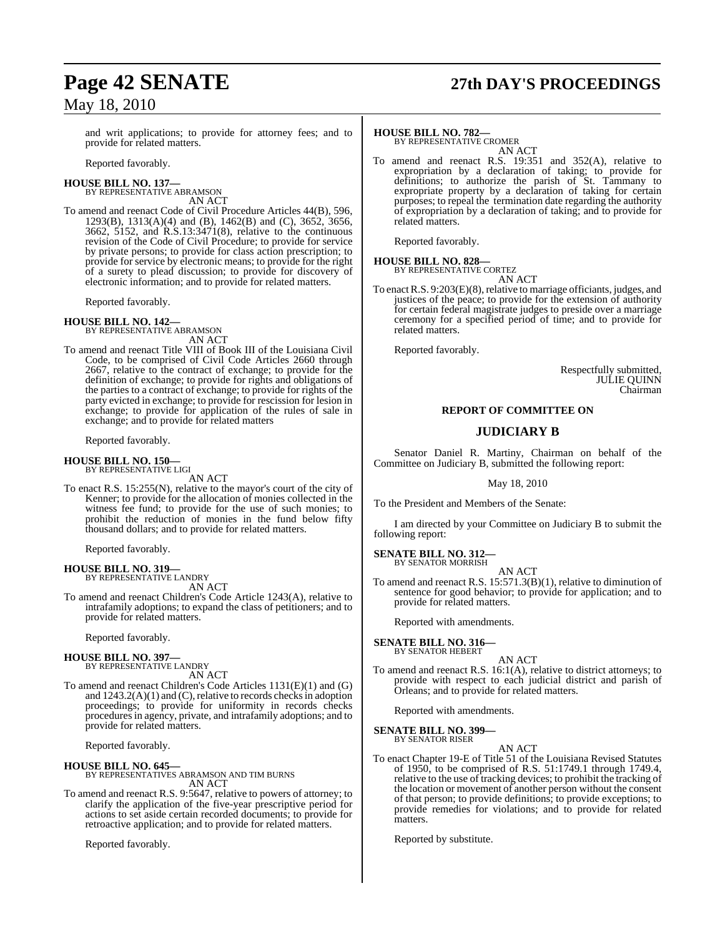and writ applications; to provide for attorney fees; and to provide for related matters.

Reported favorably.

**HOUSE BILL NO. 137—** BY REPRESENTATIVE ABRAMSON

- AN ACT
- To amend and reenact Code of Civil Procedure Articles 44(B), 596, 1293(B), 1313(A)(4) and (B), 1462(B) and (C), 3652, 3656,  $3662, 5152,$  and  $R.S.13:3471(8)$ , relative to the continuous revision of the Code of Civil Procedure; to provide for service by private persons; to provide for class action prescription; to provide for service by electronic means; to provide for the right of a surety to plead discussion; to provide for discovery of electronic information; and to provide for related matters.

Reported favorably.

#### **HOUSE BILL NO. 142—**

BY REPRESENTATIVE ABRAMSON AN ACT

To amend and reenact Title VIII of Book III of the Louisiana Civil Code, to be comprised of Civil Code Articles 2660 through 2667, relative to the contract of exchange; to provide for the definition of exchange; to provide for rights and obligations of the parties to a contract of exchange; to provide for rights of the party evicted in exchange; to provide for rescission for lesion in exchange; to provide for application of the rules of sale in exchange; and to provide for related matters

Reported favorably.

#### **HOUSE BILL NO. 150—** BY REPRESENTATIVE LIGI

AN ACT

To enact R.S. 15:255(N), relative to the mayor's court of the city of Kenner; to provide for the allocation of monies collected in the witness fee fund; to provide for the use of such monies; to prohibit the reduction of monies in the fund below fifty thousand dollars; and to provide for related matters.

Reported favorably.

# **HOUSE BILL NO. 319—** BY REPRESENTATIVE LANDRY

AN ACT

To amend and reenact Children's Code Article 1243(A), relative to intrafamily adoptions; to expand the class of petitioners; and to provide for related matters.

Reported favorably.

#### **HOUSE BILL NO. 397—** BY REPRESENTATIVE LANDRY

AN ACT

To amend and reenact Children's Code Articles 1131(E)(1) and (G) and  $1243.2(A)(1)$  and  $(C)$ , relative to records checks in adoption proceedings; to provide for uniformity in records checks proceduresin agency, private, and intrafamily adoptions; and to provide for related matters.

Reported favorably.

## **HOUSE BILL NO. 645—**

BY REPRESENTATIVES ABRAMSON AND TIM BURNS AN ACT

To amend and reenact R.S. 9:5647, relative to powers of attorney; to clarify the application of the five-year prescriptive period for actions to set aside certain recorded documents; to provide for retroactive application; and to provide for related matters.

Reported favorably.

# **Page 42 SENATE 27th DAY'S PROCEEDINGS**

#### **HOUSE BILL NO. 782—**

BY REPRESENTATIVE CROMER AN ACT

To amend and reenact R.S. 19:351 and 352(A), relative to expropriation by a declaration of taking; to provide for definitions; to authorize the parish of St. Tammany to expropriate property by a declaration of taking for certain purposes; to repeal the termination date regarding the authority of expropriation by a declaration of taking; and to provide for related matters.

Reported favorably.

#### **HOUSE BILL NO. 828—** BY REPRESENTATIVE CORTEZ

AN ACT

To enact R.S. 9:203(E)(8), relative to marriage officiants, judges, and justices of the peace; to provide for the extension of authority for certain federal magistrate judges to preside over a marriage ceremony for a specified period of time; and to provide for related matters.

Reported favorably.

Respectfully submitted, JULIE QUINN Chairman

#### **REPORT OF COMMITTEE ON**

## **JUDICIARY B**

Senator Daniel R. Martiny, Chairman on behalf of the Committee on Judiciary B, submitted the following report:

May 18, 2010

To the President and Members of the Senate:

I am directed by your Committee on Judiciary B to submit the following report:

### **SENATE BILL NO. 312—**

BY SENATOR MORRISH AN ACT

To amend and reenact R.S. 15:571.3(B)(1), relative to diminution of sentence for good behavior; to provide for application; and to provide for related matters.

Reported with amendments.

## **SENATE BILL NO. 316—**

BY SENATOR HEBERT

AN ACT To amend and reenact R.S. 16:1(A), relative to district attorneys; to provide with respect to each judicial district and parish of Orleans; and to provide for related matters.

Reported with amendments.

#### **SENATE BILL NO. 399—** BY SENATOR RISER

AN ACT

To enact Chapter 19-E of Title 51 of the Louisiana Revised Statutes of 1950, to be comprised of R.S. 51:1749.1 through 1749.4, relative to the use of tracking devices; to prohibit the tracking of the location or movement of another person without the consent of that person; to provide definitions; to provide exceptions; to provide remedies for violations; and to provide for related matters.

Reported by substitute.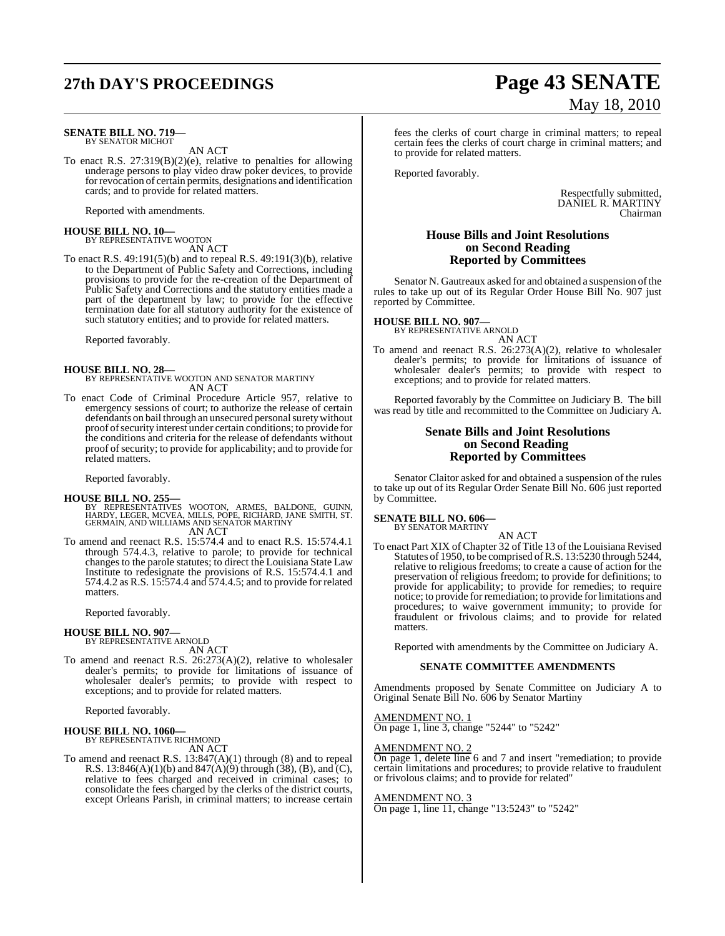# **27th DAY'S PROCEEDINGS Page 43 SENATE**

#### **SENATE BILL NO. 719—** BY SENATOR MICHOT

AN ACT

To enact R.S. 27:319(B)(2)(e), relative to penalties for allowing underage persons to play video draw poker devices, to provide for revocation of certain permits, designations and identification cards; and to provide for related matters.

Reported with amendments.

# **HOUSE BILL NO. 10—** BY REPRESENTATIVE WOOTON

AN ACT

To enact R.S. 49:191(5)(b) and to repeal R.S. 49:191(3)(b), relative to the Department of Public Safety and Corrections, including provisions to provide for the re-creation of the Department of Public Safety and Corrections and the statutory entities made a part of the department by law; to provide for the effective termination date for all statutory authority for the existence of such statutory entities; and to provide for related matters.

Reported favorably.

**HOUSE BILL NO. 28—** BY REPRESENTATIVE WOOTON AND SENATOR MARTINY AN ACT

To enact Code of Criminal Procedure Article 957, relative to emergency sessions of court; to authorize the release of certain defendants on bail through an unsecured personal surety without proof of security interest under certain conditions; to provide for the conditions and criteria for the release of defendants without proof of security; to provide for applicability; and to provide for related matters.

Reported favorably.

#### **HOUSE BILL NO. 255—**

- BY REPRESENTATIVES WOOTON, ARMES, BALDONE, GUINN,<br>HARDY, LEGER, MCVEA, MILLS, POPE, RICHARD, JANE SMITH, ST.<br>GERMAIN, AND WILLIAMS AND SENATOR MARTINY AN ACT
- To amend and reenact R.S. 15:574.4 and to enact R.S. 15:574.4.1 through 574.4.3, relative to parole; to provide for technical changes to the parole statutes; to direct the Louisiana State Law Institute to redesignate the provisions of R.S. 15:574.4.1 and 574.4.2 as R.S. 15:574.4 and 574.4.5; and to provide for related matters.

Reported favorably.

#### **HOUSE BILL NO. 907—**

BY REPRESENTATIVE ARNOLD AN ACT

To amend and reenact R.S. 26:273(A)(2), relative to wholesaler dealer's permits; to provide for limitations of issuance of wholesaler dealer's permits; to provide with respect to exceptions; and to provide for related matters.

Reported favorably.

# **HOUSE BILL NO. 1060—** BY REPRESENTATIVE RICHMOND

AN ACT

To amend and reenact R.S.  $13:847(A)(1)$  through (8) and to repeal R.S.  $13:846(A)(1)(b)$  and  $847(A)(9)$  through (38), (B), and (C), relative to fees charged and received in criminal cases; to consolidate the fees charged by the clerks of the district courts, except Orleans Parish, in criminal matters; to increase certain

# May 18, 2010

fees the clerks of court charge in criminal matters; to repeal certain fees the clerks of court charge in criminal matters; and to provide for related matters.

Reported favorably.

Respectfully submitted, DANIEL R. MARTINY Chairman

### **House Bills and Joint Resolutions on Second Reading Reported by Committees**

Senator N. Gautreaux asked for and obtained a suspension of the rules to take up out of its Regular Order House Bill No. 907 just reported by Committee.

### **HOUSE BILL NO. 907—**

BY REPRESENTATIVE ARNOLD AN ACT

To amend and reenact R.S. 26:273(A)(2), relative to wholesaler dealer's permits; to provide for limitations of issuance of wholesaler dealer's permits; to provide with respect to exceptions; and to provide for related matters.

Reported favorably by the Committee on Judiciary B. The bill was read by title and recommitted to the Committee on Judiciary A.

#### **Senate Bills and Joint Resolutions on Second Reading Reported by Committees**

Senator Claitor asked for and obtained a suspension of the rules to take up out of its Regular Order Senate Bill No. 606 just reported by Committee.

#### **SENATE BILL NO. 606—** BY SENATOR MARTINY

AN ACT To enact Part XIX of Chapter 32 of Title 13 of the Louisiana Revised Statutes of 1950, to be comprised ofR.S. 13:5230 through 5244, relative to religious freedoms; to create a cause of action for the preservation of religious freedom; to provide for definitions; to provide for applicability; to provide for remedies; to require notice; to provide for remediation; to provide for limitations and procedures; to waive government immunity; to provide for fraudulent or frivolous claims; and to provide for related matters.

Reported with amendments by the Committee on Judiciary A.

#### **SENATE COMMITTEE AMENDMENTS**

Amendments proposed by Senate Committee on Judiciary A to Original Senate Bill No. 606 by Senator Martiny

AMENDMENT NO. 1 On page 1, line 3, change "5244" to "5242"

#### AMENDMENT NO. 2

On page 1, delete line 6 and 7 and insert "remediation; to provide certain limitations and procedures; to provide relative to fraudulent or frivolous claims; and to provide for related"

AMENDMENT NO. 3

On page 1, line 11, change "13:5243" to "5242"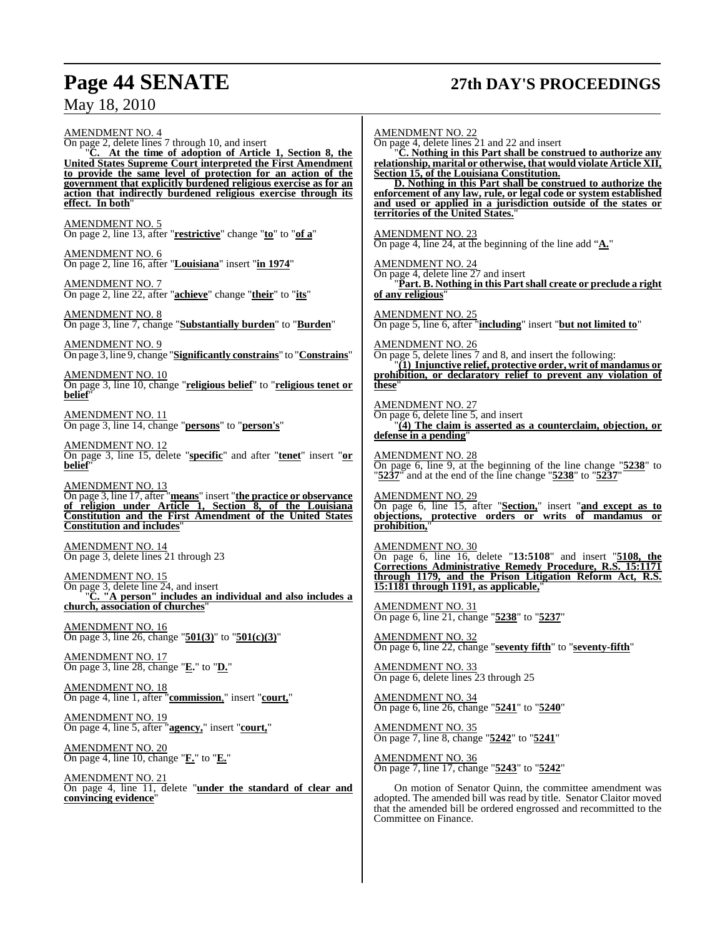# **Page 44 SENATE 27th DAY'S PROCEEDINGS**

May 18, 2010

AMENDMENT NO. 4 On page 2, delete lines 7 through 10, and insert<br>"C. At the time of adontion of Article At the time of adoption of Article 1, Section 8, the **United States Supreme Court interpreted the First Amendment to provide the same level of protection for an action of the government that explicitly burdened religious exercise as for an action that indirectly burdened religious exercise through its effect. In both**" AMENDMENT NO. 5 On page 2, line 13, after "**restrictive**" change "**to**" to "**of a**" AMENDMENT NO. 6 On page 2, line 16, after "**Louisiana**" insert "**in 1974**" AMENDMENT NO. 7 On page 2, line 22, after "**achieve**" change "**their**" to "**its**" AMENDMENT NO. 8 On page 3, line 7, change "**Substantially burden**" to "**Burden**" AMENDMENT NO. 9 On page 3, line 9, change "**Significantly constrains**" to "**Constrains**" AMENDMENT NO. 10 On page 3, line 10, change "**religious belief**" to "**religious tenet or** belief AMENDMENT NO. 11 On page 3, line 14, change "**persons**" to "**person's**" AMENDMENT NO. 12 On page 3, line 15, delete "**specific**" and after "**tenet**" insert "**or belief**" AMENDMENT NO. 13 On page 3, line 17, after "**means**" insert "**the practice or observance of religion under Article 1, Section 8, of the Louisiana Constitution and the First Amendment of the United States Constitution and includes**" AMENDMENT NO. 14 On page 3, delete lines 21 through 23 AMENDMENT NO. 15 On page 3, delete line 24, and insert "**C. "A person" includes an individual and also includes a church, association of churches**" AMENDMENT NO. 16 On page 3, line 26, change "**501(3)**" to "**501(c)(3)**" AMENDMENT NO. 17 On page 3, line 28, change "**E.**" to "**D.**" AMENDMENT NO. 18 On page 4, line 1, after "**commission**," insert "**court,**" AMENDMENT NO. 21 On page 4, line 11, delete "**under the standard of clear and** AMENDMENT NO. 22 On page 4, delete lines 21 and 22 and insert **relationship, marital or otherwise, that would violate Article XII, Section 15, of the Louisiana Constitution. enforcement of any law, rule, or legal code or system established and used or applied in a jurisdiction outside of the states or**

On motion of Senator Quinn, the committee amendment was adopted. The amended bill was read by title. Senator Claitor moved that the amended bill be ordered engrossed and recommitted to the Committee on Finance.

**territories of the United States.**" AMENDMENT NO. 23 On page 4, line 24, at the beginning of the line add "**A.**"

AMENDMENT NO. 24 On page 4, delete line 27 and insert "**Part. B. Nothing in this Part shall create or preclude a right of any religious**"

"**C. Nothing in this Part shall be construed to authorize any**

**D. Nothing in this Part shall be construed to authorize the**

AMENDMENT NO. 25 On page 5, line 6, after "**including**" insert "**but not limited to**"

AMENDMENT NO. 26 On page 5, delete lines 7 and 8, and insert the following: "**(1) Injunctive relief, protective order, writ of mandamus or prohibition, or declaratory relief to prevent any violation of these**"

AMENDMENT NO. 27 On page 6, delete line 5, and insert "**(4) The claim is asserted as a counterclaim, objection, or defense in a pending**"

AMENDMENT NO. 28 On page 6, line 9, at the beginning of the line change "**5238**" to "**5237**" and at the end of the line change "**5238**" to "**5237**"

AMENDMENT NO. 29 On page 6, line 15, after "**Section,**" insert "**and except as to objections, protective orders or writs of mandamus or prohibition,**"

AMENDMENT NO. 30 On page 6, line 16, delete "**13:5108**" and insert "**5108, the Corrections Administrative Remedy Procedure, R.S. 15:1171 through 1179, and the Prison Litigation Reform Act, R.S. 15:1181 through 1191, as applicable,**"

AMENDMENT NO. 31 On page 6, line 21, change "**5238**" to "**5237**"

AMENDMENT NO. 32 On page 6, line 22, change "**seventy fifth**" to "**seventy-fifth**"

AMENDMENT NO. 33 On page 6, delete lines 23 through 25

AMENDMENT NO. 34 On page 6, line 26, change "**5241**" to "**5240**"

AMENDMENT NO. 35 On page 7, line 8, change "**5242**" to "**5241**"

AMENDMENT NO. 36 On page 7, line 17, change "**5243**" to "**5242**"

AMENDMENT NO. 19 On page 4, line 5, after "**agency,**" insert "**court,**"

AMENDMENT NO. 20 On page 4, line 10, change "**F.**" to "**E.**"

**convincing evidence**"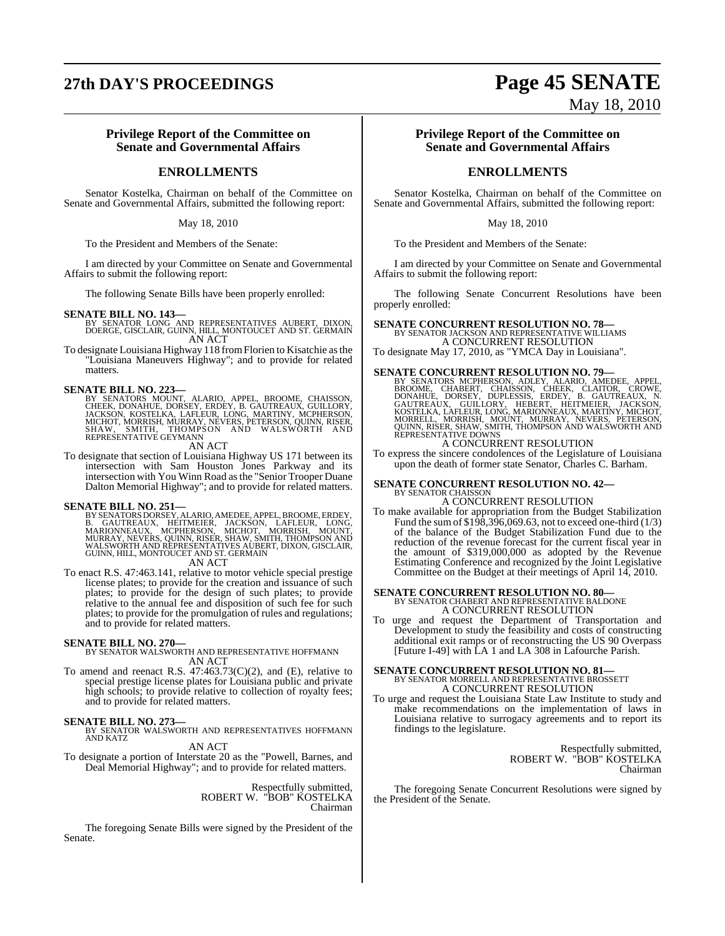# **27th DAY'S PROCEEDINGS Page 45 SENATE**

May 18, 2010

### **Privilege Report of the Committee on Senate and Governmental Affairs**

### **ENROLLMENTS**

Senator Kostelka, Chairman on behalf of the Committee on Senate and Governmental Affairs, submitted the following report:

May 18, 2010

To the President and Members of the Senate:

I am directed by your Committee on Senate and Governmental Affairs to submit the following report:

The following Senate Bills have been properly enrolled:

**SENATE BILL NO. 143—** BY SENATOR LONG AND REPRESENTATIVES AUBERT, DIXON, DOERGE, GISCLAIR, GUINN, HILL, MONTOUCET AND ST. GERMAIN AN ACT

To designate Louisiana Highway 118 fromFlorien to Kisatchie asthe "Louisiana Maneuvers Highway"; and to provide for related matters.

SENATE BILL NO. 223—<br>BY SENATORS MOUNT, ALARIO, APPEL, BROOME, CHAISSON,<br>CHEEK, DONAHUE, DORSEY, ERDEY, B. GAUTREAUX, GUILLORY,<br>JACKSON, KOSTELKA, LAFLEUR, LONG, MARTINY, MCPHERSON,<br>MICHOT, MORRISH, MURRAY, NEVERS, PETERSO

AN ACT

To designate that section of Louisiana Highway US 171 between its intersection with Sam Houston Jones Parkway and its intersection with You Winn Road asthe "Senior Trooper Duane Dalton Memorial Highway"; and to provide for related matters.

SENATE BILL NO. 251—<br>BY SENATORS DORSEY, ALARIO, AMEDEE, APPEL, BROOME, ERDEY, B. GAUTREAUX, HEITMEIER, JACKSON, LAFLEUR, LONG, MARIONNEAUX, MCPHERSON, MICHOT, MORRISH, MOUNT,<br>MURRAY, NEVERS, QUINN, RISER, SHAW, SMITH, THO

AN ACT

To enact R.S. 47:463.141, relative to motor vehicle special prestige license plates; to provide for the creation and issuance of such plates; to provide for the design of such plates; to provide relative to the annual fee and disposition of such fee for such plates; to provide for the promulgation of rules and regulations; and to provide for related matters.

**SENATE BILL NO. 270—** BY SENATOR WALSWORTH AND REPRESENTATIVE HOFFMANN AN ACT

To amend and reenact R.S. 47:463.73(C)(2), and (E), relative to special prestige license plates for Louisiana public and private high schools; to provide relative to collection of royalty fees; and to provide for related matters.

**SENATE BILL NO. 273—**<br>BY SENATOR WALSWORTH AND REPRESENTATIVES HOFFMANN AND KATZ

AN ACT

To designate a portion of Interstate 20 as the "Powell, Barnes, and Deal Memorial Highway"; and to provide for related matters.

> Respectfully submitted, ROBERT W. "BOB" KOSTELKA Chairman

The foregoing Senate Bills were signed by the President of the Senate.

#### **Privilege Report of the Committee on Senate and Governmental Affairs**

## **ENROLLMENTS**

Senator Kostelka, Chairman on behalf of the Committee on Senate and Governmental Affairs, submitted the following report:

May 18, 2010

To the President and Members of the Senate:

I am directed by your Committee on Senate and Governmental Affairs to submit the following report:

The following Senate Concurrent Resolutions have been properly enrolled:

**SENATE CONCURRENT RESOLUTION NO. 78—** BY SENATOR JACKSON AND REPRESENTATIVE WILLIAMS

A CONCURRENT RESOLUTION To designate May 17, 2010, as "YMCA Day in Louisiana".

**SENATE CONCURRENT RESOLUTION NO. 79**<br>BY SENATORS MCPHERSON, ADLEY, ALARIO, AMEDEE, APPEL,<br>BROOME, CHABERT, CHAISSON, CHEEK, CLAITOR, CROWE,<br>DONAHUE, DORSEY, DUPLESSIS, ERDEY, B. GAUTREAUX, N.<br>GAUTREAUX, GUILLORY, HEBERT, A CONCURRENT RESOLUTION

To express the sincere condolences of the Legislature of Louisiana upon the death of former state Senator, Charles C. Barham.

# **SENATE CONCURRENT RESOLUTION NO. 42—** BY SENATOR CHAISSON

A CONCURRENT RESOLUTION To make available for appropriation from the Budget Stabilization

Fund the sum of \$198,396,069.63, not to exceed one-third (1/3) of the balance of the Budget Stabilization Fund due to the reduction of the revenue forecast for the current fiscal year in the amount of \$319,000,000 as adopted by the Revenue Estimating Conference and recognized by the Joint Legislative Committee on the Budget at their meetings of April 14, 2010.

#### **SENATE CONCURRENT RESOLUTION NO. 80—**

BY SENATOR CHABERT AND REPRESENTATIVE BALDONE A CONCURRENT RESOLUTION

To urge and request the Department of Transportation and Development to study the feasibility and costs of constructing additional exit ramps or of reconstructing the US 90 Overpass [Future I-49] with LA 1 and LA 308 in Lafourche Parish.

## **SENATE CONCURRENT RESOLUTION NO. 81—** BY SENATOR MORRELL AND REPRESENTATIVE BROSSETT A CONCURRENT RESOLUTION

To urge and request the Louisiana State Law Institute to study and make recommendations on the implementation of laws in Louisiana relative to surrogacy agreements and to report its findings to the legislature.

> Respectfully submitted, ROBERT W. "BOB" KOSTELKA Chairman

The foregoing Senate Concurrent Resolutions were signed by the President of the Senate.